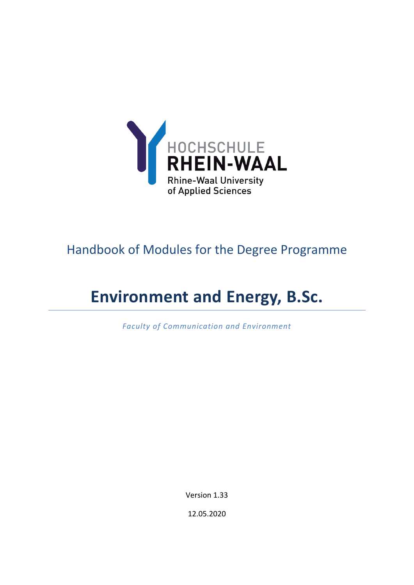

# Handbook of Modules for the Degree Programme

# **Environment and Energy, B.Sc.**

*Faculty of Communication and Environment*

Version 1.33

12.05.2020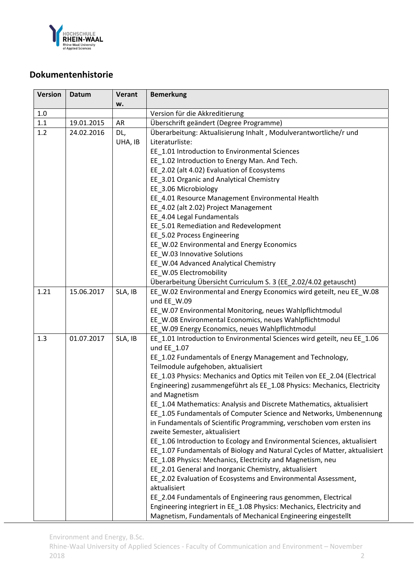

# **Dokumentenhistorie**

| <b>Version</b> | Datum      | <b>Verant</b> | <b>Bemerkung</b>                                                                        |
|----------------|------------|---------------|-----------------------------------------------------------------------------------------|
|                |            | w.            |                                                                                         |
| $1.0\,$        |            |               | Version für die Akkreditierung                                                          |
| 1.1            | 19.01.2015 | AR            | Überschrift geändert (Degree Programme)                                                 |
| 1.2            | 24.02.2016 | DL,           | Überarbeitung: Aktualisierung Inhalt, Modulverantwortliche/r und                        |
|                |            | UHA, IB       | Literaturliste:                                                                         |
|                |            |               | EE_1.01 Introduction to Environmental Sciences                                          |
|                |            |               | EE 1.02 Introduction to Energy Man. And Tech.                                           |
|                |            |               | EE 2.02 (alt 4.02) Evaluation of Ecosystems                                             |
|                |            |               | EE_3.01 Organic and Analytical Chemistry                                                |
|                |            |               | EE_3.06 Microbiology                                                                    |
|                |            |               | EE_4.01 Resource Management Environmental Health                                        |
|                |            |               | EE_4.02 (alt 2.02) Project Management                                                   |
|                |            |               | EE_4.04 Legal Fundamentals                                                              |
|                |            |               | EE_5.01 Remediation and Redevelopment                                                   |
|                |            |               | EE_5.02 Process Engineering                                                             |
|                |            |               | EE_W.02 Environmental and Energy Economics                                              |
|                |            |               | EE_W.03 Innovative Solutions                                                            |
|                |            |               | EE_W.04 Advanced Analytical Chemistry                                                   |
|                |            |               | EE_W.05 Electromobility                                                                 |
|                |            |               | Überarbeitung Übersicht Curriculum S. 3 (EE_2.02/4.02 getauscht)                        |
| 1.21           | 15.06.2017 | SLA, IB       | EE_W.02 Environmental and Energy Economics wird geteilt, neu EE_W.08                    |
|                |            |               | und EE_W.09                                                                             |
|                |            |               | EE_W.07 Environmental Monitoring, neues Wahlpflichtmodul                                |
|                |            |               | EE_W.08 Environmental Economics, neues Wahlpflichtmodul                                 |
|                |            |               | EE_W.09 Energy Economics, neues Wahlpflichtmodul                                        |
| 1.3            | 01.07.2017 | SLA, IB       | EE_1.01 Introduction to Environmental Sciences wird geteilt, neu EE_1.06<br>und EE 1.07 |
|                |            |               | EE_1.02 Fundamentals of Energy Management and Technology,                               |
|                |            |               | Teilmodule aufgehoben, aktualisiert                                                     |
|                |            |               | EE_1.03 Physics: Mechanics and Optics mit Teilen von EE_2.04 (Electrical                |
|                |            |               | Engineering) zusammengeführt als EE_1.08 Physics: Mechanics, Electricity                |
|                |            |               | and Magnetism                                                                           |
|                |            |               | EE 1.04 Mathematics: Analysis and Discrete Mathematics, aktualisiert                    |
|                |            |               | EE_1.05 Fundamentals of Computer Science and Networks, Umbenennung                      |
|                |            |               | in Fundamentals of Scientific Programming, verschoben vom ersten ins                    |
|                |            |               | zweite Semester, aktualisiert                                                           |
|                |            |               | EE_1.06 Introduction to Ecology and Environmental Sciences, aktualisiert                |
|                |            |               | EE_1.07 Fundamentals of Biology and Natural Cycles of Matter, aktualisiert              |
|                |            |               | EE_1.08 Physics: Mechanics, Electricity and Magnetism, neu                              |
|                |            |               | EE_2.01 General and Inorganic Chemistry, aktualisiert                                   |
|                |            |               | EE_2.02 Evaluation of Ecosystems and Environmental Assessment,                          |
|                |            |               | aktualisiert                                                                            |
|                |            |               | EE_2.04 Fundamentals of Engineering raus genommen, Electrical                           |
|                |            |               | Engineering integriert in EE_1.08 Physics: Mechanics, Electricity and                   |
|                |            |               | Magnetism, Fundamentals of Mechanical Engineering eingestellt                           |

Environment and Energy, B.Sc.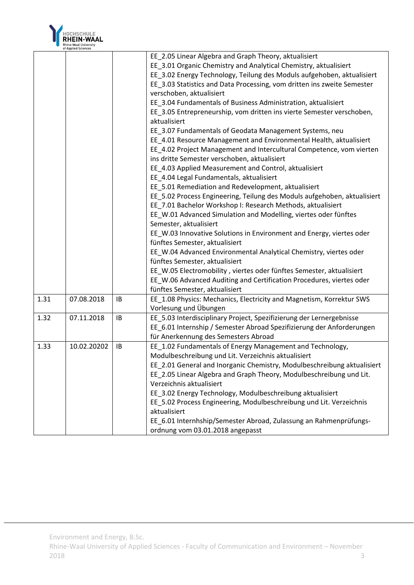

|      |             |    | EE 2.05 Linear Algebra and Graph Theory, aktualisiert                    |
|------|-------------|----|--------------------------------------------------------------------------|
|      |             |    | EE_3.01 Organic Chemistry and Analytical Chemistry, aktualisiert         |
|      |             |    | EE_3.02 Energy Technology, Teilung des Moduls aufgehoben, aktualisiert   |
|      |             |    | EE_3.03 Statistics and Data Processing, vom dritten ins zweite Semester  |
|      |             |    | verschoben, aktualisiert                                                 |
|      |             |    | EE_3.04 Fundamentals of Business Administration, aktualisiert            |
|      |             |    | EE_3.05 Entrepreneurship, vom dritten ins vierte Semester verschoben,    |
|      |             |    | aktualisiert                                                             |
|      |             |    | EE_3.07 Fundamentals of Geodata Management Systems, neu                  |
|      |             |    | EE_4.01 Resource Management and Environmental Health, aktualisiert       |
|      |             |    | EE_4.02 Project Management and Intercultural Competence, vom vierten     |
|      |             |    | ins dritte Semester verschoben, aktualisiert                             |
|      |             |    | EE_4.03 Applied Measurement and Control, aktualisiert                    |
|      |             |    | EE_4.04 Legal Fundamentals, aktualisiert                                 |
|      |             |    | EE 5.01 Remediation and Redevelopment, aktualisiert                      |
|      |             |    | EE_5.02 Process Engineering, Teilung des Moduls aufgehoben, aktualisiert |
|      |             |    | EE_7.01 Bachelor Workshop I: Research Methods, aktualisiert              |
|      |             |    | EE_W.01 Advanced Simulation and Modelling, viertes oder fünftes          |
|      |             |    | Semester, aktualisiert                                                   |
|      |             |    | EE_W.03 Innovative Solutions in Environment and Energy, viertes oder     |
|      |             |    | fünftes Semester, aktualisiert                                           |
|      |             |    | EE_W.04 Advanced Environmental Analytical Chemistry, viertes oder        |
|      |             |    | fünftes Semester, aktualisiert                                           |
|      |             |    | EE_W.05 Electromobility, viertes oder fünftes Semester, aktualisiert     |
|      |             |    | EE_W.06 Advanced Auditing and Certification Procedures, viertes oder     |
|      |             |    | fünftes Semester, aktualisiert                                           |
| 1.31 | 07.08.2018  | IB | EE_1.08 Physics: Mechanics, Electricity and Magnetism, Korrektur SWS     |
|      |             |    | Vorlesung und Übungen                                                    |
| 1.32 | 07.11.2018  | IB | EE_5.03 Interdisciplinary Project, Spezifizierung der Lernergebnisse     |
|      |             |    | EE_6.01 Internship / Semester Abroad Spezifizierung der Anforderungen    |
|      |             |    | für Anerkennung des Semesters Abroad                                     |
| 1.33 | 10.02.20202 | IB | EE_1.02 Fundamentals of Energy Management and Technology,                |
|      |             |    | Modulbeschreibung und Lit. Verzeichnis aktualisiert                      |
|      |             |    | EE_2.01 General and Inorganic Chemistry, Modulbeschreibung aktualisiert  |
|      |             |    | EE_2.05 Linear Algebra and Graph Theory, Modulbeschreibung und Lit.      |
|      |             |    | Verzeichnis aktualisiert                                                 |
|      |             |    | EE 3.02 Energy Technology, Modulbeschreibung aktualisiert                |
|      |             |    | EE 5.02 Process Engineering, Modulbeschreibung und Lit. Verzeichnis      |
|      |             |    | aktualisiert                                                             |
|      |             |    | EE 6.01 Internhship/Semester Abroad, Zulassung an Rahmenprüfungs-        |
|      |             |    | ordnung vom 03.01.2018 angepasst                                         |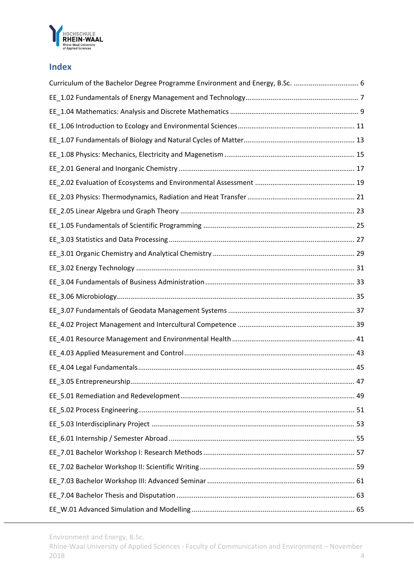

# **Index**

Environment and Energy, B.Sc.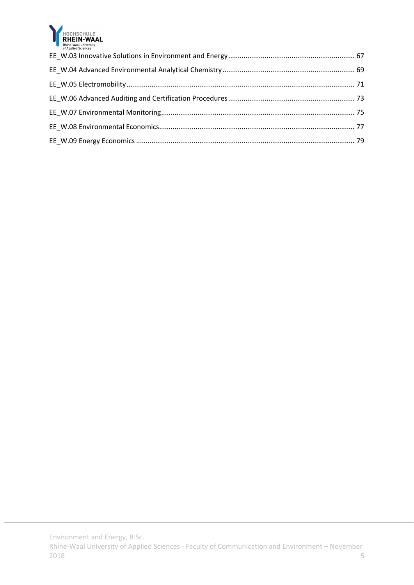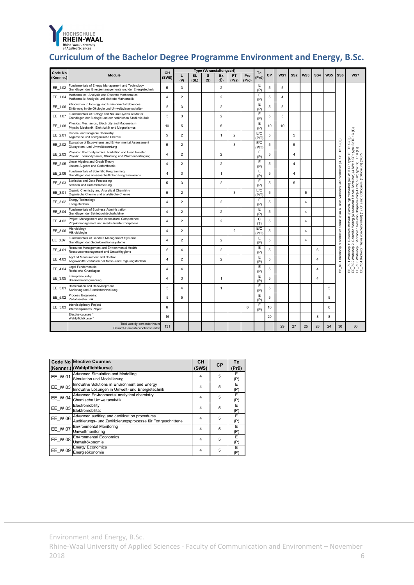

# **Curriculum of the Bachelor Degree Programme Environment and Energy, B.Sc.**

| Code No   |                                                                                                                     | Type (Veranstaltungsart)<br>CH |                |                   | Te       |                             |                |              |             |    |                 |                 |                |                 |     |                                                          |                                                                                                                                               |
|-----------|---------------------------------------------------------------------------------------------------------------------|--------------------------------|----------------|-------------------|----------|-----------------------------|----------------|--------------|-------------|----|-----------------|-----------------|----------------|-----------------|-----|----------------------------------------------------------|-----------------------------------------------------------------------------------------------------------------------------------------------|
| (Kennnr.) | Module                                                                                                              | (SWS)                          | L<br>$\omega$  | <b>SL</b><br>(SL) | s<br>(S) | Ex<br>$(\ddot{\mathsf{U}})$ | PT<br>(Pra)    | Pro<br>(Pro) | (Prü)       | CP | WS <sub>1</sub> | SS <sub>2</sub> | WS3            | SS <sub>4</sub> | WS5 | SS6                                                      | WS7                                                                                                                                           |
| EE 1.02   | Fundamentals of Energy Management and Technology<br>Grundlagen des Energiemanagements und der Energietechnik        | 5                              | 3              |                   |          | $\overline{\mathbf{c}}$     |                |              | Ε<br>(P)    | 5  | 5               |                 |                |                 |     |                                                          |                                                                                                                                               |
| EE 1.04   | Mathematics: Analysis and Discrete Mathematics<br>Mathematik: Analysis und diskrete Mathematik                      | $\overline{4}$                 | $\overline{2}$ |                   |          | $\overline{2}$              |                |              | E<br>(P)    | 5  | $\overline{4}$  |                 |                |                 |     |                                                          |                                                                                                                                               |
| EE 1.06   | Introduction to Ecology and Environmental Sciences<br>Einführung in die Ökologie und Umweltwissenschaften           | 5                              | 3              |                   |          | $\overline{2}$              |                |              | Ε<br>(P)    | 5  | 5               |                 |                |                 |     |                                                          |                                                                                                                                               |
| EE 1.07   | Fundamentals of Biology and Natural Cycles of Matter<br>Grundlagen der Biologie und der natürlichen Stoffkreisläufe | 5                              | 3              |                   |          | $\overline{\mathbf{c}}$     |                |              | Ε<br>(P)    | 5  | 5               |                 |                |                 |     |                                                          |                                                                                                                                               |
| EE 1.08   | Physics: Mechanics, Electricity and Magenetism<br>Physik: Mechanik, Elektrizität und Magnetismus                    | 10                             | 5              |                   |          | 5                           |                |              | E<br>(P)    | 10 | 10              |                 |                |                 |     |                                                          |                                                                                                                                               |
| EE 2.01   | General and Inorganic Chemistry<br>Allgemeine und anorganische Chemie                                               | 5                              | $\overline{2}$ |                   |          | $\mathbf{1}$                | $\overline{2}$ |              | E/C<br>(PT) | 5  |                 | 5               |                |                 |     |                                                          | $\widehat{C}$                                                                                                                                 |
| EE 2.02   | Evaluation of Ecosystems and Environmental Assessment<br>Ökosystem- und Umweltbewertung                             | 5                              | $\overline{2}$ |                   |          |                             | 3              |              | E/C<br>(P/T | 5  |                 | 5               |                |                 |     | CP; TE: C(T))                                            | C TË<br>S TË                                                                                                                                  |
| EE 2.03   | Physics: Thermodynamics, Radiation and Heat Transfer<br>Physik: Thermodynamik, Strahlung und Wärmeübertragung       | $\overline{4}$                 | $\overline{2}$ |                   |          | $\overline{2}$              |                |              | Ε<br>(P)    | 5  |                 | $\overline{4}$  |                |                 |     |                                                          | S; TË:<br>haftliches Schreiben) (4 SW; 5 CP; type:<br>eminar) (4 SW; 5 CP; type: S; TE: C (T))<br>and Colloquium (Kolloquium) (3 CP)<br>type: |
| EE 2.05   | Linear Algebra and Graph Theory<br>Lineare Algebra und Grafentheorie                                                | $\overline{4}$                 | $\overline{2}$ |                   |          | $\overline{2}$              |                |              | E<br>(P)    | 5  |                 | $\overline{4}$  |                |                 |     |                                                          | ġ                                                                                                                                             |
| EE 2.06   | Fundamentals of Scientific Programming<br>Grundlagen des wissenschaftlichen Programmierens                          | 4                              | 3              |                   |          | 1                           |                |              | E<br>(P)    | 5  |                 | $\overline{a}$  |                |                 |     | semester abroad (Praxis- oder Auslandstudiensemester (30 | S<br>ŠW;                                                                                                                                      |
| EE 3.03   | <b>Statistics and Data Processing</b><br>Statistik und Datenverarbeitung                                            | 5                              | 3              |                   |          | $\overline{2}$              |                |              | Ε<br>(P)    | 5  |                 | 5               |                |                 |     |                                                          |                                                                                                                                               |
| EE 3.01   | Organic Chemistry and Analytical Chemistry<br>Organische Chemie und analytische Chemie                              | 5                              | $\overline{2}$ |                   |          |                             | 3              |              | E/C<br>(P/T | 5  |                 |                 | 5              |                 |     |                                                          | (Forschungsmethoden) (4                                                                                                                       |
| EE 3.02   | Energy Technology<br>Energietechnik                                                                                 | $\overline{4}$                 | $\overline{2}$ |                   |          | $\overline{2}$              |                |              | Ε<br>(P)    | 5  |                 |                 | $\overline{4}$ |                 |     |                                                          |                                                                                                                                               |
| EE 3.04   | Fundamentals of Business Administration<br>Grundlagen der Betriebswirtschaftslehre                                  | $\overline{4}$                 | $\overline{2}$ |                   |          | $\overline{\mathbf{c}}$     |                |              | E<br>(P)    | 5  |                 |                 | $\overline{4}$ |                 |     |                                                          | (Wissenschaftliches                                                                                                                           |
| EE 4.02   | Project Management and Intercultural Competence<br>Projektmanagement und interkulturelle Kompetenz                  | $\overline{a}$                 | $\overline{2}$ |                   |          | $\overline{2}$              |                |              | C<br>(T)    | 5  |                 |                 | $\overline{a}$ |                 |     |                                                          | Seminar (Hauptseminar) (4<br>Methods<br>Writing (                                                                                             |
| EE 3.06   | Microbiology<br>Mikrobiologie                                                                                       | 4                              | $\overline{2}$ |                   |          |                             | $\overline{2}$ |              | E/C<br>(PT) | 5  |                 |                 | $\overline{4}$ |                 |     |                                                          | (Bachelorarbeit) (12 CP)<br>Research I<br>Advanced                                                                                            |
| EE 3.07   | Fundamentals of Geodata Management Systems<br>Grundlagen der Geoinformationssysteme                                 | $\overline{4}$                 | $\overline{2}$ |                   |          | $\overline{2}$              |                |              | Ε<br>(P)    | 5  |                 |                 | $\overline{4}$ |                 |     | $\overline{\sigma}$                                      | : Workshop 2: Scie<br>: Workshop 3: Adva<br>: Bachelor Thesis (<br>÷                                                                          |
| EE 4.01   | Resource Management and Environmental Health<br>Ressourcenmanagement und Umwelthygiene                              | 6                              | 4              |                   |          | $\overline{2}$              |                |              | E<br>(P)    | 5  |                 |                 |                | 6               |     |                                                          | Workshop                                                                                                                                      |
| EE 4.03   | Applied Measurement and Control<br>Angewandte Verfahren der Mess- und Regelungstechnik                              | $\overline{4}$                 | $\overline{2}$ |                   |          | $\overline{\mathbf{c}}$     |                |              | Ε<br>(P)    | 5  |                 |                 |                | $\overline{4}$  |     | 6.01 Internship                                          | 7.02<br>7.01                                                                                                                                  |
| EE 4.04   | Legal Fundamentals<br>Rechtliche Grundlagen                                                                         | $\overline{4}$                 | 4              |                   |          |                             |                |              | E<br>(P)    | 5  |                 |                 |                | $\overline{4}$  |     | 出                                                        | $\frac{7.03}{7.04}$<br>답군<br>ш<br>ш<br>ᄪᅖᇜᇜ                                                                                                   |
| EE 3.05   | Entrepreneurship<br>Unternehmensgründung                                                                            | $\Delta$                       | 3              |                   |          | $\mathbf{1}$                |                |              | Ε<br>(P)    | 5  |                 |                 |                | $\overline{4}$  |     |                                                          |                                                                                                                                               |
| EE 5.01   | Remediation and Redevelopment<br>Sanierung und Standortentwicklung                                                  | 5                              | 4              |                   |          | 1                           |                |              | Ε<br>(P)    | 5  |                 |                 |                |                 | 5   |                                                          |                                                                                                                                               |
| EE 5.02   | Process Engineering<br>Verfahrenstechnik                                                                            | 5                              | 5              |                   |          |                             |                |              | E<br>(P)    | 5  |                 |                 |                |                 | 5   |                                                          |                                                                                                                                               |
| EE 5.03   | Interdisciplinary Project<br>Interdisziplinäres Projekt                                                             | 6                              |                |                   |          |                             |                | 6            | Ε<br>(P)    | 10 |                 |                 |                |                 | 6   |                                                          |                                                                                                                                               |
|           | Elective courses<br>Wahlpflichtkurse <sup>1</sup>                                                                   | 16                             |                |                   |          |                             |                |              |             | 20 |                 |                 |                | 8               | 8   |                                                          |                                                                                                                                               |
|           | Total weekly semester hours<br>Gesamt-Semesterwochenstunden                                                         | 131                            |                |                   |          |                             |                |              |             |    | 29              | 27              | 25             | 26              | 24  | 30                                                       | 30                                                                                                                                            |

|                | <b>Code No Elective Courses</b>                                                                                  | <b>CH</b>      | <b>CP</b> | Te        |
|----------------|------------------------------------------------------------------------------------------------------------------|----------------|-----------|-----------|
|                | (Kennnr.) (Wahlpflichtkurse)                                                                                     | (SWS)          |           | (Prü)     |
| EE W.01        | Advanced Simulation and Modelling<br>Simulation und Modellierung                                                 | 4              | 5         | E.<br>(P) |
| EE_W.03        | Innovative Solutions in Environment and Energy<br>Innovative Lösungen in Umwelt- und Energietechnik              | 4              | 5         | E<br>(P)  |
| EE W.04        | Advanced Environmental analytical chemistry<br>Chemische Umweltanalytik                                          | 4              | 5         | E<br>(P)  |
| EE W.05        | Electromobility<br>Elektromobilität                                                                              | 4              | 5         | Ε<br>(P)  |
| EE W.06        | Advanced auditing and certification procedures<br>Auditierungs- und Zertifizierungsprozesse für Fortgeschrittene | 4              | 5         | E<br>(P)  |
| EE W.07        | <b>Environmental Monitoring</b><br>Umweltmonitoring                                                              | 4              | 5         | Е<br>(P)  |
| <b>EE W.08</b> | <b>Environmental Economics</b><br>Umweltökonomie                                                                 | 4              | 5         | E<br>(P)  |
| EE W.09        | <b>Energy Economics</b><br>Energieökonomie                                                                       | $\overline{4}$ | 5         | E<br>(P)  |

Environment and Energy, B.Sc.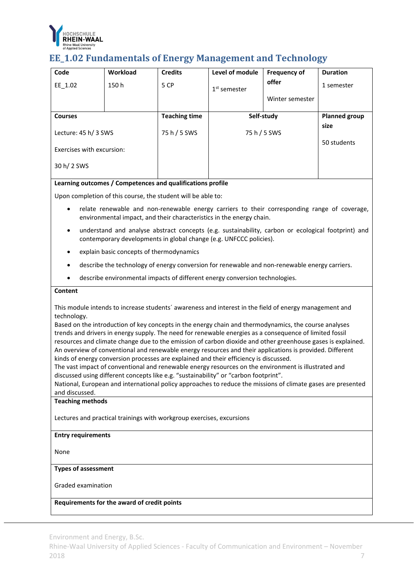

# **EE\_1.02 Fundamentals of Energy Management and Technology**

| Code                      | Workload | <b>Credits</b>       | Level of module | <b>Frequency of</b>  | <b>Duration</b> |
|---------------------------|----------|----------------------|-----------------|----------------------|-----------------|
| EE 1.02                   | 150h     | 5 CP                 | $1st$ semester  | offer                | 1 semester      |
|                           |          |                      |                 | Winter semester      |                 |
| <b>Courses</b>            |          | <b>Teaching time</b> | Self-study      | <b>Planned group</b> |                 |
| Lecture: 45 h/ 3 SWS      |          | 75 h / 5 SWS         | 75 h / 5 SWS    | size                 |                 |
| Exercises with excursion: |          |                      |                 |                      | 50 students     |
| 30 h/ 2 SWS               |          |                      |                 |                      |                 |

### **Learning outcomes / Competences and qualifications profile**

Upon completion of this course, the student will be able to:

- relate renewable and non-renewable energy carriers to their corresponding range of coverage, environmental impact, and their characteristics in the energy chain.
- understand and analyse abstract concepts (e.g. sustainability, carbon or ecological footprint) and contemporary developments in global change (e.g. UNFCCC policies).
- explain basic concepts of thermodynamics
- describe the technology of energy conversion for renewable and non-renewable energy carriers.
- describe environmental impacts of different energy conversion technologies.

#### **Content**

This module intends to increase students´ awareness and interest in the field of energy management and technology.

Based on the introduction of key concepts in the energy chain and thermodynamics, the course analyses trends and drivers in energy supply. The need for renewable energies as a consequence of limited fossil resources and climate change due to the emission of carbon dioxide and other greenhouse gases is explained. An overview of conventional and renewable energy resources and their applications is provided. Different kinds of energy conversion processes are explained and their efficiency is discussed.

The vast impact of conventional and renewable energy resources on the environment is illustrated and discussed using different concepts like e.g. "sustainability" or "carbon footprint".

National, European and international policy approaches to reduce the missions of climate gases are presented and discussed.

#### **Teaching methods**

Lectures and practical trainings with workgroup exercises, excursions

#### **Entry requirements**

None

#### **Types of assessment**

Graded examination

#### **Requirements for the award of credit points**

Environment and Energy, B.Sc.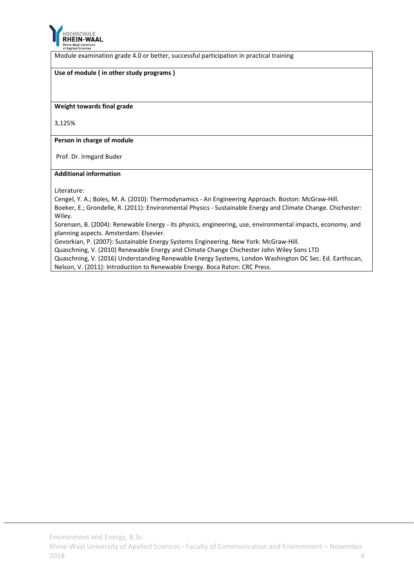

Module examination grade 4.0 or better, successful participation in practical training

# **Use of module ( in other study programs )**

**Weight towards final grade**

3,125%

**Person in charge of module**

Prof. Dr. Irmgard Buder

#### **Additional information**

Literature:

Cengel, Y. A.; Boles, M. A. (2010): Thermodynamics ‐ An Engineering Approach. Boston: McGraw‐Hill. Boeker, E.; Grondelle, R. (2011): Environmental Physics ‐ Sustainable Energy and Climate Change. Chichester: Wiley.

Sorensen, B. (2004): Renewable Energy ‐ its physics, engineering, use, environmental impacts, economy, and planning aspects. Amsterdam: Elsevier.

Gevorkian, P. (2007): Sustainable Energy Systems Engineering. New York: McGraw‐Hill.

Quaschning, V. (2010) Renewable Energy and Climate Change Chichester John Wiley Sons LTD

Quaschning, V. (2016) Understanding Renewable Energy Systems, London Washington DC Sec. Ed. Earthscan, Nelson, V. (2011): Introduction to Renewable Energy. Boca Raton: CRC Press.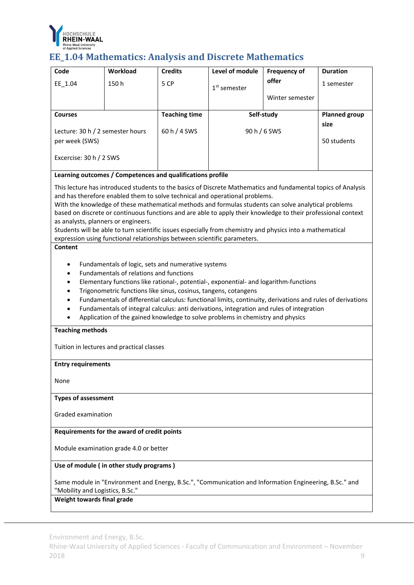

# **EE\_1.04** Mathematics: Analysis and Discrete Mathematics

| Code                                                                                                                                                                                                                                                                                                                                                                                                                                                                                                                                                                                                                                                                                                                                                                                                                                                                                                                                                                                                                                                                                                                                                                                                                                                                                                                                                                    | Workload                                    | <b>Credits</b>       | Level of module                                                                                        | <b>Frequency of</b> | <b>Duration</b>              |  |  |  |
|-------------------------------------------------------------------------------------------------------------------------------------------------------------------------------------------------------------------------------------------------------------------------------------------------------------------------------------------------------------------------------------------------------------------------------------------------------------------------------------------------------------------------------------------------------------------------------------------------------------------------------------------------------------------------------------------------------------------------------------------------------------------------------------------------------------------------------------------------------------------------------------------------------------------------------------------------------------------------------------------------------------------------------------------------------------------------------------------------------------------------------------------------------------------------------------------------------------------------------------------------------------------------------------------------------------------------------------------------------------------------|---------------------------------------------|----------------------|--------------------------------------------------------------------------------------------------------|---------------------|------------------------------|--|--|--|
| $EE_1.04$                                                                                                                                                                                                                                                                                                                                                                                                                                                                                                                                                                                                                                                                                                                                                                                                                                                                                                                                                                                                                                                                                                                                                                                                                                                                                                                                                               | 150h                                        | 5 CP                 | $1st$ semester                                                                                         | offer               | 1 semester                   |  |  |  |
|                                                                                                                                                                                                                                                                                                                                                                                                                                                                                                                                                                                                                                                                                                                                                                                                                                                                                                                                                                                                                                                                                                                                                                                                                                                                                                                                                                         |                                             |                      |                                                                                                        | Winter semester     |                              |  |  |  |
|                                                                                                                                                                                                                                                                                                                                                                                                                                                                                                                                                                                                                                                                                                                                                                                                                                                                                                                                                                                                                                                                                                                                                                                                                                                                                                                                                                         |                                             |                      |                                                                                                        |                     |                              |  |  |  |
| <b>Courses</b>                                                                                                                                                                                                                                                                                                                                                                                                                                                                                                                                                                                                                                                                                                                                                                                                                                                                                                                                                                                                                                                                                                                                                                                                                                                                                                                                                          |                                             | <b>Teaching time</b> |                                                                                                        | Self-study          | <b>Planned group</b><br>size |  |  |  |
| Lecture: 30 h / 2 semester hours                                                                                                                                                                                                                                                                                                                                                                                                                                                                                                                                                                                                                                                                                                                                                                                                                                                                                                                                                                                                                                                                                                                                                                                                                                                                                                                                        |                                             | 60 h / 4 SWS         |                                                                                                        | 90 h / 6 SWS        |                              |  |  |  |
| per week (SWS)                                                                                                                                                                                                                                                                                                                                                                                                                                                                                                                                                                                                                                                                                                                                                                                                                                                                                                                                                                                                                                                                                                                                                                                                                                                                                                                                                          |                                             |                      |                                                                                                        |                     | 50 students                  |  |  |  |
| Excercise: 30 h / 2 SWS                                                                                                                                                                                                                                                                                                                                                                                                                                                                                                                                                                                                                                                                                                                                                                                                                                                                                                                                                                                                                                                                                                                                                                                                                                                                                                                                                 |                                             |                      |                                                                                                        |                     |                              |  |  |  |
|                                                                                                                                                                                                                                                                                                                                                                                                                                                                                                                                                                                                                                                                                                                                                                                                                                                                                                                                                                                                                                                                                                                                                                                                                                                                                                                                                                         |                                             |                      |                                                                                                        |                     |                              |  |  |  |
| Learning outcomes / Competences and qualifications profile<br>This lecture has introduced students to the basics of Discrete Mathematics and fundamental topics of Analysis<br>and has therefore enabled them to solve technical and operational problems.<br>With the knowledge of these mathematical methods and formulas students can solve analytical problems<br>based on discrete or continuous functions and are able to apply their knowledge to their professional context<br>as analysts, planners or engineers.<br>Students will be able to turn scientific issues especially from chemistry and physics into a mathematical<br>expression using functional relationships between scientific parameters.<br>Content<br>Fundamentals of logic, sets and numerative systems<br>$\bullet$<br>Fundamentals of relations and functions<br>Elementary functions like rational-, potential-, exponential- and logarithm-functions<br>$\bullet$<br>Trigonometric functions like sinus, cosinus, tangens, cotangens<br>$\bullet$<br>Fundamentals of differential calculus: functional limits, continuity, derivations and rules of derivations<br>$\bullet$<br>Fundamentals of integral calculus: anti derivations, integration and rules of integration<br>Application of the gained knowledge to solve problems in chemistry and physics<br><b>Teaching methods</b> |                                             |                      |                                                                                                        |                     |                              |  |  |  |
| <b>Entry requirements</b>                                                                                                                                                                                                                                                                                                                                                                                                                                                                                                                                                                                                                                                                                                                                                                                                                                                                                                                                                                                                                                                                                                                                                                                                                                                                                                                                               |                                             |                      |                                                                                                        |                     |                              |  |  |  |
|                                                                                                                                                                                                                                                                                                                                                                                                                                                                                                                                                                                                                                                                                                                                                                                                                                                                                                                                                                                                                                                                                                                                                                                                                                                                                                                                                                         |                                             |                      |                                                                                                        |                     |                              |  |  |  |
| None                                                                                                                                                                                                                                                                                                                                                                                                                                                                                                                                                                                                                                                                                                                                                                                                                                                                                                                                                                                                                                                                                                                                                                                                                                                                                                                                                                    |                                             |                      |                                                                                                        |                     |                              |  |  |  |
| <b>Types of assessment</b>                                                                                                                                                                                                                                                                                                                                                                                                                                                                                                                                                                                                                                                                                                                                                                                                                                                                                                                                                                                                                                                                                                                                                                                                                                                                                                                                              |                                             |                      |                                                                                                        |                     |                              |  |  |  |
| Graded examination                                                                                                                                                                                                                                                                                                                                                                                                                                                                                                                                                                                                                                                                                                                                                                                                                                                                                                                                                                                                                                                                                                                                                                                                                                                                                                                                                      |                                             |                      |                                                                                                        |                     |                              |  |  |  |
|                                                                                                                                                                                                                                                                                                                                                                                                                                                                                                                                                                                                                                                                                                                                                                                                                                                                                                                                                                                                                                                                                                                                                                                                                                                                                                                                                                         | Requirements for the award of credit points |                      |                                                                                                        |                     |                              |  |  |  |
| Module examination grade 4.0 or better                                                                                                                                                                                                                                                                                                                                                                                                                                                                                                                                                                                                                                                                                                                                                                                                                                                                                                                                                                                                                                                                                                                                                                                                                                                                                                                                  |                                             |                      |                                                                                                        |                     |                              |  |  |  |
| Use of module (in other study programs)                                                                                                                                                                                                                                                                                                                                                                                                                                                                                                                                                                                                                                                                                                                                                                                                                                                                                                                                                                                                                                                                                                                                                                                                                                                                                                                                 |                                             |                      |                                                                                                        |                     |                              |  |  |  |
| "Mobility and Logistics, B.Sc."<br>Weight towards final grade                                                                                                                                                                                                                                                                                                                                                                                                                                                                                                                                                                                                                                                                                                                                                                                                                                                                                                                                                                                                                                                                                                                                                                                                                                                                                                           |                                             |                      | Same module in "Environment and Energy, B.Sc.", "Communication and Information Engineering, B.Sc." and |                     |                              |  |  |  |
|                                                                                                                                                                                                                                                                                                                                                                                                                                                                                                                                                                                                                                                                                                                                                                                                                                                                                                                                                                                                                                                                                                                                                                                                                                                                                                                                                                         |                                             |                      |                                                                                                        |                     |                              |  |  |  |

Environment and Energy, B.Sc.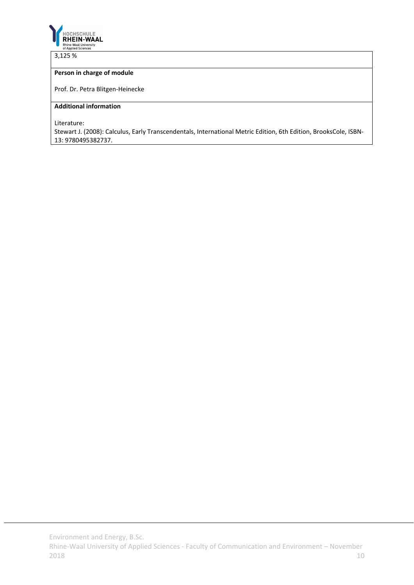

3,125 %

# **Person in charge of module**

Prof. Dr. Petra Blitgen‐Heinecke

### **Additional information**

Literature:

Stewart J. (2008): Calculus, Early Transcendentals, International Metric Edition, 6th Edition, BrooksCole, ISBN‐ 13: 9780495382737.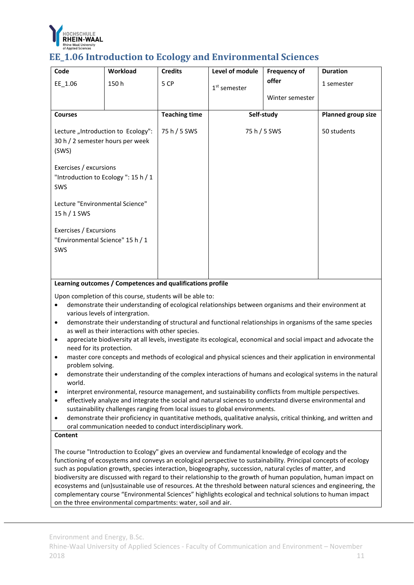

# **EE\_1.06 Introduction to Ecology and Environmental Sciences**

| Workload                                                                                                  | <b>Credits</b>                                                                                    | Level of module | <b>Frequency of</b> | <b>Duration</b>            |
|-----------------------------------------------------------------------------------------------------------|---------------------------------------------------------------------------------------------------|-----------------|---------------------|----------------------------|
| 150h                                                                                                      | 5 CP                                                                                              | $1st$ semester  | offer               | 1 semester                 |
|                                                                                                           |                                                                                                   |                 | Winter semester     |                            |
|                                                                                                           | <b>Teaching time</b>                                                                              |                 |                     | <b>Planned group size</b>  |
| Lecture "Introduction to Ecology":<br>30 h / 2 semester hours per week<br>(SWS)<br>Exercises / excursions |                                                                                                   |                 |                     | 50 students                |
|                                                                                                           |                                                                                                   |                 |                     |                            |
| Lecture "Environmental Science"<br>15 h / 1 SWS                                                           |                                                                                                   |                 |                     |                            |
|                                                                                                           |                                                                                                   |                 |                     |                            |
|                                                                                                           | "Introduction to Ecology": 15 h / 1<br>Exercises / Excursions<br>"Environmental Science" 15 h / 1 | 75 h / 5 SWS    |                     | Self-study<br>75 h / 5 SWS |

### **Learning outcomes / Competences and qualifications profile**

Upon completion of this course, students will be able to:

- demonstrate their understanding of ecological relationships between organisms and their environment at various levels of intergration.
- demonstrate their understanding of structural and functional relationships in organisms of the same species as well as their interactions with other species.
- appreciate biodiversity at all levels, investigate its ecological, economical and social impact and advocate the need for its protection.
- master core concepts and methods of ecological and physical sciences and their application in environmental problem solving.
- demonstrate their understanding of the complex interactions of humans and ecological systems in the natural world.
- interpret environmental, resource management, and sustainability conflicts from multiple perspectives.
- effectively analyze and integrate the social and natural sciences to understand diverse environmental and sustainability challenges ranging from local issues to global environments.
- demonstrate their proficiency in quantitative methods, qualitative analysis, critical thinking, and written and oral communication needed to conduct interdisciplinary work.

#### **Content**

The course "Introduction to Ecology" gives an overview and fundamental knowledge of ecology and the functioning of ecosystems and conveys an ecological perspective to sustainability. Principal concepts of ecology such as population growth, species interaction, biogeography, succession, natural cycles of matter, and biodiversity are discussed with regard to their relationship to the growth of human population, human impact on ecosystems and (un)sustainable use of resources. At the threshold between natural sciences and engineering, the complementary course "Environmental Sciences" highlights ecological and technical solutions to human impact on the three environmental compartments: water, soil and air.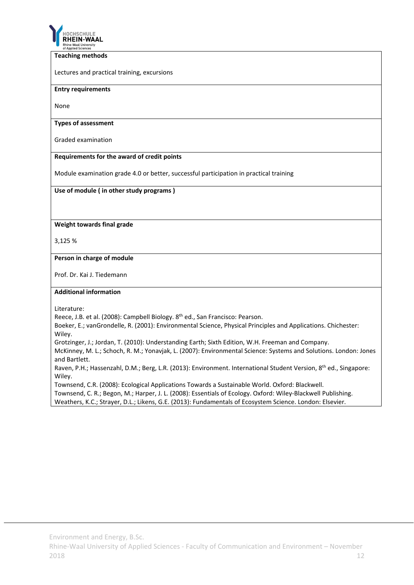

#### **Teaching methods**

Lectures and practical training, excursions

#### **Entry requirements**

None

#### **Types of assessment**

Graded examination

# **Requirements for the award of credit points**

Module examination grade 4.0 or better, successful participation in practical training

### **Use of module ( in other study programs )**

### **Weight towards final grade**

3,125 %

#### **Person in charge of module**

Prof. Dr. Kai J. Tiedemann

#### **Additional information**

Literature:

Reece, J.B. et al. (2008): Campbell Biology. 8th ed., San Francisco: Pearson.

Boeker, E.; vanGrondelle, R. (2001): Environmental Science, Physical Principles and Applications. Chichester: Wiley.

Grotzinger, J.; Jordan, T. (2010): Understanding Earth; Sixth Edition, W.H. Freeman and Company.

McKinney, M. L.; Schoch, R. M.; Yonavjak, L. (2007): Environmental Science: Systems and Solutions. London: Jones and Bartlett.

Raven, P.H.; Hassenzahl, D.M.; Berg, L.R. (2013): Environment. International Student Version, 8<sup>th</sup> ed., Singapore: Wiley.

Townsend, C.R. (2008): Ecological Applications Towards a Sustainable World. Oxford: Blackwell.

Townsend, C. R.; Begon, M.; Harper, J. L. (2008): Essentials of Ecology. Oxford: Wiley‐Blackwell Publishing.

Weathers, K.C.; Strayer, D.L.; Likens, G.E. (2013): Fundamentals of Ecosystem Science. London: Elsevier.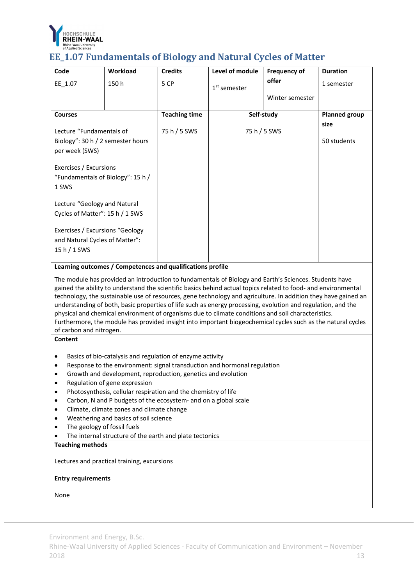

# **EE\_1.07 Fundamentals of Biology and Natural Cycles of Matter**

| Code                              | Workload                                                        | <b>Credits</b>       | Level of module                                                          | <b>Frequency of</b>                                                                                                                                                                                                                                                                                                                                                                                                                                                                                                                                                                                                                                                              | <b>Duration</b>      |  |  |  |  |
|-----------------------------------|-----------------------------------------------------------------|----------------------|--------------------------------------------------------------------------|----------------------------------------------------------------------------------------------------------------------------------------------------------------------------------------------------------------------------------------------------------------------------------------------------------------------------------------------------------------------------------------------------------------------------------------------------------------------------------------------------------------------------------------------------------------------------------------------------------------------------------------------------------------------------------|----------------------|--|--|--|--|
| EE_1.07                           | 150h                                                            | 5 CP                 |                                                                          | offer                                                                                                                                                                                                                                                                                                                                                                                                                                                                                                                                                                                                                                                                            | 1 semester           |  |  |  |  |
|                                   |                                                                 |                      | $1st$ semester                                                           |                                                                                                                                                                                                                                                                                                                                                                                                                                                                                                                                                                                                                                                                                  |                      |  |  |  |  |
|                                   |                                                                 |                      |                                                                          | Winter semester                                                                                                                                                                                                                                                                                                                                                                                                                                                                                                                                                                                                                                                                  |                      |  |  |  |  |
| <b>Courses</b>                    |                                                                 | <b>Teaching time</b> |                                                                          | Self-study                                                                                                                                                                                                                                                                                                                                                                                                                                                                                                                                                                                                                                                                       | <b>Planned group</b> |  |  |  |  |
|                                   |                                                                 |                      |                                                                          |                                                                                                                                                                                                                                                                                                                                                                                                                                                                                                                                                                                                                                                                                  | size                 |  |  |  |  |
| Lecture "Fundamentals of          |                                                                 | 75 h / 5 SWS         |                                                                          | 75 h / 5 SWS                                                                                                                                                                                                                                                                                                                                                                                                                                                                                                                                                                                                                                                                     |                      |  |  |  |  |
| Biology": 30 h / 2 semester hours |                                                                 |                      |                                                                          |                                                                                                                                                                                                                                                                                                                                                                                                                                                                                                                                                                                                                                                                                  | 50 students          |  |  |  |  |
| per week (SWS)                    |                                                                 |                      |                                                                          |                                                                                                                                                                                                                                                                                                                                                                                                                                                                                                                                                                                                                                                                                  |                      |  |  |  |  |
| Exercises / Excursions            |                                                                 |                      |                                                                          |                                                                                                                                                                                                                                                                                                                                                                                                                                                                                                                                                                                                                                                                                  |                      |  |  |  |  |
| "Fundamentals of Biology": 15 h / |                                                                 |                      |                                                                          |                                                                                                                                                                                                                                                                                                                                                                                                                                                                                                                                                                                                                                                                                  |                      |  |  |  |  |
| 1 SWS                             |                                                                 |                      |                                                                          |                                                                                                                                                                                                                                                                                                                                                                                                                                                                                                                                                                                                                                                                                  |                      |  |  |  |  |
|                                   |                                                                 |                      |                                                                          |                                                                                                                                                                                                                                                                                                                                                                                                                                                                                                                                                                                                                                                                                  |                      |  |  |  |  |
| Lecture "Geology and Natural      |                                                                 |                      |                                                                          |                                                                                                                                                                                                                                                                                                                                                                                                                                                                                                                                                                                                                                                                                  |                      |  |  |  |  |
| Cycles of Matter": 15 h / 1 SWS   |                                                                 |                      |                                                                          |                                                                                                                                                                                                                                                                                                                                                                                                                                                                                                                                                                                                                                                                                  |                      |  |  |  |  |
|                                   |                                                                 |                      |                                                                          |                                                                                                                                                                                                                                                                                                                                                                                                                                                                                                                                                                                                                                                                                  |                      |  |  |  |  |
| Exercises / Excursions "Geology   |                                                                 |                      |                                                                          |                                                                                                                                                                                                                                                                                                                                                                                                                                                                                                                                                                                                                                                                                  |                      |  |  |  |  |
| and Natural Cycles of Matter":    |                                                                 |                      |                                                                          |                                                                                                                                                                                                                                                                                                                                                                                                                                                                                                                                                                                                                                                                                  |                      |  |  |  |  |
| 15 h / 1 SWS                      |                                                                 |                      |                                                                          |                                                                                                                                                                                                                                                                                                                                                                                                                                                                                                                                                                                                                                                                                  |                      |  |  |  |  |
|                                   | Learning outcomes / Competences and qualifications profile      |                      |                                                                          |                                                                                                                                                                                                                                                                                                                                                                                                                                                                                                                                                                                                                                                                                  |                      |  |  |  |  |
| of carbon and nitrogen.           |                                                                 |                      |                                                                          | The module has provided an introduction to fundamentals of Biology and Earth's Sciences. Students have<br>gained the ability to understand the scientific basics behind actual topics related to food- and environmental<br>technology, the sustainable use of resources, gene technology and agriculture. In addition they have gained an<br>understanding of both, basic properties of life such as energy processing, evolution and regulation, and the<br>physical and chemical environment of organisms due to climate conditions and soil characteristics.<br>Furthermore, the module has provided insight into important biogeochemical cycles such as the natural cycles |                      |  |  |  |  |
| <b>Content</b>                    |                                                                 |                      |                                                                          |                                                                                                                                                                                                                                                                                                                                                                                                                                                                                                                                                                                                                                                                                  |                      |  |  |  |  |
|                                   |                                                                 |                      |                                                                          |                                                                                                                                                                                                                                                                                                                                                                                                                                                                                                                                                                                                                                                                                  |                      |  |  |  |  |
| ٠                                 | Basics of bio-catalysis and regulation of enzyme activity       |                      | Response to the environment: signal transduction and hormonal regulation |                                                                                                                                                                                                                                                                                                                                                                                                                                                                                                                                                                                                                                                                                  |                      |  |  |  |  |
| $\bullet$                         | Growth and development, reproduction, genetics and evolution    |                      |                                                                          |                                                                                                                                                                                                                                                                                                                                                                                                                                                                                                                                                                                                                                                                                  |                      |  |  |  |  |
| $\bullet$                         | Regulation of gene expression                                   |                      |                                                                          |                                                                                                                                                                                                                                                                                                                                                                                                                                                                                                                                                                                                                                                                                  |                      |  |  |  |  |
| $\bullet$                         | Photosynthesis, cellular respiration and the chemistry of life  |                      |                                                                          |                                                                                                                                                                                                                                                                                                                                                                                                                                                                                                                                                                                                                                                                                  |                      |  |  |  |  |
| ٠                                 | Carbon, N and P budgets of the ecosystem- and on a global scale |                      |                                                                          |                                                                                                                                                                                                                                                                                                                                                                                                                                                                                                                                                                                                                                                                                  |                      |  |  |  |  |
| $\bullet$                         | Climate, climate zones and climate change                       |                      |                                                                          |                                                                                                                                                                                                                                                                                                                                                                                                                                                                                                                                                                                                                                                                                  |                      |  |  |  |  |
| $\bullet$                         | Weathering and basics of soil science                           |                      |                                                                          |                                                                                                                                                                                                                                                                                                                                                                                                                                                                                                                                                                                                                                                                                  |                      |  |  |  |  |
| $\bullet$                         | The geology of fossil fuels                                     |                      |                                                                          |                                                                                                                                                                                                                                                                                                                                                                                                                                                                                                                                                                                                                                                                                  |                      |  |  |  |  |
|                                   | The internal structure of the earth and plate tectonics         |                      |                                                                          |                                                                                                                                                                                                                                                                                                                                                                                                                                                                                                                                                                                                                                                                                  |                      |  |  |  |  |
|                                   | <b>Teaching methods</b>                                         |                      |                                                                          |                                                                                                                                                                                                                                                                                                                                                                                                                                                                                                                                                                                                                                                                                  |                      |  |  |  |  |
|                                   | Lectures and practical training, excursions                     |                      |                                                                          |                                                                                                                                                                                                                                                                                                                                                                                                                                                                                                                                                                                                                                                                                  |                      |  |  |  |  |
|                                   | <b>Entry requirements</b>                                       |                      |                                                                          |                                                                                                                                                                                                                                                                                                                                                                                                                                                                                                                                                                                                                                                                                  |                      |  |  |  |  |

None

Environment and Energy, B.Sc.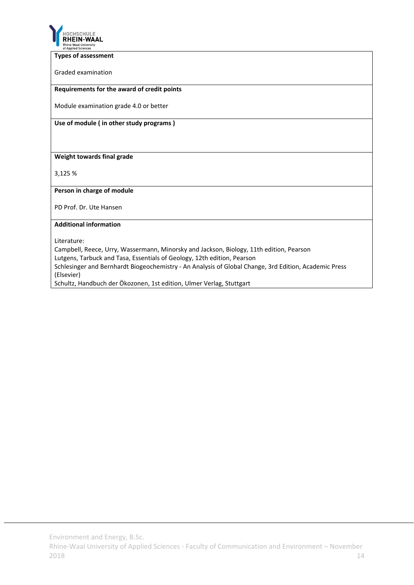

#### **Types of assessment**

Graded examination

#### **Requirements for the award of credit points**

Module examination grade 4.0 or better

**Use of module ( in other study programs )**

# **Weight towards final grade**

3,125 %

#### **Person in charge of module**

PD Prof. Dr. Ute Hansen

# **Additional information**

Literature:

Campbell, Reece, Urry, Wassermann, Minorsky and Jackson, Biology, 11th edition, Pearson

Lutgens, Tarbuck and Tasa, Essentials of Geology, 12th edition, Pearson

Schlesinger and Bernhardt Biogeochemistry ‐ An Analysis of Global Change, 3rd Edition, Academic Press (Elsevier)

Schultz, Handbuch der Ökozonen, 1st edition, Ulmer Verlag, Stuttgart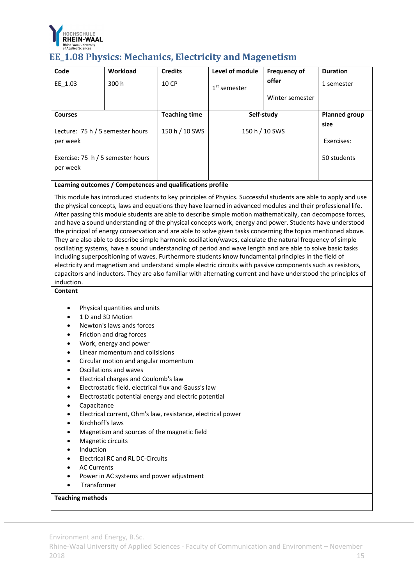

# **EE\_1.08** Physics: Mechanics, Electricity and Magenetism

| Code                                          | <b>Workload</b> | <b>Credits</b>       | Level of module | <b>Frequency of</b> | <b>Duration</b>      |
|-----------------------------------------------|-----------------|----------------------|-----------------|---------------------|----------------------|
| EE 1.03                                       | 300 h           | 10 CP                | $1st$ semester  | offer               | 1 semester           |
|                                               |                 |                      |                 | Winter semester     |                      |
| <b>Courses</b>                                |                 | <b>Teaching time</b> | Self-study      |                     | <b>Planned group</b> |
| Lecture: 75 h / 5 semester hours              |                 | 150 h / 10 SWS       | 150 h / 10 SWS  | size                |                      |
| per week                                      |                 |                      |                 |                     | Exercises:           |
| Exercise: 75 h / 5 semester hours<br>per week |                 |                      |                 |                     | 50 students          |

# **Learning outcomes / Competences and qualifications profile**

This module has introduced students to key principles of Physics. Successful students are able to apply and use the physical concepts, laws and equations they have learned in advanced modules and their professional life. After passing this module students are able to describe simple motion mathematically, can decompose forces, and have a sound understanding of the physical concepts work, energy and power. Students have understood the principal of energy conservation and are able to solve given tasks concerning the topics mentioned above. They are also able to describe simple harmonic oscillation/waves, calculate the natural frequency of simple oscillating systems, have a sound understanding of period and wave length and are able to solve basic tasks including superpositioning of waves. Furthermore students know fundamental principles in the field of electricity and magnetism and understand simple electric circuits with passive components such as resistors, capacitors and inductors. They are also familiar with alternating current and have understood the principles of induction.

## **Content**

- Physical quantities and units
- 1 D and 3D Motion
- Newton's laws ands forces
- Friction and drag forces
- Work, energy and power
- Linear momentum and collsisions
- Circular motion and angular momentum
- Oscillations and waves
- Electrical charges and Coulomb's law
- Electrostatic field, electrical flux and Gauss's law
- Electrostatic potential energy and electric potential
- Capacitance
- Electrical current, Ohm's law, resistance, electrical power
- Kirchhoff's laws
- Magnetism and sources of the magnetic field
- Magnetic circuits
- Induction
- Electrical RC and RL DC‐Circuits
- AC Currents
- Power in AC systems and power adjustment
- Transformer

# **Teaching methods**

Environment and Energy, B.Sc.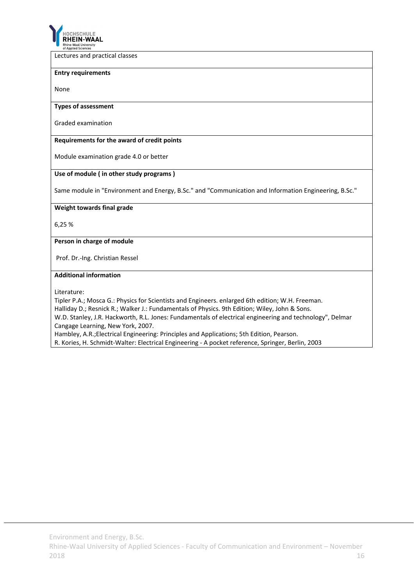

Lectures and practical classes

#### **Entry requirements**

None

#### **Types of assessment**

Graded examination

#### **Requirements for the award of credit points**

Module examination grade 4.0 or better

#### **Use of module ( in other study programs )**

Same module in "Environment and Energy, B.Sc." and "Communication and Information Engineering, B.Sc."

#### **Weight towards final grade**

6,25 %

#### **Person in charge of module**

Prof. Dr.‐Ing. Christian Ressel

#### **Additional information**

Literature:

Tipler P.A.; Mosca G.: Physics for Scientists and Engineers. enlarged 6th edition; W.H. Freeman.

Halliday D.; Resnick R.; Walker J.: Fundamentals of Physics. 9th Edition; Wiley, John & Sons.

W.D. Stanley, J.R. Hackworth, R.L. Jones: Fundamentals of electrical engineering and technology", Delmar Cangage Learning, New York, 2007.

Hambley, A.R.;Electrical Engineering: Principles and Applications; 5th Edition, Pearson.

R. Kories, H. Schmidt‐Walter: Electrical Engineering ‐ A pocket reference, Springer, Berlin, 2003

Environment and Energy, B.Sc.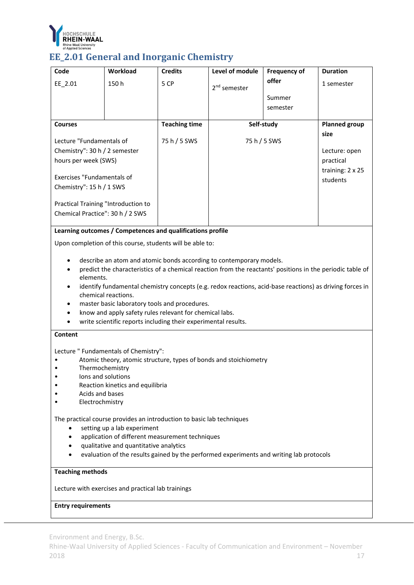

# **EE\_2.01 General and Inorganic Chemistry**

| Code                                               | Workload                                                                                | <b>Credits</b>       | Level of module                                                                                           | <b>Frequency of</b> | <b>Duration</b>      |  |  |  |  |
|----------------------------------------------------|-----------------------------------------------------------------------------------------|----------------------|-----------------------------------------------------------------------------------------------------------|---------------------|----------------------|--|--|--|--|
| EE 2.01                                            | 150h                                                                                    | 5 CP                 | 2 <sup>nd</sup> semester                                                                                  | offer               | 1 semester           |  |  |  |  |
|                                                    |                                                                                         |                      |                                                                                                           | Summer              |                      |  |  |  |  |
|                                                    |                                                                                         |                      |                                                                                                           | semester            |                      |  |  |  |  |
|                                                    |                                                                                         |                      |                                                                                                           |                     |                      |  |  |  |  |
| <b>Courses</b>                                     |                                                                                         | <b>Teaching time</b> |                                                                                                           | Self-study          | <b>Planned group</b> |  |  |  |  |
| Lecture "Fundamentals of                           |                                                                                         | 75 h / 5 SWS         |                                                                                                           | 75 h / 5 SWS        | size                 |  |  |  |  |
| Chemistry": 30 h / 2 semester                      |                                                                                         |                      |                                                                                                           |                     | Lecture: open        |  |  |  |  |
| hours per week (SWS)                               |                                                                                         |                      |                                                                                                           |                     | practical            |  |  |  |  |
| <b>Exercises "Fundamentals of</b>                  |                                                                                         |                      |                                                                                                           |                     | training: 2 x 25     |  |  |  |  |
| Chemistry": 15 h / 1 SWS                           |                                                                                         |                      |                                                                                                           |                     | students             |  |  |  |  |
|                                                    |                                                                                         |                      |                                                                                                           |                     |                      |  |  |  |  |
| Practical Training "Introduction to                |                                                                                         |                      |                                                                                                           |                     |                      |  |  |  |  |
| Chemical Practice": 30 h / 2 SWS                   |                                                                                         |                      |                                                                                                           |                     |                      |  |  |  |  |
|                                                    | Learning outcomes / Competences and qualifications profile                              |                      |                                                                                                           |                     |                      |  |  |  |  |
|                                                    |                                                                                         |                      |                                                                                                           |                     |                      |  |  |  |  |
|                                                    | Upon completion of this course, students will be able to:                               |                      |                                                                                                           |                     |                      |  |  |  |  |
|                                                    |                                                                                         |                      | describe an atom and atomic bonds according to contemporary models.                                       |                     |                      |  |  |  |  |
|                                                    |                                                                                         |                      | predict the characteristics of a chemical reaction from the reactants' positions in the periodic table of |                     |                      |  |  |  |  |
| elements.                                          |                                                                                         |                      |                                                                                                           |                     |                      |  |  |  |  |
|                                                    | chemical reactions.                                                                     |                      | identify fundamental chemistry concepts (e.g. redox reactions, acid-base reactions) as driving forces in  |                     |                      |  |  |  |  |
|                                                    | master basic laboratory tools and procedures.                                           |                      |                                                                                                           |                     |                      |  |  |  |  |
|                                                    | know and apply safety rules relevant for chemical labs.                                 |                      |                                                                                                           |                     |                      |  |  |  |  |
|                                                    | write scientific reports including their experimental results.                          |                      |                                                                                                           |                     |                      |  |  |  |  |
| <b>Content</b>                                     |                                                                                         |                      |                                                                                                           |                     |                      |  |  |  |  |
|                                                    |                                                                                         |                      |                                                                                                           |                     |                      |  |  |  |  |
|                                                    | Lecture " Fundamentals of Chemistry":                                                   |                      | Atomic theory, atomic structure, types of bonds and stoichiometry                                         |                     |                      |  |  |  |  |
| ٠                                                  | Thermochemistry                                                                         |                      |                                                                                                           |                     |                      |  |  |  |  |
|                                                    | lons and solutions                                                                      |                      |                                                                                                           |                     |                      |  |  |  |  |
|                                                    | Reaction kinetics and equilibria                                                        |                      |                                                                                                           |                     |                      |  |  |  |  |
| Acids and bases                                    |                                                                                         |                      |                                                                                                           |                     |                      |  |  |  |  |
| Electrochmistry                                    |                                                                                         |                      |                                                                                                           |                     |                      |  |  |  |  |
|                                                    | The practical course provides an introduction to basic lab techniques                   |                      |                                                                                                           |                     |                      |  |  |  |  |
|                                                    | setting up a lab experiment                                                             |                      |                                                                                                           |                     |                      |  |  |  |  |
|                                                    | application of different measurement techniques                                         |                      |                                                                                                           |                     |                      |  |  |  |  |
|                                                    | qualitative and quantitative analytics                                                  |                      |                                                                                                           |                     |                      |  |  |  |  |
|                                                    | evaluation of the results gained by the performed experiments and writing lab protocols |                      |                                                                                                           |                     |                      |  |  |  |  |
| <b>Teaching methods</b>                            |                                                                                         |                      |                                                                                                           |                     |                      |  |  |  |  |
|                                                    |                                                                                         |                      |                                                                                                           |                     |                      |  |  |  |  |
| Lecture with exercises and practical lab trainings |                                                                                         |                      |                                                                                                           |                     |                      |  |  |  |  |

# **Entry requirements**

Environment and Energy, B.Sc.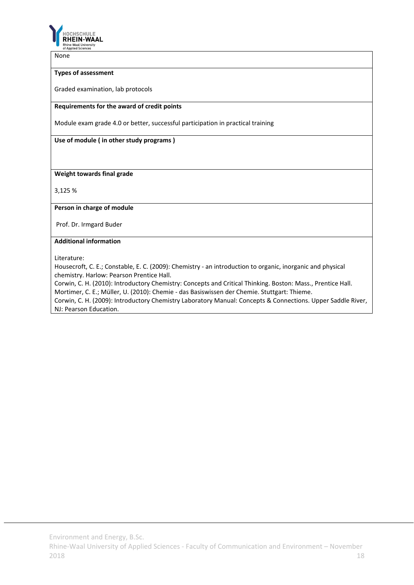

None

# **Types of assessment**

Graded examination, lab protocols

#### **Requirements for the award of credit points**

Module exam grade 4.0 or better, successful participation in practical training

**Use of module ( in other study programs )**

**Weight towards final grade**

3,125 %

**Person in charge of module**

Prof. Dr. Irmgard Buder

# **Additional information**

Literature:

Housecroft, C. E.; Constable, E. C. (2009): Chemistry ‐ an introduction to organic, inorganic and physical chemistry. Harlow: Pearson Prentice Hall.

Corwin, C. H. (2010): Introductory Chemistry: Concepts and Critical Thinking. Boston: Mass., Prentice Hall. Mortimer, C. E.; Müller, U. (2010): Chemie ‐ das Basiswissen der Chemie. Stuttgart: Thieme.

Corwin, C. H. (2009): Introductory Chemistry Laboratory Manual: Concepts & Connections. Upper Saddle River, NJ: Pearson Education.

Environment and Energy, B.Sc.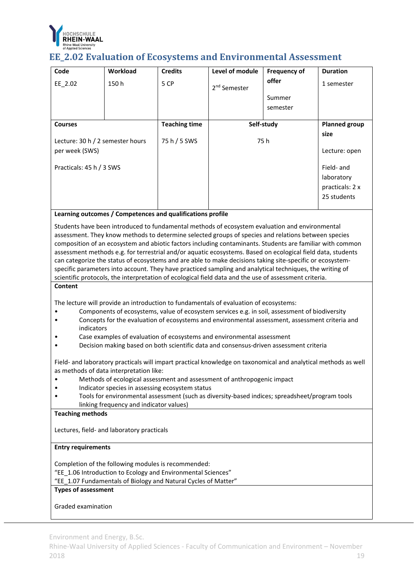

# **EE\_2.02** Evaluation of Ecosystems and Environmental Assessment

| Code                             | Workload | <b>Credits</b>       | Level of module          | <b>Frequency of</b> | <b>Duration</b>      |
|----------------------------------|----------|----------------------|--------------------------|---------------------|----------------------|
| EE 2.02                          | 150h     | 5 CP                 | 2 <sup>nd</sup> Semester | offer               | 1 semester           |
|                                  |          |                      |                          | Summer              |                      |
|                                  |          |                      |                          | semester            |                      |
|                                  |          |                      |                          |                     |                      |
| <b>Courses</b>                   |          | <b>Teaching time</b> | Self-study               |                     | <b>Planned group</b> |
| Lecture: 30 h / 2 semester hours |          | 75 h / 5 SWS         | 75 h                     |                     | size                 |
| per week (SWS)                   |          |                      |                          |                     | Lecture: open        |
| Practicals: 45 h / 3 SWS         |          |                      |                          |                     | Field- and           |
|                                  |          |                      |                          |                     | laboratory           |
|                                  |          |                      |                          |                     | practicals: 2 x      |
|                                  |          |                      |                          |                     | 25 students          |

**Learning outcomes / Competences and qualifications profile**

Students have been introduced to fundamental methods of ecosystem evaluation and environmental assessment. They know methods to determine selected groups of species and relations between species composition of an ecosystem and abiotic factors including contaminants. Students are familiar with common assessment methods e.g. for terrestrial and/or aquatic ecosystems. Based on ecological field data, students can categorize the status of ecosystems and are able to make decisions taking site-specific or ecosystemspecific parameters into account. They have practiced sampling and analytical techniques, the writing of scientific protocols, the interpretation of ecological field data and the use of assessment criteria.

### **Content**

The lecture will provide an introduction to fundamentals of evaluation of ecosystems:

- Components of ecosystems, value of ecosystem services e.g. in soil, assessment of biodiversity
- Concepts for the evaluation of ecosystems and environmental assessment, assessment criteria and indicators
- Case examples of evaluation of ecosystems and environmental assessment
- Decision making based on both scientific data and consensus‐driven assessment criteria

Field- and laboratory practicals will impart practical knowledge on taxonomical and analytical methods as well as methods of data interpretation like:

- Methods of ecological assessment and assessment of anthropogenic impact
- Indicator species in assessing ecosystem status
- Tools for environmental assessment (such as diversity-based indices; spreadsheet/program tools linking frequency and indicator values)

# **Teaching methods**

Lectures, field‐ and laboratory practicals

#### **Entry requirements**

Completion of the following modules is recommended:

"EE\_1.06 Introduction to Ecology and Environmental Sciences"

"EE\_1.07 Fundamentals of Biology and Natural Cycles of Matter"

# **Types of assessment**

Graded examination

Environment and Energy, B.Sc.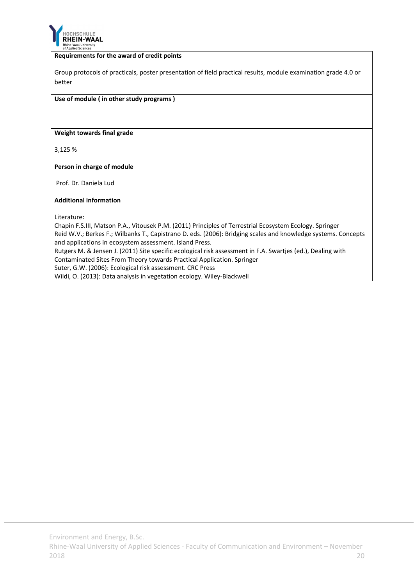

### **Requirements for the award of credit points**

Group protocols of practicals, poster presentation of field practical results, module examination grade 4.0 or better

#### **Use of module ( in other study programs )**

**Weight towards final grade**

3,125 %

**Person in charge of module**

Prof. Dr. Daniela Lud

#### **Additional information**

Literature:

Chapin F.S.III, Matson P.A., Vitousek P.M. (2011) Principles of Terrestrial Ecosystem Ecology. Springer Reid W.V.; Berkes F.; Wilbanks T., Capistrano D. eds. (2006): Bridging scales and knowledge systems. Concepts and applications in ecosystem assessment. Island Press. Rutgers M. & Jensen J. (2011) Site specific ecological risk assessment in F.A. Swartjes (ed.), Dealing with

Contaminated Sites From Theory towards Practical Application. Springer

Suter, G.W. (2006): Ecological risk assessment. CRC Press

Wildi, O. (2013): Data analysis in vegetation ecology. Wiley‐Blackwell

Environment and Energy, B.Sc.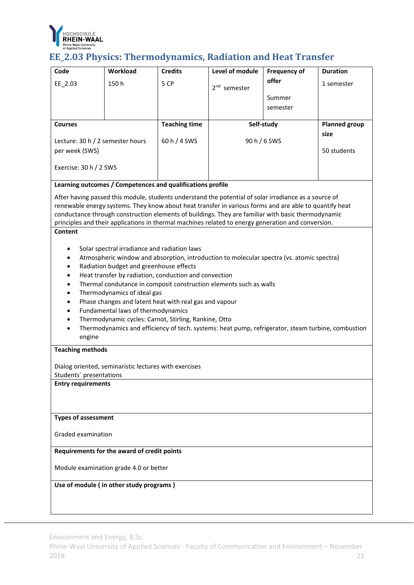

# **EE\_2.03 Physics: Thermodynamics, Radiation and Heat Transfer**

| EE 2.03                                                                                                                                                                                                                                                                                                                                                                                                                                                                                                                                                                                                                                                                                                                                                                                                                                  |                                             |                      |                          |              |                      |  |
|------------------------------------------------------------------------------------------------------------------------------------------------------------------------------------------------------------------------------------------------------------------------------------------------------------------------------------------------------------------------------------------------------------------------------------------------------------------------------------------------------------------------------------------------------------------------------------------------------------------------------------------------------------------------------------------------------------------------------------------------------------------------------------------------------------------------------------------|---------------------------------------------|----------------------|--------------------------|--------------|----------------------|--|
|                                                                                                                                                                                                                                                                                                                                                                                                                                                                                                                                                                                                                                                                                                                                                                                                                                          | 150h                                        | 5 CP                 | 2 <sup>nd</sup> semester | offer        | 1 semester           |  |
|                                                                                                                                                                                                                                                                                                                                                                                                                                                                                                                                                                                                                                                                                                                                                                                                                                          |                                             |                      |                          | Summer       |                      |  |
|                                                                                                                                                                                                                                                                                                                                                                                                                                                                                                                                                                                                                                                                                                                                                                                                                                          |                                             |                      |                          | semester     |                      |  |
|                                                                                                                                                                                                                                                                                                                                                                                                                                                                                                                                                                                                                                                                                                                                                                                                                                          |                                             |                      |                          |              |                      |  |
| <b>Courses</b>                                                                                                                                                                                                                                                                                                                                                                                                                                                                                                                                                                                                                                                                                                                                                                                                                           |                                             | <b>Teaching time</b> |                          | Self-study   | <b>Planned group</b> |  |
| Lecture: 30 h / 2 semester hours                                                                                                                                                                                                                                                                                                                                                                                                                                                                                                                                                                                                                                                                                                                                                                                                         |                                             | 60 h / 4 SWS         |                          | 90 h / 6 SWS | size                 |  |
| per week (SWS)                                                                                                                                                                                                                                                                                                                                                                                                                                                                                                                                                                                                                                                                                                                                                                                                                           |                                             |                      |                          |              | 50 students          |  |
| Exercise: 30 h / 2 SWS                                                                                                                                                                                                                                                                                                                                                                                                                                                                                                                                                                                                                                                                                                                                                                                                                   |                                             |                      |                          |              |                      |  |
| Learning outcomes / Competences and qualifications profile                                                                                                                                                                                                                                                                                                                                                                                                                                                                                                                                                                                                                                                                                                                                                                               |                                             |                      |                          |              |                      |  |
| After having passed this module, students understand the potential of solar irradiance as a source of<br>renewable energy systems. They know about heat transfer in various forms and are able to quantify heat<br>conductance through construction elements of buildings. They are familiar with basic thermodynamic<br>principles and their applications in thermal machines related to energy generation and conversion.                                                                                                                                                                                                                                                                                                                                                                                                              |                                             |                      |                          |              |                      |  |
| <b>Content</b>                                                                                                                                                                                                                                                                                                                                                                                                                                                                                                                                                                                                                                                                                                                                                                                                                           |                                             |                      |                          |              |                      |  |
| Solar spectral irradiance and radiation laws<br>Atmospheric window and absorption, introduction to molecular spectra (vs. atomic spectra)<br>Radiation budget and greenhouse effects<br>Heat transfer by radiation, conduction and convection<br>$\bullet$<br>Thermal condutance in composit construction elements such as walls<br>Thermodynamics of ideal gas<br>$\bullet$<br>Phase changes and latent heat with real gas and vapour<br>$\bullet$<br>Fundamental laws of thermodynamics<br>$\bullet$<br>Thermodynamic cycles: Carnot, Stirling, Rankine, Otto<br>Thermodynamics and efficiency of tech. systems: heat pump, refrigerator, steam turbine, combustion<br>$\bullet$<br>engine<br><b>Teaching methods</b><br>Dialog oriented, seminaristic lectures with exercises<br>Students' presentations<br><b>Entry requirements</b> |                                             |                      |                          |              |                      |  |
| <b>Types of assessment</b>                                                                                                                                                                                                                                                                                                                                                                                                                                                                                                                                                                                                                                                                                                                                                                                                               |                                             |                      |                          |              |                      |  |
| Graded examination                                                                                                                                                                                                                                                                                                                                                                                                                                                                                                                                                                                                                                                                                                                                                                                                                       |                                             |                      |                          |              |                      |  |
|                                                                                                                                                                                                                                                                                                                                                                                                                                                                                                                                                                                                                                                                                                                                                                                                                                          | Requirements for the award of credit points |                      |                          |              |                      |  |
| Module examination grade 4.0 or better                                                                                                                                                                                                                                                                                                                                                                                                                                                                                                                                                                                                                                                                                                                                                                                                   |                                             |                      |                          |              |                      |  |
|                                                                                                                                                                                                                                                                                                                                                                                                                                                                                                                                                                                                                                                                                                                                                                                                                                          | Use of module (in other study programs)     |                      |                          |              |                      |  |

Environment and Energy, B.Sc.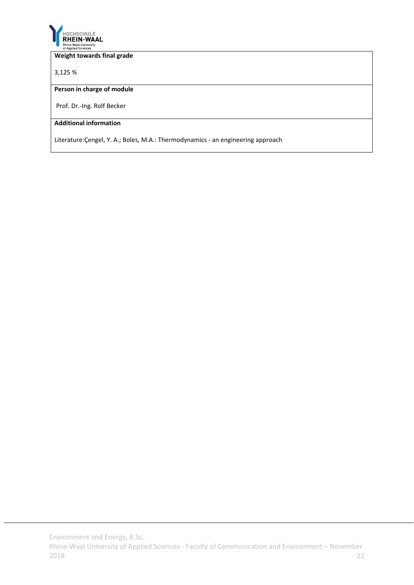

### **Weight towards final grade**

3,125 %

### **Person in charge of module**

Prof. Dr.‐Ing. Rolf Becker

# **Additional information**

Literature:Çengel, Y. A.; Boles, M.A.: Thermodynamics ‐ an engineering approach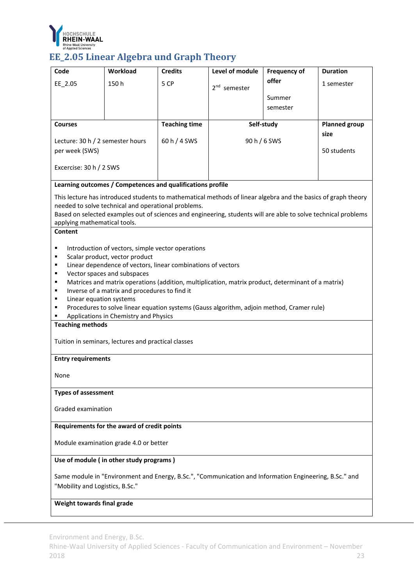

# **EE\_2.05 Linear Algebra und Graph Theory**

| Code                                               | Workload                                                                                               | <b>Credits</b>       | Level of module                                                                                                | <b>Frequency of</b> | <b>Duration</b>      |  |
|----------------------------------------------------|--------------------------------------------------------------------------------------------------------|----------------------|----------------------------------------------------------------------------------------------------------------|---------------------|----------------------|--|
| EE_2.05                                            | 150h                                                                                                   | 5 CP                 | 2 <sup>nd</sup> semester                                                                                       | offer               | 1 semester           |  |
|                                                    |                                                                                                        |                      |                                                                                                                | Summer              |                      |  |
|                                                    |                                                                                                        |                      |                                                                                                                | semester            |                      |  |
| <b>Courses</b>                                     |                                                                                                        | <b>Teaching time</b> | Self-study                                                                                                     |                     | <b>Planned group</b> |  |
|                                                    |                                                                                                        |                      |                                                                                                                |                     | size                 |  |
| Lecture: 30 h / 2 semester hours<br>per week (SWS) |                                                                                                        | 60 h / 4 SWS         | 90 h / 6 SWS                                                                                                   |                     | 50 students          |  |
|                                                    |                                                                                                        |                      |                                                                                                                |                     |                      |  |
| Excercise: 30 h / 2 SWS                            |                                                                                                        |                      |                                                                                                                |                     |                      |  |
|                                                    | Learning outcomes / Competences and qualifications profile                                             |                      |                                                                                                                |                     |                      |  |
|                                                    |                                                                                                        |                      | This lecture has introduced students to mathematical methods of linear algebra and the basics of graph theory  |                     |                      |  |
|                                                    | needed to solve technical and operational problems.                                                    |                      | Based on selected examples out of sciences and engineering, students will are able to solve technical problems |                     |                      |  |
| applying mathematical tools.                       |                                                                                                        |                      |                                                                                                                |                     |                      |  |
| <b>Content</b>                                     |                                                                                                        |                      |                                                                                                                |                     |                      |  |
| ٠                                                  | Introduction of vectors, simple vector operations                                                      |                      |                                                                                                                |                     |                      |  |
| ٠<br>٠                                             | Scalar product, vector product                                                                         |                      |                                                                                                                |                     |                      |  |
| ٠                                                  | Linear dependence of vectors, linear combinations of vectors<br>Vector spaces and subspaces            |                      |                                                                                                                |                     |                      |  |
| ٠                                                  |                                                                                                        |                      | Matrices and matrix operations (addition, multiplication, matrix product, determinant of a matrix)             |                     |                      |  |
| ٠<br>Linear equation systems<br>٠                  | Inverse of a matrix and procedures to find it                                                          |                      |                                                                                                                |                     |                      |  |
| ٠                                                  |                                                                                                        |                      | Procedures to solve linear equation systems (Gauss algorithm, adjoin method, Cramer rule)                      |                     |                      |  |
|                                                    | Applications in Chemistry and Physics                                                                  |                      |                                                                                                                |                     |                      |  |
| <b>Teaching methods</b>                            |                                                                                                        |                      |                                                                                                                |                     |                      |  |
|                                                    | Tuition in seminars, lectures and practical classes                                                    |                      |                                                                                                                |                     |                      |  |
| <b>Entry requirements</b>                          |                                                                                                        |                      |                                                                                                                |                     |                      |  |
| None                                               |                                                                                                        |                      |                                                                                                                |                     |                      |  |
| <b>Types of assessment</b>                         |                                                                                                        |                      |                                                                                                                |                     |                      |  |
| Graded examination                                 |                                                                                                        |                      |                                                                                                                |                     |                      |  |
|                                                    | Requirements for the award of credit points                                                            |                      |                                                                                                                |                     |                      |  |
| Module examination grade 4.0 or better             |                                                                                                        |                      |                                                                                                                |                     |                      |  |
| Use of module (in other study programs)            |                                                                                                        |                      |                                                                                                                |                     |                      |  |
|                                                    | Same module in "Environment and Energy, B.Sc.", "Communication and Information Engineering, B.Sc." and |                      |                                                                                                                |                     |                      |  |
| "Mobility and Logistics, B.Sc."                    |                                                                                                        |                      |                                                                                                                |                     |                      |  |
| Weight towards final grade                         |                                                                                                        |                      |                                                                                                                |                     |                      |  |

Environment and Energy, B.Sc.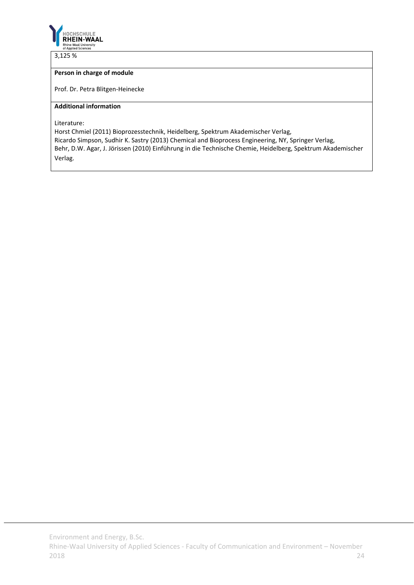

3,125 %

# **Person in charge of module**

Prof. Dr. Petra Blitgen‐Heinecke

### **Additional information**

Literature:

Horst Chmiel (2011) Bioprozesstechnik, Heidelberg, Spektrum Akademischer Verlag, Ricardo Simpson, Sudhir K. Sastry (2013) Chemical and Bioprocess Engineering, NY, Springer Verlag, Behr, D.W. Agar, J. Jörissen (2010) Einführung in die Technische Chemie, Heidelberg, Spektrum Akademischer Verlag.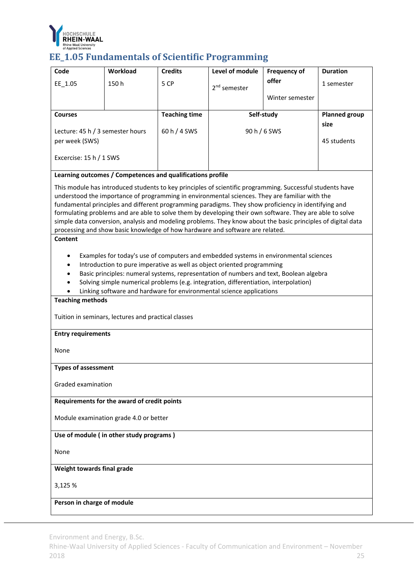

# **EE\_1.05 Fundamentals of Scientific Programming**

| Code                                               | Workload                                                                                                                                                                                                                                                                                                                                                                                                                                                                                                                                                                                                                         | <b>Credits</b>       | Level of module | <b>Frequency of</b> | <b>Duration</b>      |  |  |
|----------------------------------------------------|----------------------------------------------------------------------------------------------------------------------------------------------------------------------------------------------------------------------------------------------------------------------------------------------------------------------------------------------------------------------------------------------------------------------------------------------------------------------------------------------------------------------------------------------------------------------------------------------------------------------------------|----------------------|-----------------|---------------------|----------------------|--|--|
| EE 1.05                                            | 150h                                                                                                                                                                                                                                                                                                                                                                                                                                                                                                                                                                                                                             | 5 CP                 | $2nd$ semester  | offer               | 1 semester           |  |  |
|                                                    |                                                                                                                                                                                                                                                                                                                                                                                                                                                                                                                                                                                                                                  |                      |                 | Winter semester     |                      |  |  |
| <b>Courses</b>                                     |                                                                                                                                                                                                                                                                                                                                                                                                                                                                                                                                                                                                                                  | <b>Teaching time</b> | Self-study      |                     | <b>Planned group</b> |  |  |
|                                                    |                                                                                                                                                                                                                                                                                                                                                                                                                                                                                                                                                                                                                                  |                      |                 |                     | size                 |  |  |
| Lecture: 45 h / 3 semester hours<br>per week (SWS) |                                                                                                                                                                                                                                                                                                                                                                                                                                                                                                                                                                                                                                  | 60 h / 4 SWS         | 90 h / 6 SWS    |                     | 45 students          |  |  |
|                                                    |                                                                                                                                                                                                                                                                                                                                                                                                                                                                                                                                                                                                                                  |                      |                 |                     |                      |  |  |
| Excercise: 15 h / 1 SWS                            |                                                                                                                                                                                                                                                                                                                                                                                                                                                                                                                                                                                                                                  |                      |                 |                     |                      |  |  |
|                                                    | Learning outcomes / Competences and qualifications profile                                                                                                                                                                                                                                                                                                                                                                                                                                                                                                                                                                       |                      |                 |                     |                      |  |  |
| Content                                            | This module has introduced students to key principles of scientific programming. Successful students have<br>understood the importance of programming in environmental sciences. They are familiar with the<br>fundamental principles and different programming paradigms. They show proficiency in identifying and<br>formulating problems and are able to solve them by developing their own software. They are able to solve<br>simple data conversion, analysis and modeling problems. They know about the basic principles of digital data<br>processing and show basic knowledge of how hardware and software are related. |                      |                 |                     |                      |  |  |
| ٠<br>٠<br><b>Teaching methods</b>                  | Examples for today's use of computers and embedded systems in environmental sciences<br>Introduction to pure imperative as well as object oriented programming<br>Basic principles: numeral systems, representation of numbers and text, Boolean algebra<br>Solving simple numerical problems (e.g. integration, differentiation, interpolation)<br>Linking software and hardware for environmental science applications                                                                                                                                                                                                         |                      |                 |                     |                      |  |  |
|                                                    | Tuition in seminars, lectures and practical classes                                                                                                                                                                                                                                                                                                                                                                                                                                                                                                                                                                              |                      |                 |                     |                      |  |  |
| <b>Entry requirements</b>                          |                                                                                                                                                                                                                                                                                                                                                                                                                                                                                                                                                                                                                                  |                      |                 |                     |                      |  |  |
| None                                               |                                                                                                                                                                                                                                                                                                                                                                                                                                                                                                                                                                                                                                  |                      |                 |                     |                      |  |  |
| <b>Types of assessment</b>                         |                                                                                                                                                                                                                                                                                                                                                                                                                                                                                                                                                                                                                                  |                      |                 |                     |                      |  |  |
| Graded examination                                 |                                                                                                                                                                                                                                                                                                                                                                                                                                                                                                                                                                                                                                  |                      |                 |                     |                      |  |  |
|                                                    | Requirements for the award of credit points                                                                                                                                                                                                                                                                                                                                                                                                                                                                                                                                                                                      |                      |                 |                     |                      |  |  |
|                                                    | Module examination grade 4.0 or better                                                                                                                                                                                                                                                                                                                                                                                                                                                                                                                                                                                           |                      |                 |                     |                      |  |  |
|                                                    | Use of module (in other study programs)                                                                                                                                                                                                                                                                                                                                                                                                                                                                                                                                                                                          |                      |                 |                     |                      |  |  |
| None                                               |                                                                                                                                                                                                                                                                                                                                                                                                                                                                                                                                                                                                                                  |                      |                 |                     |                      |  |  |
|                                                    | Weight towards final grade                                                                                                                                                                                                                                                                                                                                                                                                                                                                                                                                                                                                       |                      |                 |                     |                      |  |  |
| 3,125 %                                            |                                                                                                                                                                                                                                                                                                                                                                                                                                                                                                                                                                                                                                  |                      |                 |                     |                      |  |  |
| Person in charge of module                         |                                                                                                                                                                                                                                                                                                                                                                                                                                                                                                                                                                                                                                  |                      |                 |                     |                      |  |  |

Environment and Energy, B.Sc.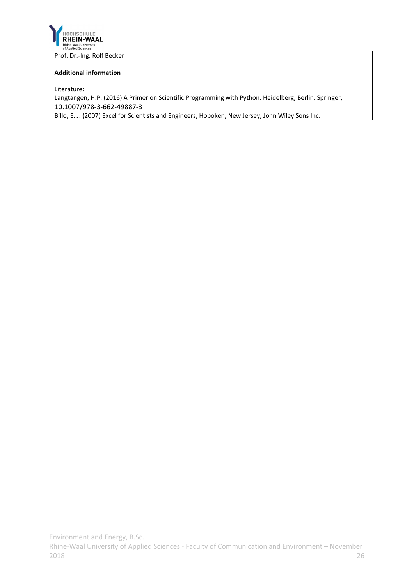

Prof. Dr.‐Ing. Rolf Becker

### **Additional information**

Literature:

Langtangen, H.P. (2016) A Primer on Scientific Programming with Python. Heidelberg, Berlin, Springer, 10.1007/978‐3‐662‐49887‐3

Billo, E. J. (2007) Excel for Scientists and Engineers, Hoboken, New Jersey, John Wiley Sons Inc.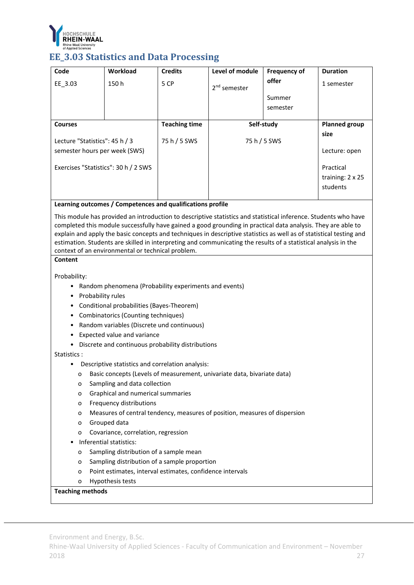

# **EE** 3.03 Statistics and Data Processing

| Code                                 | <b>Workload</b>                | <b>Credits</b>       | Level of module          | <b>Frequency of</b> | <b>Duration</b>      |
|--------------------------------------|--------------------------------|----------------------|--------------------------|---------------------|----------------------|
| EE 3.03                              | 150h                           | 5 CP                 | 2 <sup>nd</sup> semester | offer               | 1 semester           |
|                                      |                                |                      |                          | Summer              |                      |
|                                      |                                |                      |                          | semester            |                      |
| <b>Courses</b>                       |                                | <b>Teaching time</b> | Self-study               |                     | <b>Planned group</b> |
|                                      | Lecture "Statistics": 45 h / 3 |                      | 75 h / 5 SWS             |                     | size                 |
| semester hours per week (SWS)        |                                |                      |                          |                     | Lecture: open        |
| Exercises "Statistics": 30 h / 2 SWS |                                |                      |                          |                     | Practical            |
|                                      |                                |                      |                          |                     | training: 2 x 25     |
|                                      |                                |                      |                          |                     | students             |

### **Learning outcomes / Competences and qualifications profile**

This module has provided an introduction to descriptive statistics and statistical inference. Students who have completed this module successfully have gained a good grounding in practical data analysis. They are able to explain and apply the basic concepts and techniques in descriptive statistics as well as of statistical testing and estimation. Students are skilled in interpreting and communicating the results of a statistical analysis in the context of an environmental or technical problem.

### **Content**

Probability:

- Random phenomena (Probability experiments and events)
- Probability rules
- Conditional probabilities (Bayes‐Theorem)
- Combinatorics (Counting techniques)
- Random variables (Discrete und continuous)
- Expected value and variance
- Discrete and continuous probability distributions

#### Statistics :

- Descriptive statistics and correlation analysis:
	- o Basic concepts (Levels of measurement, univariate data, bivariate data)
	- o Sampling and data collection
	- o Graphical and numerical summaries
	- o Frequency distributions
	- o Measures of central tendency, measures of position, measures of dispersion
	- o Grouped data
	- o Covariance, correlation, regression
- Inferential statistics:
	- o Sampling distribution of a sample mean
	- o Sampling distribution of a sample proportion
	- o Point estimates, interval estimates, confidence intervals
	- o Hypothesis tests

# **Teaching methods**

Environment and Energy, B.Sc.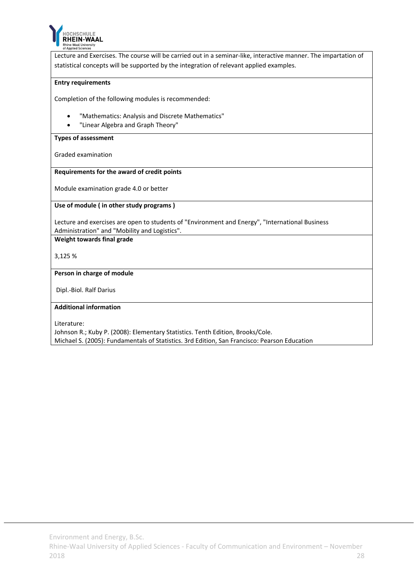

Lecture and Exercises. The course will be carried out in a seminar‐like, interactive manner. The impartation of statistical concepts will be supported by the integration of relevant applied examples.

#### **Entry requirements**

Completion of the following modules is recommended:

- "Mathematics: Analysis and Discrete Mathematics"
- "Linear Algebra and Graph Theory"

#### **Types of assessment**

Graded examination

#### **Requirements for the award of credit points**

Module examination grade 4.0 or better

### **Use of module ( in other study programs )**

Lecture and exercises are open to students of "Environment and Energy", "International Business Administration" and "Mobility and Logistics".

**Weight towards final grade**

3,125 %

#### **Person in charge of module**

Dipl.‐Biol. Ralf Darius

#### **Additional information**

Literature:

Johnson R.; Kuby P. (2008): Elementary Statistics. Tenth Edition, Brooks/Cole. Michael S. (2005): Fundamentals of Statistics. 3rd Edition, San Francisco: Pearson Education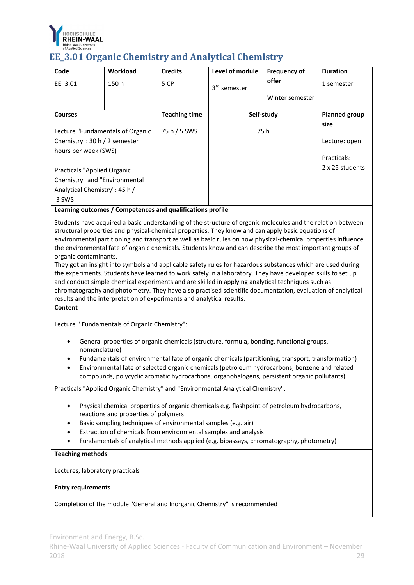

# **EE\_3.01 Organic Chemistry and Analytical Chemistry**

| Code                                                                                        | Workload | <b>Credits</b>       | Level of module          | <b>Frequency of</b> | <b>Duration</b>       |
|---------------------------------------------------------------------------------------------|----------|----------------------|--------------------------|---------------------|-----------------------|
| EE 3.01                                                                                     | 150 h    | 5 CP                 | 3 <sup>rd</sup> semester | offer               | 1 semester            |
|                                                                                             |          |                      |                          | Winter semester     |                       |
| <b>Courses</b>                                                                              |          | <b>Teaching time</b> | Self-study               |                     | <b>Planned group</b>  |
| Lecture "Fundamentals of Organic<br>Chemistry": $30 h / 2$ semester<br>hours per week (SWS) |          | 75 h / 5 SWS         | 75 h                     |                     | size<br>Lecture: open |
|                                                                                             |          |                      |                          |                     | Practicals:           |
| Practicals "Applied Organic                                                                 |          |                      |                          |                     | 2 x 25 students       |
| Chemistry" and "Environmental                                                               |          |                      |                          |                     |                       |
| Analytical Chemistry": 45 h /                                                               |          |                      |                          |                     |                       |
| 3 SWS                                                                                       |          |                      |                          |                     |                       |

# **Learning outcomes / Competences and qualifications profile**

Students have acquired a basic understanding of the structure of organic molecules and the relation between structural properties and physical‐chemical properties. They know and can apply basic equations of environmental partitioning and transport as well as basic rules on how physical‐chemical properties influence the environmental fate of organic chemicals. Students know and can describe the most important groups of organic contaminants.

They got an insight into symbols and applicable safety rules for hazardous substances which are used during the experiments. Students have learned to work safely in a laboratory. They have developed skills to set up and conduct simple chemical experiments and are skilled in applying analytical techniques such as chromatography and photometry. They have also practised scientific documentation, evaluation of analytical results and the interpretation of experiments and analytical results.

#### **Content**

Lecture " Fundamentals of Organic Chemistry":

- General properties of organic chemicals (structure, formula, bonding, functional groups, nomenclature)
- Fundamentals of environmental fate of organic chemicals (partitioning, transport, transformation)
- Environmental fate of selected organic chemicals (petroleum hydrocarbons, benzene and related compounds, polycyclic aromatic hydrocarbons, organohalogens, persistent organic pollutants)

Practicals "Applied Organic Chemistry" and "Environmental Analytical Chemistry":

- Physical chemical properties of organic chemicals e.g. flashpoint of petroleum hydrocarbons, reactions and properties of polymers
- Basic sampling techniques of environmental samples (e.g. air)
- Extraction of chemicals from environmental samples and analysis
- Fundamentals of analytical methods applied (e.g. bioassays, chromatography, photometry)

# **Teaching methods**

Lectures, laboratory practicals

# **Entry requirements**

Completion of the module "General and Inorganic Chemistry" is recommended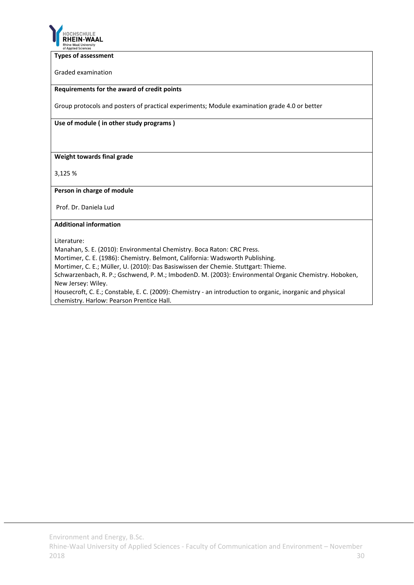

#### **Types of assessment**

Graded examination

#### **Requirements for the award of credit points**

Group protocols and posters of practical experiments; Module examination grade 4.0 or better

**Use of module ( in other study programs )**

# **Weight towards final grade**

3,125 %

#### **Person in charge of module**

Prof. Dr. Daniela Lud

#### **Additional information**

Literature:

Manahan, S. E. (2010): Environmental Chemistry. Boca Raton: CRC Press.

Mortimer, C. E. (1986): Chemistry. Belmont, California: Wadsworth Publishing.

Mortimer, C. E.; Müller, U. (2010): Das Basiswissen der Chemie. Stuttgart: Thieme.

Schwarzenbach, R. P.; Gschwend, P. M.; ImbodenD. M. (2003): Environmental Organic Chemistry. Hoboken, New Jersey: Wiley.

Housecroft, C. E.; Constable, E. C. (2009): Chemistry ‐ an introduction to organic, inorganic and physical chemistry. Harlow: Pearson Prentice Hall.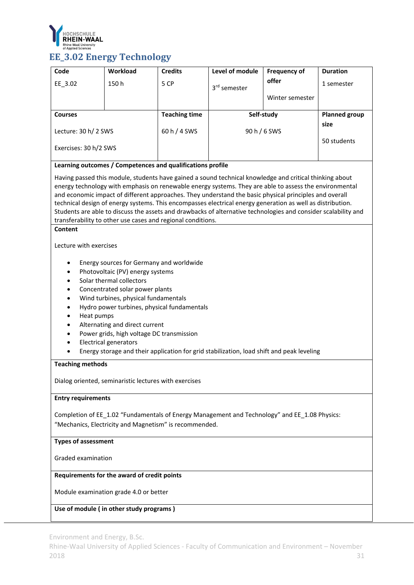

# **EE\_3.02 Energy Technology**

| Code                                                                                                                                                                                                                                                                                                                                                                                                                                                                                                                                                                                                                                  | Workload                                               | <b>Credits</b>       | Level of module                                                                               | <b>Frequency of</b> | <b>Duration</b>      |  |
|---------------------------------------------------------------------------------------------------------------------------------------------------------------------------------------------------------------------------------------------------------------------------------------------------------------------------------------------------------------------------------------------------------------------------------------------------------------------------------------------------------------------------------------------------------------------------------------------------------------------------------------|--------------------------------------------------------|----------------------|-----------------------------------------------------------------------------------------------|---------------------|----------------------|--|
| EE_3.02                                                                                                                                                                                                                                                                                                                                                                                                                                                                                                                                                                                                                               | 150h                                                   | 5 CP                 |                                                                                               | offer               | 1 semester           |  |
|                                                                                                                                                                                                                                                                                                                                                                                                                                                                                                                                                                                                                                       |                                                        |                      | 3 <sup>rd</sup> semester                                                                      |                     |                      |  |
|                                                                                                                                                                                                                                                                                                                                                                                                                                                                                                                                                                                                                                       |                                                        |                      |                                                                                               | Winter semester     |                      |  |
| <b>Courses</b>                                                                                                                                                                                                                                                                                                                                                                                                                                                                                                                                                                                                                        |                                                        | <b>Teaching time</b> | Self-study                                                                                    |                     | <b>Planned group</b> |  |
|                                                                                                                                                                                                                                                                                                                                                                                                                                                                                                                                                                                                                                       |                                                        |                      |                                                                                               |                     | size                 |  |
| Lecture: 30 h/ 2 SWS                                                                                                                                                                                                                                                                                                                                                                                                                                                                                                                                                                                                                  |                                                        | 60 h / 4 SWS         | 90 h / 6 SWS                                                                                  |                     |                      |  |
| Exercises: 30 h/2 SWS                                                                                                                                                                                                                                                                                                                                                                                                                                                                                                                                                                                                                 |                                                        |                      |                                                                                               |                     | 50 students          |  |
| Learning outcomes / Competences and qualifications profile                                                                                                                                                                                                                                                                                                                                                                                                                                                                                                                                                                            |                                                        |                      |                                                                                               |                     |                      |  |
| Having passed this module, students have gained a sound technical knowledge and critical thinking about<br>energy technology with emphasis on renewable energy systems. They are able to assess the environmental<br>and economic impact of different approaches. They understand the basic physical principles and overall<br>technical design of energy systems. This encompasses electrical energy generation as well as distribution.<br>Students are able to discuss the assets and drawbacks of alternative technologies and consider scalability and<br>transferability to other use cases and regional conditions.<br>Content |                                                        |                      |                                                                                               |                     |                      |  |
| Lecture with exercises                                                                                                                                                                                                                                                                                                                                                                                                                                                                                                                                                                                                                |                                                        |                      |                                                                                               |                     |                      |  |
| Energy sources for Germany and worldwide<br>Photovoltaic (PV) energy systems<br>$\bullet$<br>Solar thermal collectors<br>Concentrated solar power plants<br>$\bullet$<br>Wind turbines, physical fundamentals<br>$\bullet$<br>Hydro power turbines, physical fundamentals<br>$\bullet$<br>Heat pumps<br>Alternating and direct current<br>Power grids, high voltage DC transmission<br><b>Electrical generators</b><br>Energy storage and their application for grid stabilization, load shift and peak leveling<br><b>Teaching methods</b>                                                                                           |                                                        |                      |                                                                                               |                     |                      |  |
|                                                                                                                                                                                                                                                                                                                                                                                                                                                                                                                                                                                                                                       | Dialog oriented, seminaristic lectures with exercises  |                      |                                                                                               |                     |                      |  |
| <b>Entry requirements</b>                                                                                                                                                                                                                                                                                                                                                                                                                                                                                                                                                                                                             |                                                        |                      |                                                                                               |                     |                      |  |
|                                                                                                                                                                                                                                                                                                                                                                                                                                                                                                                                                                                                                                       | "Mechanics, Electricity and Magnetism" is recommended. |                      | Completion of EE_1.02 "Fundamentals of Energy Management and Technology" and EE_1.08 Physics: |                     |                      |  |
|                                                                                                                                                                                                                                                                                                                                                                                                                                                                                                                                                                                                                                       | <b>Types of assessment</b>                             |                      |                                                                                               |                     |                      |  |
| Graded examination                                                                                                                                                                                                                                                                                                                                                                                                                                                                                                                                                                                                                    |                                                        |                      |                                                                                               |                     |                      |  |
|                                                                                                                                                                                                                                                                                                                                                                                                                                                                                                                                                                                                                                       | Requirements for the award of credit points            |                      |                                                                                               |                     |                      |  |
| Module examination grade 4.0 or better                                                                                                                                                                                                                                                                                                                                                                                                                                                                                                                                                                                                |                                                        |                      |                                                                                               |                     |                      |  |
|                                                                                                                                                                                                                                                                                                                                                                                                                                                                                                                                                                                                                                       | Use of module (in other study programs)                |                      |                                                                                               |                     |                      |  |

Environment and Energy, B.Sc.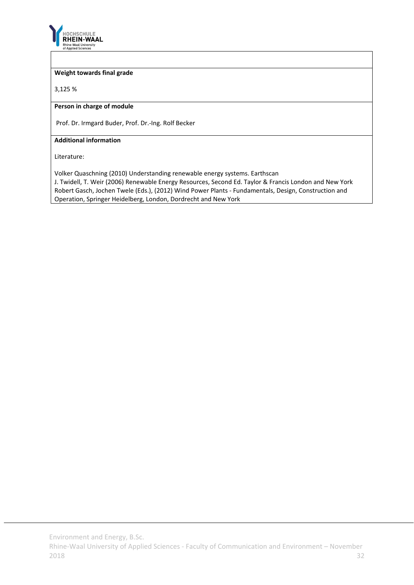

### **Weight towards final grade**

3,125 %

#### **Person in charge of module**

Prof. Dr. Irmgard Buder, Prof. Dr.‐Ing. Rolf Becker

#### **Additional information**

Literature:

Volker Quaschning (2010) Understanding renewable energy systems. Earthscan

J. Twidell, T. Weir (2006) Renewable Energy Resources, Second Ed. Taylor & Francis London and New York Robert Gasch, Jochen Twele (Eds.), (2012) Wind Power Plants ‐ Fundamentals, Design, Construction and Operation, Springer Heidelberg, London, Dordrecht and New York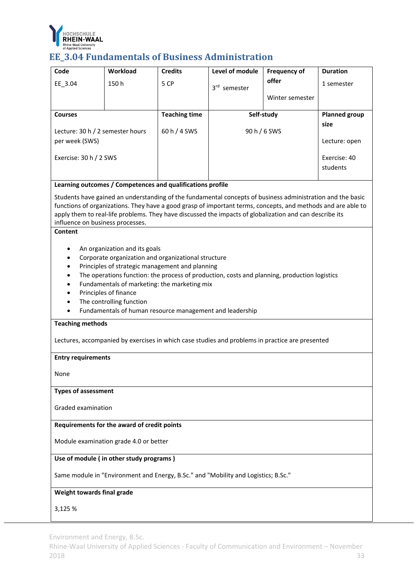

# **EE\_3.04 Fundamentals** of Business Administration

| Code                                                                               | Workload                                                                             | <b>Credits</b>       | Level of module                                                                                                                                                                                                         | <b>Frequency of</b> | <b>Duration</b>      |  |
|------------------------------------------------------------------------------------|--------------------------------------------------------------------------------------|----------------------|-------------------------------------------------------------------------------------------------------------------------------------------------------------------------------------------------------------------------|---------------------|----------------------|--|
| EE_3.04                                                                            | 150h                                                                                 | 5 CP                 | 3rd semester                                                                                                                                                                                                            | offer               | 1 semester           |  |
|                                                                                    |                                                                                      |                      |                                                                                                                                                                                                                         | Winter semester     |                      |  |
|                                                                                    |                                                                                      |                      |                                                                                                                                                                                                                         |                     |                      |  |
| <b>Courses</b>                                                                     |                                                                                      | <b>Teaching time</b> | Self-study                                                                                                                                                                                                              |                     | <b>Planned group</b> |  |
| Lecture: 30 h / 2 semester hours                                                   |                                                                                      | 60 h / 4 SWS         | 90 h / 6 SWS                                                                                                                                                                                                            |                     | size                 |  |
| per week (SWS)                                                                     |                                                                                      |                      |                                                                                                                                                                                                                         |                     | Lecture: open        |  |
|                                                                                    |                                                                                      |                      |                                                                                                                                                                                                                         |                     | Exercise: 40         |  |
| Exercise: 30 h / 2 SWS                                                             |                                                                                      |                      |                                                                                                                                                                                                                         |                     | students             |  |
|                                                                                    |                                                                                      |                      |                                                                                                                                                                                                                         |                     |                      |  |
|                                                                                    | Learning outcomes / Competences and qualifications profile                           |                      |                                                                                                                                                                                                                         |                     |                      |  |
|                                                                                    |                                                                                      |                      | Students have gained an understanding of the fundamental concepts of business administration and the basic                                                                                                              |                     |                      |  |
|                                                                                    |                                                                                      |                      | functions of organizations. They have a good grasp of important terms, concepts, and methods and are able to<br>apply them to real-life problems. They have discussed the impacts of globalization and can describe its |                     |                      |  |
| influence on business processes.                                                   |                                                                                      |                      |                                                                                                                                                                                                                         |                     |                      |  |
| Content                                                                            |                                                                                      |                      |                                                                                                                                                                                                                         |                     |                      |  |
| ٠                                                                                  | An organization and its goals                                                        |                      |                                                                                                                                                                                                                         |                     |                      |  |
|                                                                                    | Corporate organization and organizational structure                                  |                      |                                                                                                                                                                                                                         |                     |                      |  |
|                                                                                    | Principles of strategic management and planning                                      |                      |                                                                                                                                                                                                                         |                     |                      |  |
|                                                                                    |                                                                                      |                      | The operations function: the process of production, costs and planning, production logistics                                                                                                                            |                     |                      |  |
|                                                                                    | Fundamentals of marketing: the marketing mix                                         |                      |                                                                                                                                                                                                                         |                     |                      |  |
|                                                                                    | Principles of finance                                                                |                      |                                                                                                                                                                                                                         |                     |                      |  |
|                                                                                    | The controlling function<br>Fundamentals of human resource management and leadership |                      |                                                                                                                                                                                                                         |                     |                      |  |
| <b>Teaching methods</b>                                                            |                                                                                      |                      |                                                                                                                                                                                                                         |                     |                      |  |
|                                                                                    |                                                                                      |                      | Lectures, accompanied by exercises in which case studies and problems in practice are presented                                                                                                                         |                     |                      |  |
| <b>Entry requirements</b>                                                          |                                                                                      |                      |                                                                                                                                                                                                                         |                     |                      |  |
|                                                                                    |                                                                                      |                      |                                                                                                                                                                                                                         |                     |                      |  |
| None                                                                               |                                                                                      |                      |                                                                                                                                                                                                                         |                     |                      |  |
| <b>Types of assessment</b>                                                         |                                                                                      |                      |                                                                                                                                                                                                                         |                     |                      |  |
| Graded examination                                                                 |                                                                                      |                      |                                                                                                                                                                                                                         |                     |                      |  |
|                                                                                    | Requirements for the award of credit points                                          |                      |                                                                                                                                                                                                                         |                     |                      |  |
|                                                                                    | Module examination grade 4.0 or better                                               |                      |                                                                                                                                                                                                                         |                     |                      |  |
| Use of module (in other study programs)                                            |                                                                                      |                      |                                                                                                                                                                                                                         |                     |                      |  |
| Same module in "Environment and Energy, B.Sc." and "Mobility and Logistics; B.Sc." |                                                                                      |                      |                                                                                                                                                                                                                         |                     |                      |  |
| Weight towards final grade                                                         |                                                                                      |                      |                                                                                                                                                                                                                         |                     |                      |  |
|                                                                                    |                                                                                      |                      |                                                                                                                                                                                                                         |                     |                      |  |
| 3,125 %                                                                            |                                                                                      |                      |                                                                                                                                                                                                                         |                     |                      |  |

Environment and Energy, B.Sc.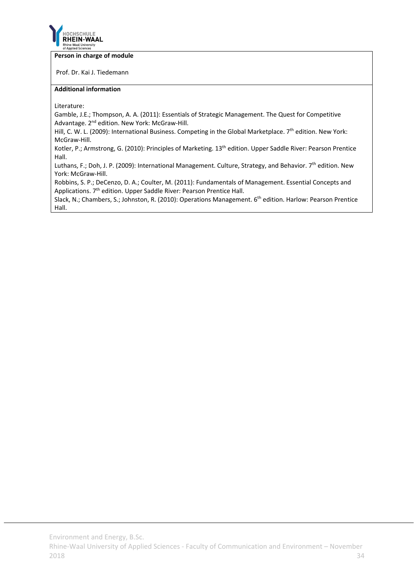

#### **Person in charge of module**

Prof. Dr. Kai J. Tiedemann

### **Additional information**

Literature:

Gamble, J.E.; Thompson, A. A. (2011): Essentials of Strategic Management. The Quest for Competitive Advantage. 2<sup>nd</sup> edition. New York: McGraw-Hill.

Hill, C. W. L. (2009): International Business. Competing in the Global Marketplace. 7<sup>th</sup> edition. New York: McGraw‐Hill.

Kotler, P.; Armstrong, G. (2010): Principles of Marketing. 13<sup>th</sup> edition. Upper Saddle River: Pearson Prentice Hall.

Luthans, F.; Doh, J. P. (2009): International Management. Culture, Strategy, and Behavior. 7<sup>th</sup> edition. New York: McGraw‐Hill.

Robbins, S. P.; DeCenzo, D. A.; Coulter, M. (2011): Fundamentals of Management. Essential Concepts and Applications. 7<sup>th</sup> edition. Upper Saddle River: Pearson Prentice Hall.

Slack, N.; Chambers, S.; Johnston, R. (2010): Operations Management. 6th edition. Harlow: Pearson Prentice Hall.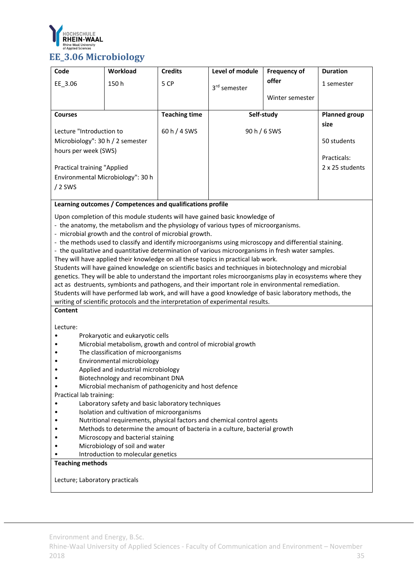

# **EE\_3.06** Microbiology

| Code                                                                                 | Workload | <b>Credits</b>       | Level of module          | <b>Frequency of</b> | <b>Duration</b>                    |
|--------------------------------------------------------------------------------------|----------|----------------------|--------------------------|---------------------|------------------------------------|
| EE 3.06                                                                              | 150h     | 5 CP                 | 3 <sup>rd</sup> semester | offer               | 1 semester                         |
|                                                                                      |          |                      |                          | Winter semester     |                                    |
| <b>Courses</b>                                                                       |          | <b>Teaching time</b> | Self-study               |                     | <b>Planned group</b>               |
| Lecture "Introduction to<br>Microbiology": 30 h / 2 semester<br>hours per week (SWS) |          | 60 h / 4 SWS         |                          | 90 h / 6 SWS        | size<br>50 students<br>Practicals: |
| Practical training "Applied<br>Environmental Microbiology": 30 h<br>$/2$ SWS         |          |                      |                          |                     | 2 x 25 students                    |

# **Learning outcomes / Competences and qualifications profile**

Upon completion of this module students will have gained basic knowledge of

- ‐ the anatomy, the metabolism and the physiology of various types of microorganisms.
- ‐ microbial growth and the control of microbial growth.
- ‐ the methods used to classify and identify microorganisms using microscopy and differential staining.
- ‐ the qualitative and quantitative determination of various microorganisms in fresh water samples.
- They will have applied their knowledge on all these topics in practical lab work.

Students will have gained knowledge on scientific basics and techniques in biotechnology and microbial genetics. They will be able to understand the important roles microorganisms play in ecosystems where they act as destruents, symbionts and pathogens, and their important role in environmental remediation. Students will have performed lab work, and will have a good knowledge of basic laboratory methods, the writing of scientific protocols and the interpretation of experimental results.

# **Content**

Lecture:

- Prokaryotic and eukaryotic cells
- Microbial metabolism, growth and control of microbial growth
- The classification of microorganisms
- Environmental microbiology
- Applied and industrial microbiology
- Biotechnology and recombinant DNA
- Microbial mechanism of pathogenicity and host defence

Practical lab training:

- Laboratory safety and basic laboratory techniques
- Isolation and cultivation of microorganisms
- Nutritional requirements, physical factors and chemical control agents
- Methods to determine the amount of bacteria in a culture, bacterial growth
- Microscopy and bacterial staining
- Microbiology of soil and water
- Introduction to molecular genetics

#### **Teaching methods**

Lecture; Laboratory practicals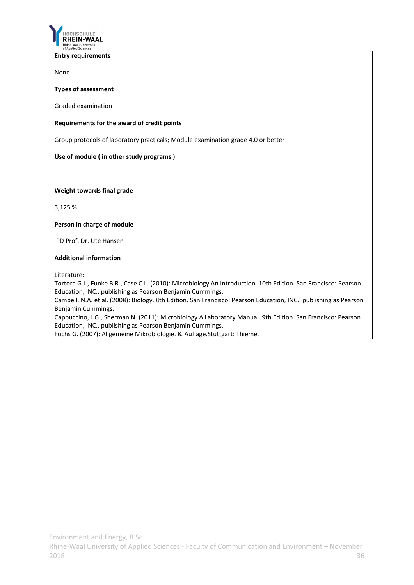

**Entry requirements**

None

**Types of assessment**

Graded examination

#### **Requirements for the award of credit points**

Group protocols of laboratory practicals; Module examination grade 4.0 or better

# **Use of module ( in other study programs )**

**Weight towards final grade**

3,125 %

### **Person in charge of module**

PD Prof. Dr. Ute Hansen

### **Additional information**

Literature:

Tortora G.J., Funke B.R., Case C.L. (2010): Microbiology An Introduction. 10th Edition. San Francisco: Pearson Education, INC., publishing as Pearson Benjamin Cummings.

Campell, N.A. et al. (2008): Biology. 8th Edition. San Francisco: Pearson Education, INC., publishing as Pearson Benjamin Cummings.

Cappuccino, J.G., Sherman N. (2011): Microbiology A Laboratory Manual. 9th Edition. San Francisco: Pearson Education, INC., publishing as Pearson Benjamin Cummings.

Fuchs G. (2007): Allgemeine Mikrobiologie. 8. Auflage.Stuttgart: Thieme.

Environment and Energy, B.Sc.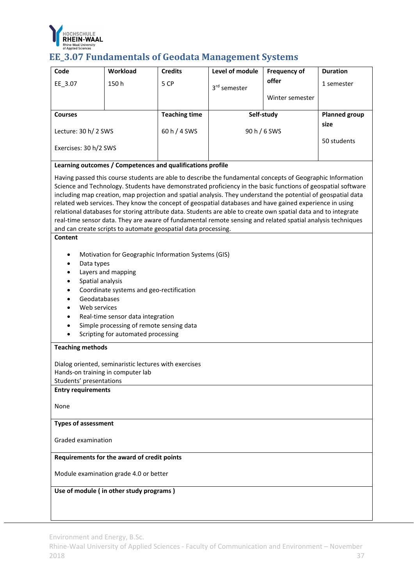

# **EE\_3.07 Fundamentals of Geodata Management Systems**

| Code                              | Workload                                                       | <b>Credits</b>       | Level of module                                                                                                | <b>Frequency of</b> | <b>Duration</b>      |
|-----------------------------------|----------------------------------------------------------------|----------------------|----------------------------------------------------------------------------------------------------------------|---------------------|----------------------|
| EE_3.07                           | 150h                                                           | 5 CP                 |                                                                                                                | offer               | 1 semester           |
|                                   |                                                                |                      | 3rd semester                                                                                                   |                     |                      |
|                                   |                                                                |                      |                                                                                                                | Winter semester     |                      |
| <b>Courses</b>                    |                                                                | <b>Teaching time</b> |                                                                                                                | Self-study          | <b>Planned group</b> |
|                                   |                                                                |                      |                                                                                                                |                     | size                 |
| Lecture: 30 h/ 2 SWS              |                                                                | 60 h / 4 SWS         |                                                                                                                | 90 h / 6 SWS        |                      |
|                                   |                                                                |                      |                                                                                                                |                     | 50 students          |
| Exercises: 30 h/2 SWS             |                                                                |                      |                                                                                                                |                     |                      |
|                                   | Learning outcomes / Competences and qualifications profile     |                      |                                                                                                                |                     |                      |
|                                   |                                                                |                      | Having passed this course students are able to describe the fundamental concepts of Geographic Information     |                     |                      |
|                                   |                                                                |                      | Science and Technology. Students have demonstrated proficiency in the basic functions of geospatial software   |                     |                      |
|                                   |                                                                |                      | including map creation, map projection and spatial analysis. They understand the potential of geospatial data  |                     |                      |
|                                   |                                                                |                      | related web services. They know the concept of geospatial databases and have gained experience in using        |                     |                      |
|                                   |                                                                |                      | relational databases for storing attribute data. Students are able to create own spatial data and to integrate |                     |                      |
|                                   |                                                                |                      | real-time sensor data. They are aware of fundamental remote sensing and related spatial analysis techniques    |                     |                      |
|                                   | and can create scripts to automate geospatial data processing. |                      |                                                                                                                |                     |                      |
| Content                           |                                                                |                      |                                                                                                                |                     |                      |
|                                   |                                                                |                      |                                                                                                                |                     |                      |
|                                   | Motivation for Geographic Information Systems (GIS)            |                      |                                                                                                                |                     |                      |
| Data types                        |                                                                |                      |                                                                                                                |                     |                      |
|                                   | Layers and mapping                                             |                      |                                                                                                                |                     |                      |
| Spatial analysis                  |                                                                |                      |                                                                                                                |                     |                      |
|                                   | Coordinate systems and geo-rectification                       |                      |                                                                                                                |                     |                      |
| Geodatabases                      |                                                                |                      |                                                                                                                |                     |                      |
| Web services                      |                                                                |                      |                                                                                                                |                     |                      |
|                                   | Real-time sensor data integration                              |                      |                                                                                                                |                     |                      |
|                                   | Simple processing of remote sensing data                       |                      |                                                                                                                |                     |                      |
|                                   | Scripting for automated processing                             |                      |                                                                                                                |                     |                      |
| <b>Teaching methods</b>           |                                                                |                      |                                                                                                                |                     |                      |
|                                   | Dialog oriented, seminaristic lectures with exercises          |                      |                                                                                                                |                     |                      |
| Hands-on training in computer lab |                                                                |                      |                                                                                                                |                     |                      |
| Students' presentations           |                                                                |                      |                                                                                                                |                     |                      |
| <b>Entry requirements</b>         |                                                                |                      |                                                                                                                |                     |                      |
|                                   |                                                                |                      |                                                                                                                |                     |                      |
| None                              |                                                                |                      |                                                                                                                |                     |                      |
| <b>Types of assessment</b>        |                                                                |                      |                                                                                                                |                     |                      |
|                                   |                                                                |                      |                                                                                                                |                     |                      |
| Graded examination                |                                                                |                      |                                                                                                                |                     |                      |
|                                   | Requirements for the award of credit points                    |                      |                                                                                                                |                     |                      |
|                                   | Module examination grade 4.0 or better                         |                      |                                                                                                                |                     |                      |
|                                   | Use of module (in other study programs)                        |                      |                                                                                                                |                     |                      |
|                                   |                                                                |                      |                                                                                                                |                     |                      |
|                                   |                                                                |                      |                                                                                                                |                     |                      |
|                                   |                                                                |                      |                                                                                                                |                     |                      |

Environment and Energy, B.Sc.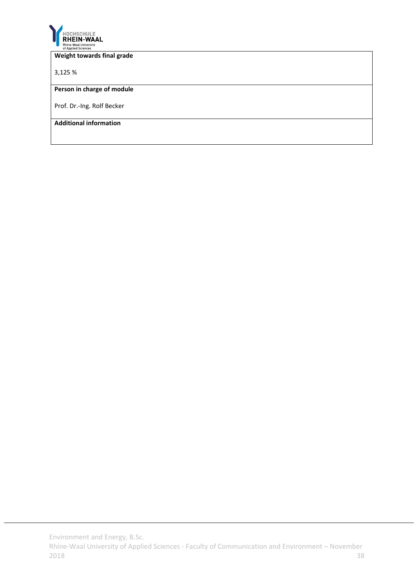

#### **Weight towards final grade**

3,125 %

#### **Person in charge of module**

Prof. Dr.‐Ing. Rolf Becker

**Additional information**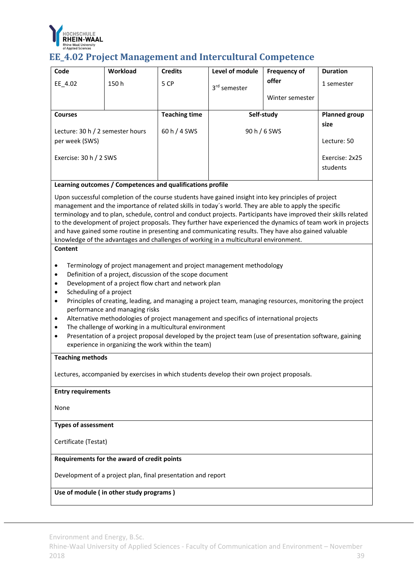

# **EE\_4.02 Project Management and Intercultural Competence**

| Code                                                                                                                                       | <b>Workload</b>                                                                                                                                                                                                                                                                                                                                                                                                                                                                                                                                                                                                                                    | <b>Credits</b>       | Level of module                                                                           | <b>Frequency of</b> | <b>Duration</b>      |  |  |  |
|--------------------------------------------------------------------------------------------------------------------------------------------|----------------------------------------------------------------------------------------------------------------------------------------------------------------------------------------------------------------------------------------------------------------------------------------------------------------------------------------------------------------------------------------------------------------------------------------------------------------------------------------------------------------------------------------------------------------------------------------------------------------------------------------------------|----------------------|-------------------------------------------------------------------------------------------|---------------------|----------------------|--|--|--|
| EE_4.02                                                                                                                                    | 150h                                                                                                                                                                                                                                                                                                                                                                                                                                                                                                                                                                                                                                               | 5 CP                 | 3 <sup>rd</sup> semester                                                                  | offer               | 1 semester           |  |  |  |
|                                                                                                                                            |                                                                                                                                                                                                                                                                                                                                                                                                                                                                                                                                                                                                                                                    |                      |                                                                                           | Winter semester     |                      |  |  |  |
| <b>Courses</b>                                                                                                                             |                                                                                                                                                                                                                                                                                                                                                                                                                                                                                                                                                                                                                                                    | <b>Teaching time</b> |                                                                                           | Self-study          | <b>Planned group</b> |  |  |  |
|                                                                                                                                            |                                                                                                                                                                                                                                                                                                                                                                                                                                                                                                                                                                                                                                                    |                      |                                                                                           |                     | size                 |  |  |  |
| Lecture: 30 h / 2 semester hours                                                                                                           |                                                                                                                                                                                                                                                                                                                                                                                                                                                                                                                                                                                                                                                    | 60 h / 4 SWS         |                                                                                           | 90 h / 6 SWS        |                      |  |  |  |
| per week (SWS)                                                                                                                             |                                                                                                                                                                                                                                                                                                                                                                                                                                                                                                                                                                                                                                                    |                      |                                                                                           |                     | Lecture: 50          |  |  |  |
| Exercise: 30 h / 2 SWS                                                                                                                     |                                                                                                                                                                                                                                                                                                                                                                                                                                                                                                                                                                                                                                                    |                      |                                                                                           |                     | Exercise: 2x25       |  |  |  |
|                                                                                                                                            |                                                                                                                                                                                                                                                                                                                                                                                                                                                                                                                                                                                                                                                    |                      |                                                                                           |                     | students             |  |  |  |
|                                                                                                                                            | Learning outcomes / Competences and qualifications profile                                                                                                                                                                                                                                                                                                                                                                                                                                                                                                                                                                                         |                      |                                                                                           |                     |                      |  |  |  |
| Content                                                                                                                                    | Upon successful completion of the course students have gained insight into key principles of project<br>management and the importance of related skills in today's world. They are able to apply the specific<br>terminology and to plan, schedule, control and conduct projects. Participants have improved their skills related<br>to the development of project proposals. They further have experienced the dynamics of team work in projects<br>and have gained some routine in presenting and communicating results. They have also gained valuable<br>knowledge of the advantages and challenges of working in a multicultural environment. |                      |                                                                                           |                     |                      |  |  |  |
| $\bullet$<br>٠<br>٠<br>$\bullet$<br>$\bullet$<br>$\bullet$<br>$\bullet$<br>$\bullet$<br>experience in organizing the work within the team) | Terminology of project management and project management methodology<br>Definition of a project, discussion of the scope document<br>Development of a project flow chart and network plan<br>Scheduling of a project<br>Principles of creating, leading, and managing a project team, managing resources, monitoring the project<br>performance and managing risks<br>Alternative methodologies of project management and specifics of international projects<br>The challenge of working in a multicultural environment<br>Presentation of a project proposal developed by the project team (use of presentation software, gaining                |                      |                                                                                           |                     |                      |  |  |  |
| <b>Teaching methods</b>                                                                                                                    |                                                                                                                                                                                                                                                                                                                                                                                                                                                                                                                                                                                                                                                    |                      |                                                                                           |                     |                      |  |  |  |
|                                                                                                                                            |                                                                                                                                                                                                                                                                                                                                                                                                                                                                                                                                                                                                                                                    |                      | Lectures, accompanied by exercises in which students develop their own project proposals. |                     |                      |  |  |  |
| <b>Entry requirements</b>                                                                                                                  |                                                                                                                                                                                                                                                                                                                                                                                                                                                                                                                                                                                                                                                    |                      |                                                                                           |                     |                      |  |  |  |
| None                                                                                                                                       |                                                                                                                                                                                                                                                                                                                                                                                                                                                                                                                                                                                                                                                    |                      |                                                                                           |                     |                      |  |  |  |
| <b>Types of assessment</b>                                                                                                                 |                                                                                                                                                                                                                                                                                                                                                                                                                                                                                                                                                                                                                                                    |                      |                                                                                           |                     |                      |  |  |  |
| Certificate (Testat)                                                                                                                       |                                                                                                                                                                                                                                                                                                                                                                                                                                                                                                                                                                                                                                                    |                      |                                                                                           |                     |                      |  |  |  |
|                                                                                                                                            | Requirements for the award of credit points                                                                                                                                                                                                                                                                                                                                                                                                                                                                                                                                                                                                        |                      |                                                                                           |                     |                      |  |  |  |
| Development of a project plan, final presentation and report                                                                               |                                                                                                                                                                                                                                                                                                                                                                                                                                                                                                                                                                                                                                                    |                      |                                                                                           |                     |                      |  |  |  |
|                                                                                                                                            | Use of module (in other study programs)                                                                                                                                                                                                                                                                                                                                                                                                                                                                                                                                                                                                            |                      |                                                                                           |                     |                      |  |  |  |

Environment and Energy, B.Sc.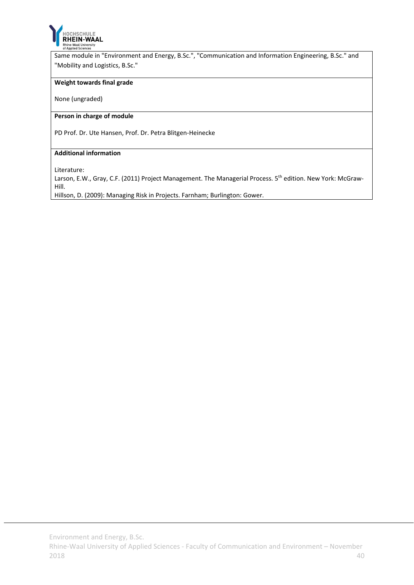

Same module in "Environment and Energy, B.Sc.", "Communication and Information Engineering, B.Sc." and "Mobility and Logistics, B.Sc."

#### **Weight towards final grade**

None (ungraded)

#### **Person in charge of module**

PD Prof. Dr. Ute Hansen, Prof. Dr. Petra Blitgen‐Heinecke

#### **Additional information**

Literature:

Larson, E.W., Gray, C.F. (2011) Project Management. The Managerial Process. 5<sup>th</sup> edition. New York: McGraw-Hill.

Hillson, D. (2009): Managing Risk in Projects. Farnham; Burlington: Gower.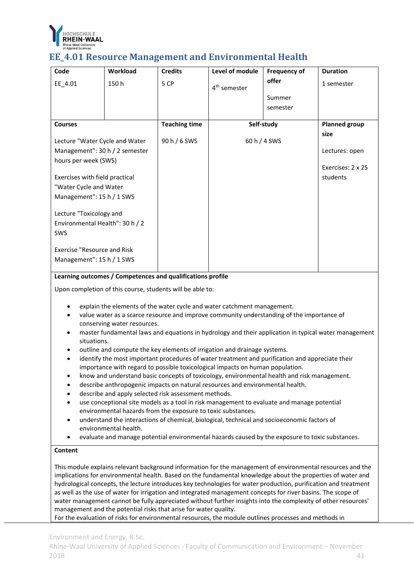

### **EE** 4.01 Resource Management and Environmental Health

| Code                               | Workload | <b>Credits</b>                                             | Level of module          | <b>Frequency of</b> | <b>Duration</b>      |
|------------------------------------|----------|------------------------------------------------------------|--------------------------|---------------------|----------------------|
| EE_4.01                            | 150h     | 5 CP                                                       | 4 <sup>th</sup> semester | offer               | 1 semester           |
|                                    |          |                                                            |                          | Summer              |                      |
|                                    |          |                                                            |                          | semester            |                      |
| <b>Courses</b>                     |          | <b>Teaching time</b>                                       |                          | Self-study          | <b>Planned group</b> |
|                                    |          |                                                            |                          |                     | size                 |
| Lecture "Water Cycle and Water     |          | 90 h / 6 SWS                                               |                          | 60 h / 4 SWS        |                      |
| Management": 30 h / 2 semester     |          |                                                            |                          |                     | Lectures: open       |
| hours per week (SWS)               |          |                                                            |                          |                     | Exercises: 2 x 25    |
|                                    |          |                                                            |                          |                     |                      |
| Exercises with field practical     |          |                                                            |                          |                     | students             |
| "Water Cycle and Water             |          |                                                            |                          |                     |                      |
| Management": 15 h / 1 SWS          |          |                                                            |                          |                     |                      |
| Lecture "Toxicology and            |          |                                                            |                          |                     |                      |
| Environmental Health": 30 h / 2    |          |                                                            |                          |                     |                      |
|                                    |          |                                                            |                          |                     |                      |
| <b>SWS</b>                         |          |                                                            |                          |                     |                      |
| <b>Exercise "Resource and Risk</b> |          |                                                            |                          |                     |                      |
| Management": 15 h / 1 SWS          |          |                                                            |                          |                     |                      |
|                                    |          |                                                            |                          |                     |                      |
|                                    |          | Learning outcomes / Competences and qualifications profile |                          |                     |                      |

**Learning outcomes / Competences and qualifications profile**

Upon completion of this course, students will be able to:

- explain the elements of the water cycle and water catchment management.
- value water as a scarce resource and improve community understanding of the importance of conserving water resources.
- master fundamental laws and equations in hydrology and their application in typical water management situations.
- outline and compute the key elements of irrigation and drainage systems.
- identify the most important procedures of water treatment and purification and appreciate their importance with regard to possible toxicological impacts on human population.
- know and understand basic concepts of toxicology, environmental health and risk management.
- describe anthropogenic impacts on natural resources and environmental health.
- describe and apply selected risk assessment methods.
- use conceptional site models as a tool in risk management to evaluate and manage potential environmental hazards from the exposure to toxic substances.
- understand the interactions of chemical, biological, technical and socioeconomic factors of environmental health.
- evaluate and manage potential environmental hazards caused by the exposure to toxic substances.

#### **Content**

This module explains relevant background information for the management of environmental resources and the implications for environmental health. Based on the fundamental knowledge about the properties of water and hydrological concepts, the lecture introduces key technologies for water production, purification and treatment as well as the use of water for irrigation and integrated management concepts for river basins. The scope of water management cannot be fully appreciated without further insights into the complexity of other resources' management and the potential risks that arise for water quality.

For the evaluation of risks for environmental resources, the module outlines processes and methods in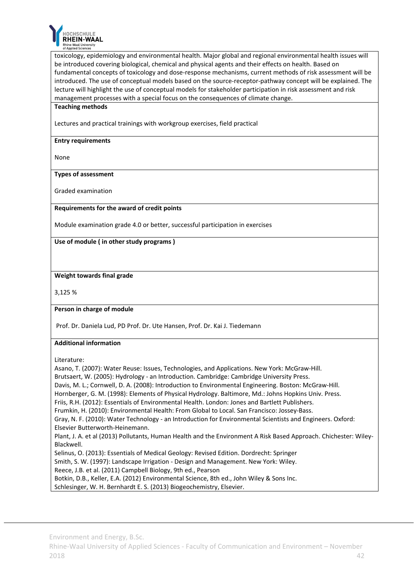

toxicology, epidemiology and environmental health. Major global and regional environmental health issues will be introduced covering biological, chemical and physical agents and their effects on health. Based on fundamental concepts of toxicology and dose-response mechanisms, current methods of risk assessment will be introduced. The use of conceptual models based on the source‐receptor‐pathway concept will be explained. The lecture will highlight the use of conceptual models for stakeholder participation in risk assessment and risk management processes with a special focus on the consequences of climate change.

#### **Teaching methods**

Lectures and practical trainings with workgroup exercises, field practical

#### **Entry requirements**

None

#### **Types of assessment**

Graded examination

#### **Requirements for the award of credit points**

Module examination grade 4.0 or better, successful participation in exercises

#### **Use of module ( in other study programs )**

#### **Weight towards final grade**

3,125 %

#### **Person in charge of module**

Prof. Dr. Daniela Lud, PD Prof. Dr. Ute Hansen, Prof. Dr. Kai J. Tiedemann

#### **Additional information**

Literature:

Asano, T. (2007): Water Reuse: Issues, Technologies, and Applications. New York: McGraw‐Hill. Brutsaert, W. (2005): Hydrology ‐ an Introduction. Cambridge: Cambridge University Press. Davis, M. L.; Cornwell, D. A. (2008): Introduction to Environmental Engineering. Boston: McGraw‐Hill. Hornberger, G. M. (1998): Elements of Physical Hydrology. Baltimore, Md.: Johns Hopkins Univ. Press. Friis, R.H. (2012): Essentials of Environmental Health. London: Jones and Bartlett Publishers. Frumkin, H. (2010): Environmental Health: From Global to Local. San Francisco: Jossey‐Bass. Gray, N. F. (2010): Water Technology ‐ an Introduction for Environmental Scientists and Engineers. Oxford: Elsevier Butterworth‐Heinemann. Plant, J. A. et al (2013) Pollutants, Human Health and the Environment A Risk Based Approach. Chichester: Wiley‐ Blackwell. Selinus, O. (2013): Essentials of Medical Geology: Revised Edition. Dordrecht: Springer Smith, S. W. (1997): Landscape Irrigation ‐ Design and Management. New York: Wiley. Reece, J.B. et al. (2011) Campbell Biology, 9th ed., Pearson Botkin, D.B., Keller, E.A. (2012) Environmental Science, 8th ed., John Wiley & Sons Inc. Schlesinger, W. H. Bernhardt E. S. (2013) Biogeochemistry, Elsevier.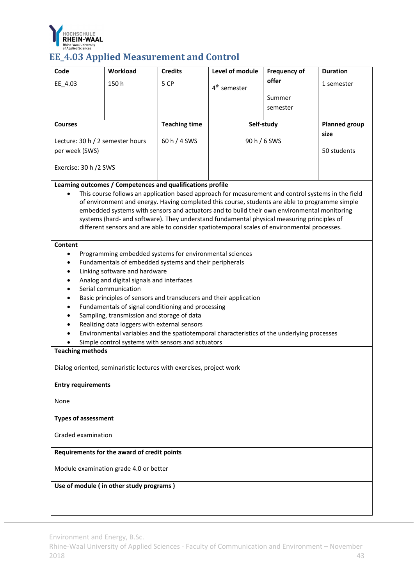

# EE\_4.03 Applied Measurement and Control

| Code                             | Workload                                                            | <b>Credits</b>       | Level of module                                                                                    | <b>Frequency of</b> | <b>Duration</b>      |  |  |
|----------------------------------|---------------------------------------------------------------------|----------------------|----------------------------------------------------------------------------------------------------|---------------------|----------------------|--|--|
| EE_4.03                          | 150h                                                                | 5 CP                 |                                                                                                    | offer               | 1 semester           |  |  |
|                                  |                                                                     |                      | 4 <sup>th</sup> semester                                                                           |                     |                      |  |  |
|                                  |                                                                     |                      |                                                                                                    | Summer              |                      |  |  |
|                                  |                                                                     |                      |                                                                                                    | semester            |                      |  |  |
| <b>Courses</b>                   |                                                                     | <b>Teaching time</b> |                                                                                                    | Self-study          | <b>Planned group</b> |  |  |
|                                  |                                                                     |                      |                                                                                                    |                     | size                 |  |  |
| Lecture: 30 h / 2 semester hours |                                                                     | 60 h / 4 SWS         |                                                                                                    | 90 h / 6 SWS        |                      |  |  |
| per week (SWS)                   |                                                                     |                      |                                                                                                    |                     | 50 students          |  |  |
|                                  |                                                                     |                      |                                                                                                    |                     |                      |  |  |
| Exercise: 30 h /2 SWS            |                                                                     |                      |                                                                                                    |                     |                      |  |  |
|                                  | Learning outcomes / Competences and qualifications profile          |                      |                                                                                                    |                     |                      |  |  |
|                                  |                                                                     |                      | This course follows an application based approach for measurement and control systems in the field |                     |                      |  |  |
|                                  |                                                                     |                      | of environment and energy. Having completed this course, students are able to programme simple     |                     |                      |  |  |
|                                  |                                                                     |                      | embedded systems with sensors and actuators and to build their own environmental monitoring        |                     |                      |  |  |
|                                  |                                                                     |                      | systems (hard- and software). They understand fundamental physical measuring principles of         |                     |                      |  |  |
|                                  |                                                                     |                      | different sensors and are able to consider spatiotemporal scales of environmental processes.       |                     |                      |  |  |
| Content                          |                                                                     |                      |                                                                                                    |                     |                      |  |  |
| $\bullet$                        | Programming embedded systems for environmental sciences             |                      |                                                                                                    |                     |                      |  |  |
| $\bullet$                        | Fundamentals of embedded systems and their peripherals              |                      |                                                                                                    |                     |                      |  |  |
|                                  | Linking software and hardware                                       |                      |                                                                                                    |                     |                      |  |  |
|                                  | Analog and digital signals and interfaces                           |                      |                                                                                                    |                     |                      |  |  |
|                                  | Serial communication                                                |                      |                                                                                                    |                     |                      |  |  |
|                                  | Basic principles of sensors and transducers and their application   |                      |                                                                                                    |                     |                      |  |  |
|                                  | Fundamentals of signal conditioning and processing                  |                      |                                                                                                    |                     |                      |  |  |
|                                  | Sampling, transmission and storage of data                          |                      |                                                                                                    |                     |                      |  |  |
|                                  | Realizing data loggers with external sensors                        |                      |                                                                                                    |                     |                      |  |  |
|                                  |                                                                     |                      | Environmental variables and the spatiotemporal characteristics of the underlying processes         |                     |                      |  |  |
|                                  | Simple control systems with sensors and actuators                   |                      |                                                                                                    |                     |                      |  |  |
| <b>Teaching methods</b>          |                                                                     |                      |                                                                                                    |                     |                      |  |  |
|                                  |                                                                     |                      |                                                                                                    |                     |                      |  |  |
|                                  | Dialog oriented, seminaristic lectures with exercises, project work |                      |                                                                                                    |                     |                      |  |  |
| <b>Entry requirements</b>        |                                                                     |                      |                                                                                                    |                     |                      |  |  |
|                                  |                                                                     |                      |                                                                                                    |                     |                      |  |  |
| None                             |                                                                     |                      |                                                                                                    |                     |                      |  |  |
|                                  |                                                                     |                      |                                                                                                    |                     |                      |  |  |
| <b>Types of assessment</b>       |                                                                     |                      |                                                                                                    |                     |                      |  |  |
|                                  |                                                                     |                      |                                                                                                    |                     |                      |  |  |
|                                  | Graded examination                                                  |                      |                                                                                                    |                     |                      |  |  |
|                                  | Requirements for the award of credit points                         |                      |                                                                                                    |                     |                      |  |  |
|                                  | Module examination grade 4.0 or better                              |                      |                                                                                                    |                     |                      |  |  |
|                                  | Use of module (in other study programs)                             |                      |                                                                                                    |                     |                      |  |  |
|                                  |                                                                     |                      |                                                                                                    |                     |                      |  |  |
|                                  |                                                                     |                      |                                                                                                    |                     |                      |  |  |
|                                  |                                                                     |                      |                                                                                                    |                     |                      |  |  |

Environment and Energy, B.Sc.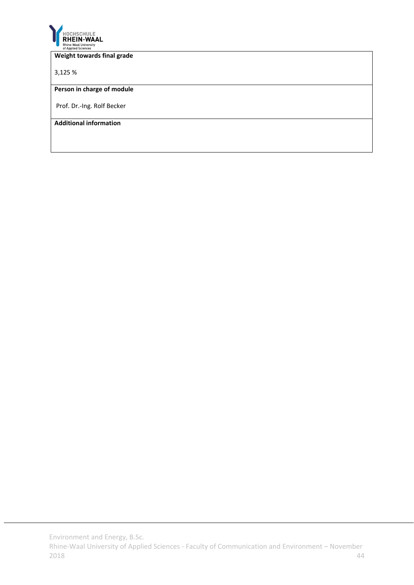

#### **Weight towards final grade**

3,125 %

### **Person in charge of module**

Prof. Dr.‐Ing. Rolf Becker

**Additional information**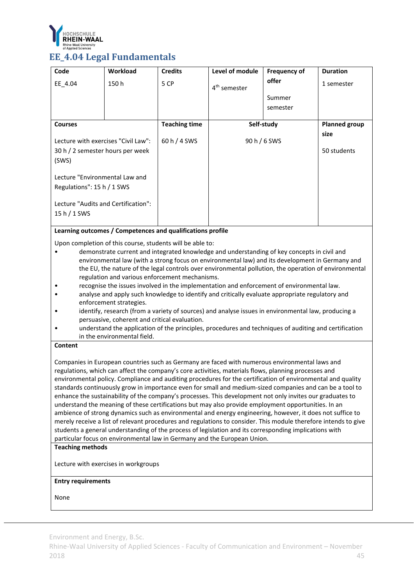

## **EE\_4.04 Legal Fundamentals**

| Code                                | <b>Workload</b> | <b>Credits</b>       | Level of module          | <b>Frequency of</b> | <b>Duration</b>      |
|-------------------------------------|-----------------|----------------------|--------------------------|---------------------|----------------------|
| EE 4.04                             | 150 h           | 5 CP                 | 4 <sup>th</sup> semester | offer               | 1 semester           |
|                                     |                 |                      |                          | Summer              |                      |
|                                     |                 |                      |                          | semester            |                      |
|                                     |                 |                      |                          |                     |                      |
| <b>Courses</b>                      |                 | <b>Teaching time</b> |                          | Self-study          | <b>Planned group</b> |
| Lecture with exercises "Civil Law": |                 | 60 h / 4 SWS         | 90 h / 6 SWS             |                     | size                 |
| 30 h / 2 semester hours per week    |                 |                      |                          |                     | 50 students          |
| (SWS)                               |                 |                      |                          |                     |                      |
| Lecture "Environmental Law and      |                 |                      |                          |                     |                      |
| Regulations": 15 h / 1 SWS          |                 |                      |                          |                     |                      |
| Lecture "Audits and Certification": |                 |                      |                          |                     |                      |
|                                     |                 |                      |                          |                     |                      |
| $15 h / 1$ SWS                      |                 |                      |                          |                     |                      |

#### **Learning outcomes / Competences and qualifications profile**

Upon completion of this course, students will be able to:

- demonstrate current and integrated knowledge and understanding of key concepts in civil and environmental law (with a strong focus on environmental law) and its development in Germany and the EU, the nature of the legal controls over environmental pollution, the operation of environmental regulation and various enforcement mechanisms.
- recognise the issues involved in the implementation and enforcement of environmental law.
- analyse and apply such knowledge to identify and critically evaluate appropriate regulatory and enforcement strategies.
- identify, research (from a variety of sources) and analyse issues in environmental law, producing a persuasive, coherent and critical evaluation.
- understand the application of the principles, procedures and techniques of auditing and certification in the environmental field.

#### **Content**

Companies in European countries such as Germany are faced with numerous environmental laws and regulations, which can affect the company's core activities, materials flows, planning processes and environmental policy. Compliance and auditing procedures for the certification of environmental and quality standards continuously grow in importance even for small and medium‐sized companies and can be a tool to enhance the sustainability of the company's processes. This development not only invites our graduates to understand the meaning of these certifications but may also provide employment opportunities. In an ambience of strong dynamics such as environmental and energy engineering, however, it does not suffice to merely receive a list of relevant procedures and regulations to consider. This module therefore intends to give students a general understanding of the process of legislation and its corresponding implications with particular focus on environmental law in Germany and the European Union.

#### **Teaching methods**

Lecture with exercises in workgroups

#### **Entry requirements**

None

Environment and Energy, B.Sc.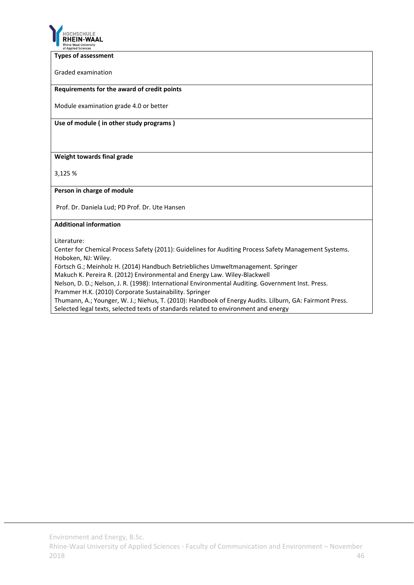

#### **Types of assessment**

Graded examination

#### **Requirements for the award of credit points**

Module examination grade 4.0 or better

**Use of module ( in other study programs )**

**Weight towards final grade**

3,125 %

#### **Person in charge of module**

Prof. Dr. Daniela Lud; PD Prof. Dr. Ute Hansen

#### **Additional information**

Literature:

Center for Chemical Process Safety (2011): Guidelines for Auditing Process Safety Management Systems. Hoboken, NJ: Wiley.

Förtsch G.; Meinholz H. (2014) Handbuch Betriebliches Umweltmanagement. Springer

Makuch K. Pereira R. (2012) Environmental and Energy Law. Wiley‐Blackwell

Nelson, D. D.; Nelson, J. R. (1998): International Environmental Auditing. Government Inst. Press.

Prammer H.K. (2010) Corporate Sustainability. Springer

Thumann, A.; Younger, W. J.; Niehus, T. (2010): Handbook of Energy Audits. Lilburn, GA: Fairmont Press.

Selected legal texts, selected texts of standards related to environment and energy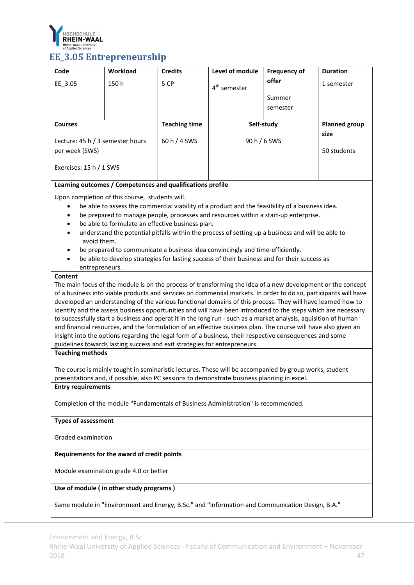

# **EE\_3.05 Entrepreneurship**

| Code                                               | Workload                                                                  | <b>Credits</b>       | Level of module                                                                                                                                                                                                              | <b>Frequency of</b> | <b>Duration</b>      |
|----------------------------------------------------|---------------------------------------------------------------------------|----------------------|------------------------------------------------------------------------------------------------------------------------------------------------------------------------------------------------------------------------------|---------------------|----------------------|
| EE_3.05                                            | 150h                                                                      | 5 CP                 | 4 <sup>th</sup> semester                                                                                                                                                                                                     | offer               | 1 semester           |
|                                                    |                                                                           |                      |                                                                                                                                                                                                                              | Summer              |                      |
|                                                    |                                                                           |                      |                                                                                                                                                                                                                              | semester            |                      |
| <b>Courses</b>                                     |                                                                           | <b>Teaching time</b> |                                                                                                                                                                                                                              | Self-study          | <b>Planned group</b> |
|                                                    |                                                                           |                      |                                                                                                                                                                                                                              |                     | size                 |
| Lecture: 45 h / 3 semester hours<br>per week (SWS) |                                                                           | 60 h / 4 SWS         |                                                                                                                                                                                                                              | 90 h / 6 SWS        | 50 students          |
|                                                    |                                                                           |                      |                                                                                                                                                                                                                              |                     |                      |
| Exercises: 15 h / 1 SWS                            |                                                                           |                      |                                                                                                                                                                                                                              |                     |                      |
|                                                    | Learning outcomes / Competences and qualifications profile                |                      |                                                                                                                                                                                                                              |                     |                      |
|                                                    | Upon completion of this course, students will.                            |                      |                                                                                                                                                                                                                              |                     |                      |
| $\bullet$                                          |                                                                           |                      | be able to assess the commercial viability of a product and the feasibility of a business idea.                                                                                                                              |                     |                      |
|                                                    | be able to formulate an effective business plan.                          |                      | be prepared to manage people, processes and resources within a start-up enterprise.                                                                                                                                          |                     |                      |
|                                                    |                                                                           |                      | understand the potential pitfalls within the process of setting up a business and will be able to                                                                                                                            |                     |                      |
| avoid them.                                        |                                                                           |                      |                                                                                                                                                                                                                              |                     |                      |
|                                                    |                                                                           |                      | be prepared to communicate a business idea convincingly and time-efficiently.                                                                                                                                                |                     |                      |
| entrepreneurs.                                     |                                                                           |                      | be able to develop strategies for lasting success of their business and for their success as                                                                                                                                 |                     |                      |
| <b>Content</b>                                     |                                                                           |                      |                                                                                                                                                                                                                              |                     |                      |
|                                                    |                                                                           |                      | The main focus of the module is on the process of transforming the idea of a new development or the concept                                                                                                                  |                     |                      |
|                                                    |                                                                           |                      | of a business into viable products and services on commercial markets. In order to do so, participants will have                                                                                                             |                     |                      |
|                                                    |                                                                           |                      | developed an understanding of the various functional domains of this process. They will have learned how to<br>identify and the assess business opportunities and will have been introduced to the steps which are necessary |                     |                      |
|                                                    |                                                                           |                      | to successfully start a business and operat it in the long run - such as a market analysis, aquisition of human                                                                                                              |                     |                      |
|                                                    |                                                                           |                      | and financial resources, and the formulation of an effective business plan. The course will have also given an                                                                                                               |                     |                      |
|                                                    | guidelines towards lasting success and exit strategies for entrepreneurs. |                      | insight into the options regarding the legal form of a business, their respective consequences and some                                                                                                                      |                     |                      |
| <b>Teaching methods</b>                            |                                                                           |                      |                                                                                                                                                                                                                              |                     |                      |
|                                                    |                                                                           |                      |                                                                                                                                                                                                                              |                     |                      |
|                                                    |                                                                           |                      | The course is mainly tought in seminaristic lectures. These will be accompanied by group works, student<br>presentations and, if possible, also PC sessions to demonstrate business planning in excel.                       |                     |                      |
| <b>Entry requirements</b>                          |                                                                           |                      |                                                                                                                                                                                                                              |                     |                      |
|                                                    |                                                                           |                      |                                                                                                                                                                                                                              |                     |                      |
|                                                    |                                                                           |                      | Completion of the module "Fundamentals of Business Administration" is recommended.                                                                                                                                           |                     |                      |
| <b>Types of assessment</b>                         |                                                                           |                      |                                                                                                                                                                                                                              |                     |                      |
|                                                    |                                                                           |                      |                                                                                                                                                                                                                              |                     |                      |
| Graded examination                                 |                                                                           |                      |                                                                                                                                                                                                                              |                     |                      |
|                                                    | Requirements for the award of credit points                               |                      |                                                                                                                                                                                                                              |                     |                      |
|                                                    | Module examination grade 4.0 or better                                    |                      |                                                                                                                                                                                                                              |                     |                      |
|                                                    | Use of module (in other study programs)                                   |                      |                                                                                                                                                                                                                              |                     |                      |
|                                                    |                                                                           |                      | Same module in "Environment and Energy, B.Sc." and "Information and Communication Design, B.A."                                                                                                                              |                     |                      |

Environment and Energy, B.Sc.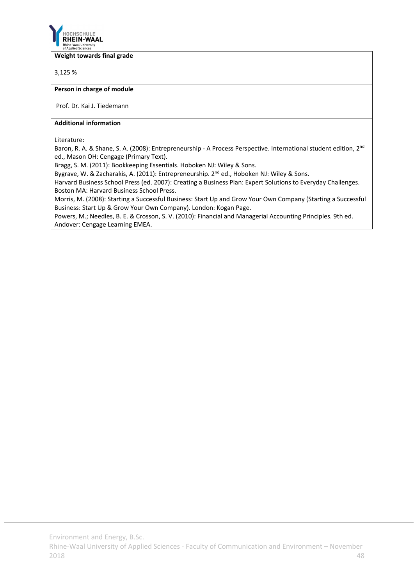

#### **Weight towards final grade**

3,125 %

#### **Person in charge of module**

Prof. Dr. Kai J. Tiedemann

#### **Additional information**

Literature:

Baron, R. A. & Shane, S. A. (2008): Entrepreneurship - A Process Perspective. International student edition, 2<sup>nd</sup> ed., Mason OH: Cengage (Primary Text).

Bragg, S. M. (2011): Bookkeeping Essentials. Hoboken NJ: Wiley & Sons.

Bygrave, W. & Zacharakis, A. (2011): Entrepreneurship. 2<sup>nd</sup> ed., Hoboken NJ: Wiley & Sons.

Harvard Business School Press (ed. 2007): Creating a Business Plan: Expert Solutions to Everyday Challenges. Boston MA: Harvard Business School Press.

Morris, M. (2008): Starting a Successful Business: Start Up and Grow Your Own Company (Starting a Successful Business: Start Up & Grow Your Own Company). London: Kogan Page.

Powers, M.; Needles, B. E. & Crosson, S. V. (2010): Financial and Managerial Accounting Principles. 9th ed. Andover: Cengage Learning EMEA.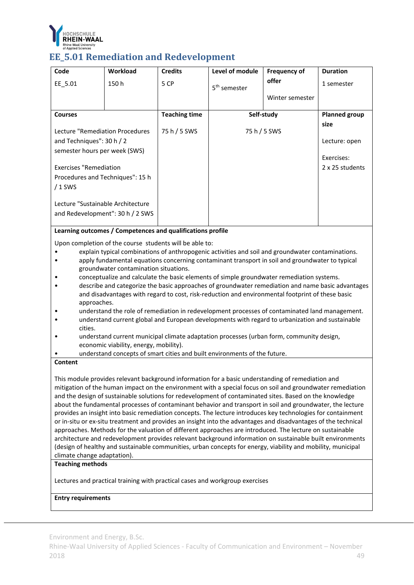

### **EE\_5.01** Remediation and Redevelopment

| Code                              | Workload                                                                                                                                                                                              | <b>Credits</b>       | Level of module                                                                                   | <b>Frequency of</b> | <b>Duration</b>      |  |
|-----------------------------------|-------------------------------------------------------------------------------------------------------------------------------------------------------------------------------------------------------|----------------------|---------------------------------------------------------------------------------------------------|---------------------|----------------------|--|
| EE 5.01                           | 150h                                                                                                                                                                                                  | 5 CP                 | 5 <sup>th</sup> semester                                                                          | offer               | 1 semester           |  |
|                                   |                                                                                                                                                                                                       |                      |                                                                                                   | Winter semester     |                      |  |
|                                   |                                                                                                                                                                                                       |                      |                                                                                                   |                     |                      |  |
| <b>Courses</b>                    |                                                                                                                                                                                                       | <b>Teaching time</b> |                                                                                                   | Self-study          | <b>Planned group</b> |  |
|                                   |                                                                                                                                                                                                       |                      |                                                                                                   |                     | size                 |  |
| Lecture "Remediation Procedures   |                                                                                                                                                                                                       | 75 h / 5 SWS         |                                                                                                   | 75 h / 5 SWS        |                      |  |
| and Techniques": 30 h / 2         |                                                                                                                                                                                                       |                      |                                                                                                   |                     | Lecture: open        |  |
| semester hours per week (SWS)     |                                                                                                                                                                                                       |                      |                                                                                                   |                     | Exercises:           |  |
|                                   |                                                                                                                                                                                                       |                      |                                                                                                   |                     | 2 x 25 students      |  |
|                                   | <b>Exercises "Remediation</b><br>Procedures and Techniques": 15 h                                                                                                                                     |                      |                                                                                                   |                     |                      |  |
|                                   |                                                                                                                                                                                                       |                      |                                                                                                   |                     |                      |  |
| $/1$ SWS                          |                                                                                                                                                                                                       |                      |                                                                                                   |                     |                      |  |
| Lecture "Sustainable Architecture |                                                                                                                                                                                                       |                      |                                                                                                   |                     |                      |  |
|                                   | and Redevelopment": 30 h / 2 SWS                                                                                                                                                                      |                      |                                                                                                   |                     |                      |  |
|                                   |                                                                                                                                                                                                       |                      |                                                                                                   |                     |                      |  |
|                                   | Learning outcomes / Competences and qualifications profile                                                                                                                                            |                      |                                                                                                   |                     |                      |  |
|                                   | Upon completion of the course students will be able to:                                                                                                                                               |                      |                                                                                                   |                     |                      |  |
|                                   |                                                                                                                                                                                                       |                      | explain typical combinations of anthropogenic activities and soil and groundwater contaminations. |                     |                      |  |
|                                   |                                                                                                                                                                                                       |                      | apply fundamental equations concerning contaminant transport in soil and groundwater to typical   |                     |                      |  |
|                                   | groundwater contamination situations.                                                                                                                                                                 |                      |                                                                                                   |                     |                      |  |
|                                   |                                                                                                                                                                                                       |                      | conceptualize and calculate the basic elements of simple groundwater remediation systems.         |                     |                      |  |
|                                   | describe and categorize the basic approaches of groundwater remediation and name basic advantages<br>and disadvantages with regard to cost, risk-reduction and environmental footprint of these basic |                      |                                                                                                   |                     |                      |  |
|                                   |                                                                                                                                                                                                       |                      |                                                                                                   |                     |                      |  |
| approaches.                       |                                                                                                                                                                                                       |                      | understand the role of remediation in redevelopment processes of contaminated land management     |                     |                      |  |

- of remediation in redevelopment processes of contaminated land management. • understand current global and European developments with regard to urbanization and sustainable cities.
- understand current municipal climate adaptation processes (urban form, community design, economic viability, energy, mobility).
- understand concepts of smart cities and built environments of the future.

#### **Content**

This module provides relevant background information for a basic understanding of remediation and mitigation of the human impact on the environment with a special focus on soil and groundwater remediation and the design of sustainable solutions for redevelopment of contaminated sites. Based on the knowledge about the fundamental processes of contaminant behavior and transport in soil and groundwater, the lecture provides an insight into basic remediation concepts. The lecture introduces key technologies for containment or in‐situ or ex‐situ treatment and provides an insight into the advantages and disadvantages of the technical approaches. Methods for the valuation of different approaches are introduced. The lecture on sustainable architecture and redevelopment provides relevant background information on sustainable built environments (design of healthy and sustainable communities, urban concepts for energy, viability and mobility, municipal climate change adaptation).

#### **Teaching methods**

Lectures and practical training with practical cases and workgroup exercises

#### **Entry requirements**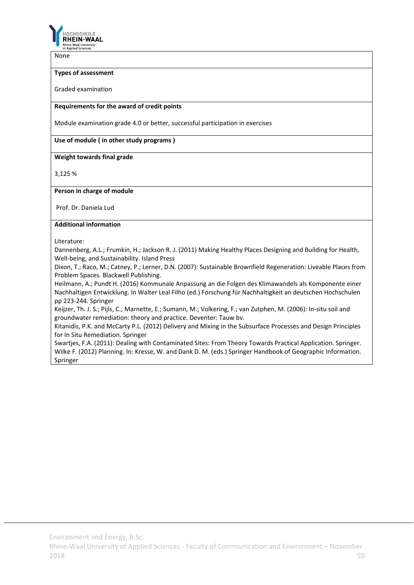

None

#### **Types of assessment**

Graded examination

#### **Requirements for the award of credit points**

Module examination grade 4.0 or better, successful participation in exercises

#### **Use of module ( in other study programs )**

#### **Weight towards final grade**

3,125 %

#### **Person in charge of module**

Prof. Dr. Daniela Lud

#### **Additional information**

Literature:

Dannenberg, A.L.; Frumkin, H.; Jackson R. J. (2011) Making Healthy Places Designing and Building for Health, Well‐being, and Sustainability. Island Press

Dixon, T.; Raco, M.; Catney, P.; Lerner, D.N. (2007): Sustainable Brownfield Regeneration: Liveable Places from Problem Spaces. Blackwell Publishing.

Heilmann, A.; Pundt H. (2016) Kommunale Anpassung an die Folgen des Klimawandels als Komponente einer Nachhaltigen Entwicklung. In Walter Leal Filho (ed.) Forschung für Nachhaltigkeit an deutschen Hochschulen pp 223‐244. Springer

Keijzer, Th. J. S.; Pijls, C.; Marnette, E.; Sumann, M.; Volkering, F.; van Zutphen, M. (2006): In‐situ soil and groundwater remediation: theory and practice. Deventer: Tauw bv.

Kitanidis, P.K. and McCarty P.L. (2012) Delivery and Mixing in the Subsurface Processes and Design Principles for In Situ Remediation. Springer

Swartjes, F.A. (2011): Dealing with Contaminated Sites: From Theory Towards Practical Application. Springer. Wilke F. (2012) Planning. In: Kresse, W. and Dank D. M. (eds.) Springer Handbook of Geographic Information. Springer

Environment and Energy, B.Sc.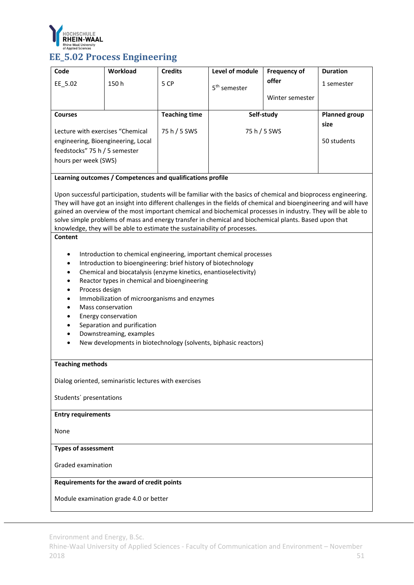

# **EE\_5.02** Process **Engineering**

| Code                               | Workload                                                                  | <b>Credits</b>       | Level of module                                                                                                    | <b>Frequency of</b> | <b>Duration</b>      |
|------------------------------------|---------------------------------------------------------------------------|----------------------|--------------------------------------------------------------------------------------------------------------------|---------------------|----------------------|
| EE_5.02                            | 150h                                                                      | 5 CP                 | 5 <sup>th</sup> semester                                                                                           | offer               | 1 semester           |
|                                    |                                                                           |                      |                                                                                                                    | Winter semester     |                      |
|                                    |                                                                           |                      |                                                                                                                    |                     |                      |
| <b>Courses</b>                     |                                                                           | <b>Teaching time</b> | Self-study                                                                                                         |                     | <b>Planned group</b> |
| Lecture with exercises "Chemical   |                                                                           | 75 h / 5 SWS         | 75 h / 5 SWS                                                                                                       |                     | size                 |
| engineering, Bioengineering, Local |                                                                           |                      |                                                                                                                    |                     | 50 students          |
| feedstocks" 75 h / 5 semester      |                                                                           |                      |                                                                                                                    |                     |                      |
| hours per week (SWS)               |                                                                           |                      |                                                                                                                    |                     |                      |
|                                    |                                                                           |                      |                                                                                                                    |                     |                      |
|                                    | Learning outcomes / Competences and qualifications profile                |                      |                                                                                                                    |                     |                      |
|                                    |                                                                           |                      | Upon successful participation, students will be familiar with the basics of chemical and bioprocess engineering.   |                     |                      |
|                                    |                                                                           |                      | They will have got an insight into different challenges in the fields of chemical and bioengineering and will have |                     |                      |
|                                    |                                                                           |                      | gained an overview of the most important chemical and biochemical processes in industry. They will be able to      |                     |                      |
|                                    |                                                                           |                      | solve simple problems of mass and energy transfer in chemical and biochemical plants. Based upon that              |                     |                      |
| Content                            | knowledge, they will be able to estimate the sustainability of processes. |                      |                                                                                                                    |                     |                      |
|                                    |                                                                           |                      |                                                                                                                    |                     |                      |
| ٠                                  |                                                                           |                      | Introduction to chemical engineering, important chemical processes                                                 |                     |                      |
| $\bullet$                          | Introduction to bioengineering: brief history of biotechnology            |                      |                                                                                                                    |                     |                      |
| $\bullet$                          | Chemical and biocatalysis (enzyme kinetics, enantioselectivity)           |                      |                                                                                                                    |                     |                      |
| $\bullet$                          | Reactor types in chemical and bioengineering                              |                      |                                                                                                                    |                     |                      |
| Process design<br>٠                |                                                                           |                      |                                                                                                                    |                     |                      |
| $\bullet$                          | Immobilization of microorganisms and enzymes<br>Mass conservation         |                      |                                                                                                                    |                     |                      |
| $\bullet$                          | Energy conservation                                                       |                      |                                                                                                                    |                     |                      |
|                                    | Separation and purification                                               |                      |                                                                                                                    |                     |                      |
|                                    | Downstreaming, examples                                                   |                      |                                                                                                                    |                     |                      |
|                                    |                                                                           |                      | New developments in biotechnology (solvents, biphasic reactors)                                                    |                     |                      |
|                                    |                                                                           |                      |                                                                                                                    |                     |                      |
| <b>Teaching methods</b>            |                                                                           |                      |                                                                                                                    |                     |                      |
|                                    |                                                                           |                      |                                                                                                                    |                     |                      |
|                                    | Dialog oriented, seminaristic lectures with exercises                     |                      |                                                                                                                    |                     |                      |
| Students' presentations            |                                                                           |                      |                                                                                                                    |                     |                      |
| <b>Entry requirements</b>          |                                                                           |                      |                                                                                                                    |                     |                      |
| None                               |                                                                           |                      |                                                                                                                    |                     |                      |
| <b>Types of assessment</b>         |                                                                           |                      |                                                                                                                    |                     |                      |
| Graded examination                 |                                                                           |                      |                                                                                                                    |                     |                      |
|                                    | Requirements for the award of credit points                               |                      |                                                                                                                    |                     |                      |
|                                    | Module examination grade 4.0 or better                                    |                      |                                                                                                                    |                     |                      |
|                                    |                                                                           |                      |                                                                                                                    |                     |                      |

Environment and Energy, B.Sc.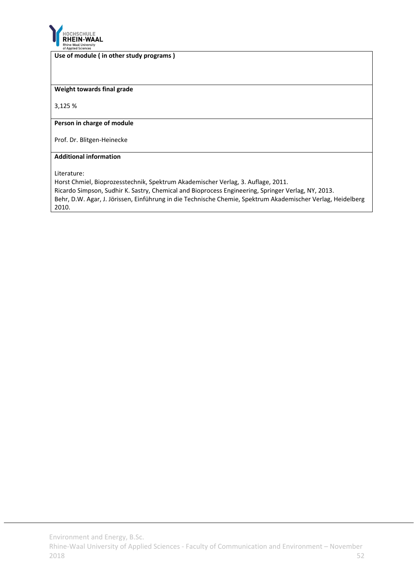

#### **Use of module ( in other study programs )**

#### **Weight towards final grade**

3,125 %

#### **Person in charge of module**

Prof. Dr. Blitgen‐Heinecke

#### **Additional information**

Literature:

Horst Chmiel, Bioprozesstechnik, Spektrum Akademischer Verlag, 3. Auflage, 2011. Ricardo Simpson, Sudhir K. Sastry, Chemical and Bioprocess Engineering, Springer Verlag, NY, 2013. Behr, D.W. Agar, J. Jörissen, Einführung in die Technische Chemie, Spektrum Akademischer Verlag, Heidelberg 2010.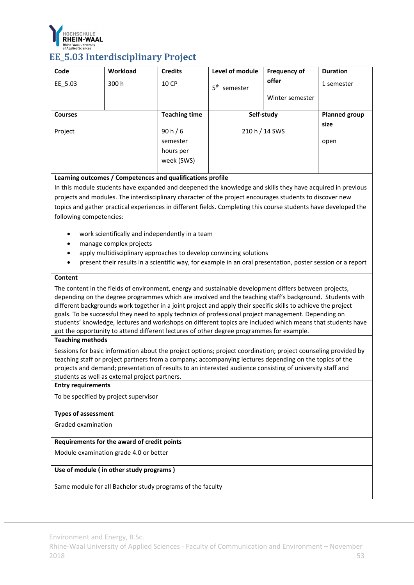

### **EE\_5.03 Interdisciplinary Project**

| Code           | <b>Workload</b> | <b>Credits</b>       | Level of module             | <b>Frequency of</b> | <b>Duration</b>      |
|----------------|-----------------|----------------------|-----------------------------|---------------------|----------------------|
| EE 5.03        | 300 h           | 10 CP                | 5 <sup>th</sup><br>semester | offer               | 1 semester           |
|                |                 |                      |                             | Winter semester     |                      |
| <b>Courses</b> |                 | <b>Teaching time</b> |                             | Self-study          | <b>Planned group</b> |
|                |                 |                      |                             |                     | size                 |
| Project        |                 | 90 h/6               |                             | 210 h / 14 SWS      |                      |
|                |                 | semester             |                             |                     | open                 |
|                |                 | hours per            |                             |                     |                      |
|                |                 | week (SWS)           |                             |                     |                      |
|                |                 |                      |                             |                     |                      |

#### **Learning outcomes / Competences and qualifications profile**

In this module students have expanded and deepened the knowledge and skills they have acquired in previous projects and modules. The interdisciplinary character of the project encourages students to discover new topics and gather practical experiences in different fields. Completing this course students have developed the following competencies:

- work scientifically and independently in a team
- manage complex projects
- apply multidisciplinary approaches to develop convincing solutions
- present their results in a scientific way, for example in an oral presentation, poster session or a report

#### **Content**

The content in the fields of environment, energy and sustainable development differs between projects, depending on the degree programmes which are involved and the teaching staff's background. Students with different backgrounds work together in a joint project and apply their specific skills to achieve the project goals. To be successful they need to apply technics of professional project management. Depending on students' knowledge, lectures and workshops on different topics are included which means that students have got the opportunity to attend different lectures of other degree programmes for example.

#### **Teaching methods**

Sessions for basic information about the project options; project coordination; project counseling provided by teaching staff or project partners from a company; accompanying lectures depending on the topics of the projects and demand; presentation of results to an interested audience consisting of university staff and students as well as external project partners.

#### **Entry requirements**

To be specified by project supervisor

### **Types of assessment**

Graded examination

#### **Requirements for the award of credit points**

Module examination grade 4.0 or better

#### **Use of module ( in other study programs )**

Same module for all Bachelor study programs of the faculty

Environment and Energy, B.Sc.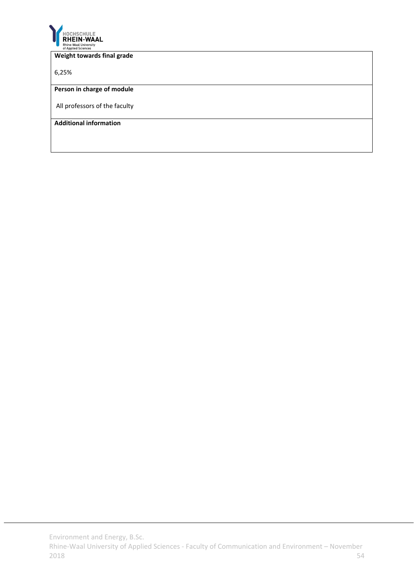

#### **Weight towards final grade**

6,25%

**Person in charge of module**

All professors of the faculty

**Additional information**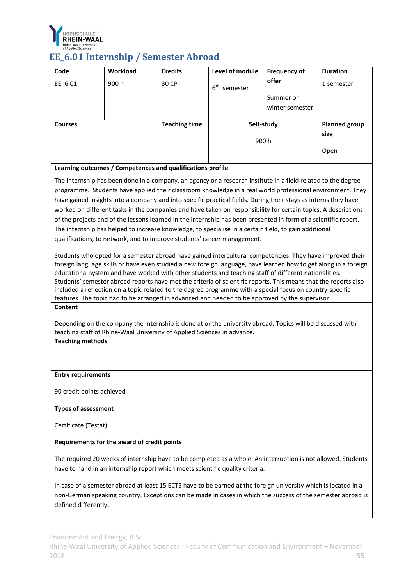

# **EE\_6.01 Internship / Semester Abroad**

| Code                       | Workload                                                                | <b>Credits</b>       | Level of module                                                                                                 | <b>Frequency of</b> | <b>Duration</b>      |
|----------------------------|-------------------------------------------------------------------------|----------------------|-----------------------------------------------------------------------------------------------------------------|---------------------|----------------------|
| EE_6.01                    | 900h                                                                    | 30 CP                | 6 <sup>th</sup> semester                                                                                        | offer               | 1 semester           |
|                            |                                                                         |                      |                                                                                                                 | Summer or           |                      |
|                            |                                                                         |                      |                                                                                                                 | winter semester     |                      |
|                            |                                                                         |                      |                                                                                                                 |                     |                      |
| <b>Courses</b>             |                                                                         | <b>Teaching time</b> |                                                                                                                 | Self-study          | <b>Planned group</b> |
|                            |                                                                         |                      |                                                                                                                 |                     | size                 |
|                            |                                                                         |                      |                                                                                                                 | 900 h               |                      |
|                            |                                                                         |                      |                                                                                                                 |                     | Open                 |
|                            | Learning outcomes / Competences and qualifications profile              |                      |                                                                                                                 |                     |                      |
|                            |                                                                         |                      |                                                                                                                 |                     |                      |
|                            |                                                                         |                      | The internship has been done in a company, an agency or a research institute in a field related to the degree   |                     |                      |
|                            |                                                                         |                      | programme. Students have applied their classroom knowledge in a real world professional environment. They       |                     |                      |
|                            |                                                                         |                      | have gained insights into a company and into specific practical fields. During their stays as interns they have |                     |                      |
|                            |                                                                         |                      | worked on different tasks in the companies and have taken on responsibility for certain topics. A descriptions  |                     |                      |
|                            |                                                                         |                      | of the projects and of the lessons learned in the internship has been presented in form of a scientific report. |                     |                      |
|                            |                                                                         |                      | The internship has helped to increase knowledge, to specialise in a certain field, to gain additional           |                     |                      |
|                            |                                                                         |                      | qualifications, to network, and to improve students' career management.                                         |                     |                      |
|                            |                                                                         |                      | Students who opted for a semester abroad have gained intercultural competencies. They have improved their       |                     |                      |
|                            |                                                                         |                      | foreign language skills or have even studied a new foreign language, have learned how to get along in a foreign |                     |                      |
|                            |                                                                         |                      | educational system and have worked with other students and teaching staff of different nationalities.           |                     |                      |
|                            |                                                                         |                      | Students' semester abroad reports have met the criteria of scientific reports. This means that the reports also |                     |                      |
|                            |                                                                         |                      | included a reflection on a topic related to the degree programme with a special focus on country-specific       |                     |                      |
|                            |                                                                         |                      | features. The topic had to be arranged in advanced and needed to be approved by the supervisor.                 |                     |                      |
| <b>Content</b>             |                                                                         |                      |                                                                                                                 |                     |                      |
|                            |                                                                         |                      |                                                                                                                 |                     |                      |
|                            |                                                                         |                      | Depending on the company the internship is done at or the university abroad. Topics will be discussed with      |                     |                      |
| <b>Teaching methods</b>    | teaching staff of Rhine-Waal University of Applied Sciences in advance. |                      |                                                                                                                 |                     |                      |
|                            |                                                                         |                      |                                                                                                                 |                     |                      |
|                            |                                                                         |                      |                                                                                                                 |                     |                      |
|                            |                                                                         |                      |                                                                                                                 |                     |                      |
| <b>Entry requirements</b>  |                                                                         |                      |                                                                                                                 |                     |                      |
|                            |                                                                         |                      |                                                                                                                 |                     |                      |
| 90 credit points achieved  |                                                                         |                      |                                                                                                                 |                     |                      |
| <b>Types of assessment</b> |                                                                         |                      |                                                                                                                 |                     |                      |
|                            |                                                                         |                      |                                                                                                                 |                     |                      |
| Certificate (Testat)       |                                                                         |                      |                                                                                                                 |                     |                      |
|                            |                                                                         |                      |                                                                                                                 |                     |                      |
|                            | Requirements for the award of credit points                             |                      |                                                                                                                 |                     |                      |
|                            |                                                                         |                      | The required 20 weeks of internship have to be completed as a whole. An interruption is not allowed. Students   |                     |                      |
|                            |                                                                         |                      | have to hand in an internship report which meets scientific quality criteria.                                   |                     |                      |
|                            |                                                                         |                      |                                                                                                                 |                     |                      |
|                            |                                                                         |                      | In case of a semester abroad at least 15 ECTS have to be earned at the foreign university which is located in a |                     |                      |
|                            |                                                                         |                      | non-German speaking country. Exceptions can be made in cases in which the success of the semester abroad is     |                     |                      |
| defined differently.       |                                                                         |                      |                                                                                                                 |                     |                      |

Environment and Energy, B.Sc.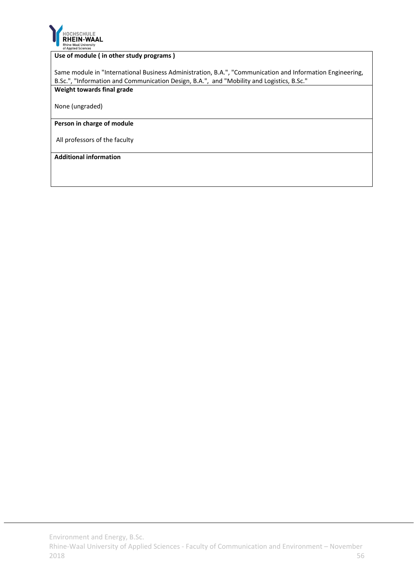

#### **Use of module ( in other study programs )**

Same module in "International Business Administration, B.A.", "Communication and Information Engineering, B.Sc.", "Information and Communication Design, B.A.", and "Mobility and Logistics, B.Sc." **Weight towards final grade**

None (ungraded)

#### **Person in charge of module**

All professors of the faculty

#### **Additional information**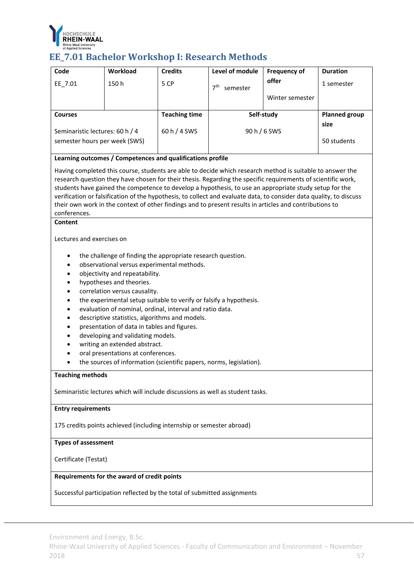

# **EE\_7.01** Bachelor Workshop I: Research Methods

| Code                                                                                                                                                                      | <b>Workload</b>                                                                                                                                                                                                                                                                                                                                                                                                                                                                                                                                                                                                                                                 | <b>Credits</b>       | Level of module          | <b>Frequency of</b> | <b>Duration</b>              |  |  |  |  |
|---------------------------------------------------------------------------------------------------------------------------------------------------------------------------|-----------------------------------------------------------------------------------------------------------------------------------------------------------------------------------------------------------------------------------------------------------------------------------------------------------------------------------------------------------------------------------------------------------------------------------------------------------------------------------------------------------------------------------------------------------------------------------------------------------------------------------------------------------------|----------------------|--------------------------|---------------------|------------------------------|--|--|--|--|
| EE_7.01                                                                                                                                                                   | 150h                                                                                                                                                                                                                                                                                                                                                                                                                                                                                                                                                                                                                                                            | 5 CP                 | 7 <sup>th</sup> semester | offer               | 1 semester                   |  |  |  |  |
|                                                                                                                                                                           |                                                                                                                                                                                                                                                                                                                                                                                                                                                                                                                                                                                                                                                                 |                      |                          | Winter semester     |                              |  |  |  |  |
|                                                                                                                                                                           |                                                                                                                                                                                                                                                                                                                                                                                                                                                                                                                                                                                                                                                                 |                      |                          |                     |                              |  |  |  |  |
| <b>Courses</b>                                                                                                                                                            |                                                                                                                                                                                                                                                                                                                                                                                                                                                                                                                                                                                                                                                                 | <b>Teaching time</b> |                          | Self-study          | <b>Planned group</b><br>size |  |  |  |  |
| Seminaristic lectures: 60 h / 4                                                                                                                                           |                                                                                                                                                                                                                                                                                                                                                                                                                                                                                                                                                                                                                                                                 | 60 h / 4 SWS         |                          | 90 h / 6 SWS        |                              |  |  |  |  |
| semester hours per week (SWS)                                                                                                                                             |                                                                                                                                                                                                                                                                                                                                                                                                                                                                                                                                                                                                                                                                 |                      |                          |                     | 50 students                  |  |  |  |  |
|                                                                                                                                                                           | Learning outcomes / Competences and qualifications profile                                                                                                                                                                                                                                                                                                                                                                                                                                                                                                                                                                                                      |                      |                          |                     |                              |  |  |  |  |
| conferences.<br>Content                                                                                                                                                   | Having completed this course, students are able to decide which research method is suitable to answer the<br>research question they have chosen for their thesis. Regarding the specific requirements of scientific work,<br>students have gained the competence to develop a hypothesis, to use an appropriate study setup for the<br>verification or falsification of the hypothesis, to collect and evaluate data, to consider data quality, to discuss<br>their own work in the context of other findings and to present results in articles and contributions to                                                                                           |                      |                          |                     |                              |  |  |  |  |
|                                                                                                                                                                           |                                                                                                                                                                                                                                                                                                                                                                                                                                                                                                                                                                                                                                                                 |                      |                          |                     |                              |  |  |  |  |
| Lectures and exercises on                                                                                                                                                 |                                                                                                                                                                                                                                                                                                                                                                                                                                                                                                                                                                                                                                                                 |                      |                          |                     |                              |  |  |  |  |
| $\bullet$<br>$\bullet$<br>$\bullet$<br>$\bullet$<br>$\bullet$<br>$\bullet$<br>$\bullet$<br>Seminaristic lectures which will include discussions as well as student tasks. | the challenge of finding the appropriate research question.<br>$\bullet$<br>observational versus experimental methods.<br>objectivity and repeatability.<br>hypotheses and theories.<br>correlation versus causality.<br>the experimental setup suitable to verify or falsify a hypothesis.<br>evaluation of nominal, ordinal, interval and ratio data.<br>descriptive statistics, algorithms and models.<br>presentation of data in tables and figures.<br>developing and validating models.<br>writing an extended abstract.<br>oral presentations at conferences.<br>the sources of information (scientific papers, norms, legislation).<br>Teaching methods |                      |                          |                     |                              |  |  |  |  |
|                                                                                                                                                                           |                                                                                                                                                                                                                                                                                                                                                                                                                                                                                                                                                                                                                                                                 |                      |                          |                     |                              |  |  |  |  |
| <b>Entry requirements</b>                                                                                                                                                 |                                                                                                                                                                                                                                                                                                                                                                                                                                                                                                                                                                                                                                                                 |                      |                          |                     |                              |  |  |  |  |
|                                                                                                                                                                           | 175 credits points achieved (including internship or semester abroad)                                                                                                                                                                                                                                                                                                                                                                                                                                                                                                                                                                                           |                      |                          |                     |                              |  |  |  |  |
| <b>Types of assessment</b>                                                                                                                                                |                                                                                                                                                                                                                                                                                                                                                                                                                                                                                                                                                                                                                                                                 |                      |                          |                     |                              |  |  |  |  |
| Certificate (Testat)                                                                                                                                                      |                                                                                                                                                                                                                                                                                                                                                                                                                                                                                                                                                                                                                                                                 |                      |                          |                     |                              |  |  |  |  |
| Requirements for the award of credit points                                                                                                                               |                                                                                                                                                                                                                                                                                                                                                                                                                                                                                                                                                                                                                                                                 |                      |                          |                     |                              |  |  |  |  |
| Successful participation reflected by the total of submitted assignments                                                                                                  |                                                                                                                                                                                                                                                                                                                                                                                                                                                                                                                                                                                                                                                                 |                      |                          |                     |                              |  |  |  |  |
|                                                                                                                                                                           |                                                                                                                                                                                                                                                                                                                                                                                                                                                                                                                                                                                                                                                                 |                      |                          |                     |                              |  |  |  |  |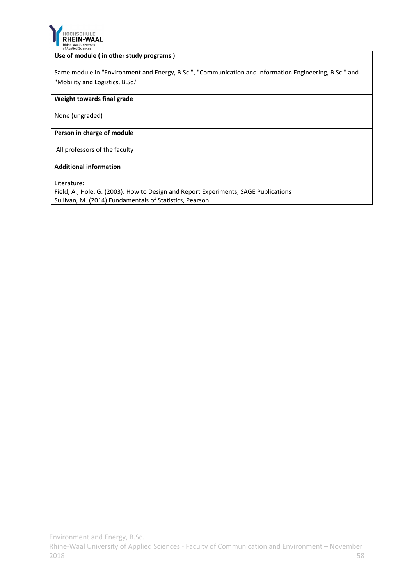

#### **Use of module ( in other study programs )**

Same module in "Environment and Energy, B.Sc.", "Communication and Information Engineering, B.Sc." and "Mobility and Logistics, B.Sc."

#### **Weight towards final grade**

None (ungraded)

#### **Person in charge of module**

All professors of the faculty

#### **Additional information**

Literature:

Field, A., Hole, G. (2003): How to Design and Report Experiments, SAGE Publications Sullivan, M. (2014) Fundamentals of Statistics, Pearson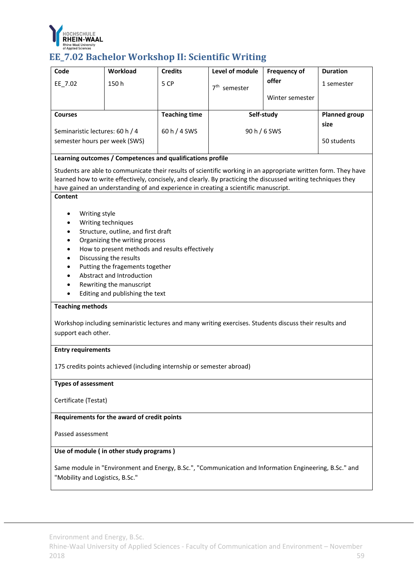

# **EE\_7.02** Bachelor Workshop II: Scientific Writing

| Code                                                                                                                                                                                                                                                                                                                                                                                                                                                                                            | Workload                                                                                                                                                                                                                                                                                                                                                                             | <b>Credits</b>       | Level of module                                                                                        | <b>Frequency of</b> | <b>Duration</b>              |  |  |
|-------------------------------------------------------------------------------------------------------------------------------------------------------------------------------------------------------------------------------------------------------------------------------------------------------------------------------------------------------------------------------------------------------------------------------------------------------------------------------------------------|--------------------------------------------------------------------------------------------------------------------------------------------------------------------------------------------------------------------------------------------------------------------------------------------------------------------------------------------------------------------------------------|----------------------|--------------------------------------------------------------------------------------------------------|---------------------|------------------------------|--|--|
| EE 7.02                                                                                                                                                                                                                                                                                                                                                                                                                                                                                         | 150h                                                                                                                                                                                                                                                                                                                                                                                 | 5 CP                 | 7 <sup>th</sup> semester                                                                               | offer               | 1 semester                   |  |  |
|                                                                                                                                                                                                                                                                                                                                                                                                                                                                                                 |                                                                                                                                                                                                                                                                                                                                                                                      |                      |                                                                                                        | Winter semester     |                              |  |  |
|                                                                                                                                                                                                                                                                                                                                                                                                                                                                                                 |                                                                                                                                                                                                                                                                                                                                                                                      |                      |                                                                                                        |                     |                              |  |  |
| <b>Courses</b>                                                                                                                                                                                                                                                                                                                                                                                                                                                                                  |                                                                                                                                                                                                                                                                                                                                                                                      | <b>Teaching time</b> | Self-study                                                                                             |                     | <b>Planned group</b><br>size |  |  |
| Seminaristic lectures: 60 h / 4                                                                                                                                                                                                                                                                                                                                                                                                                                                                 |                                                                                                                                                                                                                                                                                                                                                                                      | 60 h / 4 SWS         | 90 h / 6 SWS                                                                                           |                     |                              |  |  |
| semester hours per week (SWS)                                                                                                                                                                                                                                                                                                                                                                                                                                                                   |                                                                                                                                                                                                                                                                                                                                                                                      |                      |                                                                                                        |                     | 50 students                  |  |  |
|                                                                                                                                                                                                                                                                                                                                                                                                                                                                                                 |                                                                                                                                                                                                                                                                                                                                                                                      |                      |                                                                                                        |                     |                              |  |  |
|                                                                                                                                                                                                                                                                                                                                                                                                                                                                                                 | Learning outcomes / Competences and qualifications profile<br>Students are able to communicate their results of scientific working in an appropriate written form. They have<br>learned how to write effectively, concisely, and clearly. By practicing the discussed writing techniques they<br>have gained an understanding of and experience in creating a scientific manuscript. |                      |                                                                                                        |                     |                              |  |  |
| Content<br>Writing style<br>Writing techniques<br>Structure, outline, and first draft<br>Organizing the writing process<br>How to present methods and results effectively<br>Discussing the results<br>Putting the fragements together<br>Abstract and Introduction<br>Rewriting the manuscript<br>Editing and publishing the text<br><b>Teaching methods</b><br>Workshop including seminaristic lectures and many writing exercises. Students discuss their results and<br>support each other. |                                                                                                                                                                                                                                                                                                                                                                                      |                      |                                                                                                        |                     |                              |  |  |
| <b>Entry requirements</b>                                                                                                                                                                                                                                                                                                                                                                                                                                                                       |                                                                                                                                                                                                                                                                                                                                                                                      |                      |                                                                                                        |                     |                              |  |  |
|                                                                                                                                                                                                                                                                                                                                                                                                                                                                                                 | 175 credits points achieved (including internship or semester abroad)                                                                                                                                                                                                                                                                                                                |                      |                                                                                                        |                     |                              |  |  |
| <b>Types of assessment</b>                                                                                                                                                                                                                                                                                                                                                                                                                                                                      |                                                                                                                                                                                                                                                                                                                                                                                      |                      |                                                                                                        |                     |                              |  |  |
| Certificate (Testat)                                                                                                                                                                                                                                                                                                                                                                                                                                                                            |                                                                                                                                                                                                                                                                                                                                                                                      |                      |                                                                                                        |                     |                              |  |  |
|                                                                                                                                                                                                                                                                                                                                                                                                                                                                                                 | Requirements for the award of credit points                                                                                                                                                                                                                                                                                                                                          |                      |                                                                                                        |                     |                              |  |  |
| Passed assessment                                                                                                                                                                                                                                                                                                                                                                                                                                                                               |                                                                                                                                                                                                                                                                                                                                                                                      |                      |                                                                                                        |                     |                              |  |  |
|                                                                                                                                                                                                                                                                                                                                                                                                                                                                                                 | Use of module (in other study programs)                                                                                                                                                                                                                                                                                                                                              |                      |                                                                                                        |                     |                              |  |  |
| "Mobility and Logistics, B.Sc."                                                                                                                                                                                                                                                                                                                                                                                                                                                                 |                                                                                                                                                                                                                                                                                                                                                                                      |                      | Same module in "Environment and Energy, B.Sc.", "Communication and Information Engineering, B.Sc." and |                     |                              |  |  |

Environment and Energy, B.Sc.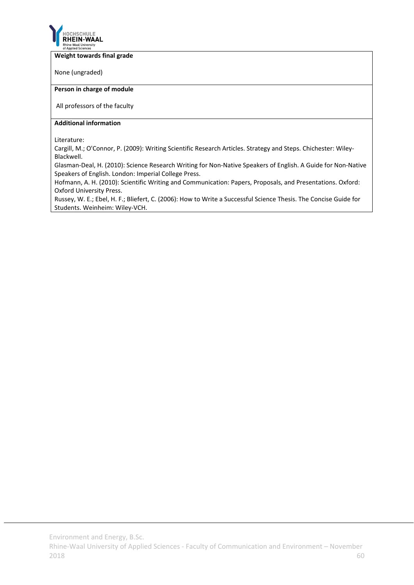

#### **Weight towards final grade**

None (ungraded)

#### **Person in charge of module**

All professors of the faculty

#### **Additional information**

Literature:

Cargill, M.; O'Connor, P. (2009): Writing Scientific Research Articles. Strategy and Steps. Chichester: Wiley‐ Blackwell.

Glasman‐Deal, H. (2010): Science Research Writing for Non‐Native Speakers of English. A Guide for Non‐Native Speakers of English. London: Imperial College Press.

Hofmann, A. H. (2010): Scientific Writing and Communication: Papers, Proposals, and Presentations. Oxford: Oxford University Press.

Russey, W. E.; Ebel, H. F.; Bliefert, C. (2006): How to Write a Successful Science Thesis. The Concise Guide for Students. Weinheim: Wiley‐VCH.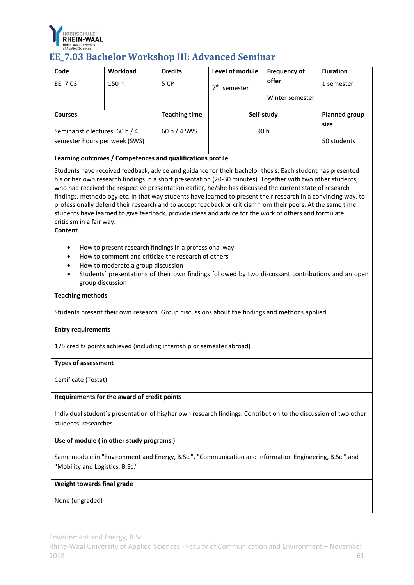

## **EE\_7.03 Bachelor Workshop III: Advanced Seminar**

| Code                                                                                                                                                                                                                                                                                                                                                                                                                                                                                                                                                                                                                                                                                                        | Workload                                                   | <b>Credits</b>       | Level of module                                                                                | <b>Frequency of</b> | <b>Duration</b>      |  |
|-------------------------------------------------------------------------------------------------------------------------------------------------------------------------------------------------------------------------------------------------------------------------------------------------------------------------------------------------------------------------------------------------------------------------------------------------------------------------------------------------------------------------------------------------------------------------------------------------------------------------------------------------------------------------------------------------------------|------------------------------------------------------------|----------------------|------------------------------------------------------------------------------------------------|---------------------|----------------------|--|
|                                                                                                                                                                                                                                                                                                                                                                                                                                                                                                                                                                                                                                                                                                             |                                                            |                      |                                                                                                | offer               |                      |  |
| EE_7.03                                                                                                                                                                                                                                                                                                                                                                                                                                                                                                                                                                                                                                                                                                     | 150h                                                       | 5 CP                 | 7 <sup>th</sup> semester                                                                       |                     | 1 semester           |  |
|                                                                                                                                                                                                                                                                                                                                                                                                                                                                                                                                                                                                                                                                                                             |                                                            |                      |                                                                                                | Winter semester     |                      |  |
| <b>Courses</b>                                                                                                                                                                                                                                                                                                                                                                                                                                                                                                                                                                                                                                                                                              |                                                            | <b>Teaching time</b> | Self-study                                                                                     |                     | <b>Planned group</b> |  |
|                                                                                                                                                                                                                                                                                                                                                                                                                                                                                                                                                                                                                                                                                                             |                                                            |                      |                                                                                                |                     | size                 |  |
| Seminaristic lectures: 60 h / 4                                                                                                                                                                                                                                                                                                                                                                                                                                                                                                                                                                                                                                                                             |                                                            | 60 h / 4 SWS         | 90 h                                                                                           |                     | 50 students          |  |
| semester hours per week (SWS)                                                                                                                                                                                                                                                                                                                                                                                                                                                                                                                                                                                                                                                                               |                                                            |                      |                                                                                                |                     |                      |  |
|                                                                                                                                                                                                                                                                                                                                                                                                                                                                                                                                                                                                                                                                                                             | Learning outcomes / Competences and qualifications profile |                      |                                                                                                |                     |                      |  |
| Students have received feedback, advice and guidance for their bachelor thesis. Each student has presented<br>his or her own research findings in a short presentation (20-30 minutes). Together with two other students,<br>who had received the respective presentation earlier, he/she has discussed the current state of research<br>findings, methodology etc. In that way students have learned to present their research in a convincing way, to<br>professionally defend their research and to accept feedback or criticism from their peers. At the same time<br>students have learned to give feedback, provide ideas and advice for the work of others and formulate<br>criticism in a fair way. |                                                            |                      |                                                                                                |                     |                      |  |
| <b>Content</b>                                                                                                                                                                                                                                                                                                                                                                                                                                                                                                                                                                                                                                                                                              |                                                            |                      |                                                                                                |                     |                      |  |
| How to present research findings in a professional way<br>How to comment and criticize the research of others<br>$\bullet$<br>How to moderate a group discussion<br>$\bullet$<br>Students' presentations of their own findings followed by two discussant contributions and an open<br>$\bullet$<br>group discussion                                                                                                                                                                                                                                                                                                                                                                                        |                                                            |                      |                                                                                                |                     |                      |  |
| <b>Teaching methods</b>                                                                                                                                                                                                                                                                                                                                                                                                                                                                                                                                                                                                                                                                                     |                                                            |                      |                                                                                                |                     |                      |  |
|                                                                                                                                                                                                                                                                                                                                                                                                                                                                                                                                                                                                                                                                                                             |                                                            |                      | Students present their own research. Group discussions about the findings and methods applied. |                     |                      |  |
| <b>Entry requirements</b>                                                                                                                                                                                                                                                                                                                                                                                                                                                                                                                                                                                                                                                                                   |                                                            |                      |                                                                                                |                     |                      |  |
| 175 credits points achieved (including internship or semester abroad)                                                                                                                                                                                                                                                                                                                                                                                                                                                                                                                                                                                                                                       |                                                            |                      |                                                                                                |                     |                      |  |
| <b>Types of assessment</b>                                                                                                                                                                                                                                                                                                                                                                                                                                                                                                                                                                                                                                                                                  |                                                            |                      |                                                                                                |                     |                      |  |
| Certificate (Testat)                                                                                                                                                                                                                                                                                                                                                                                                                                                                                                                                                                                                                                                                                        |                                                            |                      |                                                                                                |                     |                      |  |
| Requirements for the award of credit points                                                                                                                                                                                                                                                                                                                                                                                                                                                                                                                                                                                                                                                                 |                                                            |                      |                                                                                                |                     |                      |  |
| Individual student's presentation of his/her own research findings. Contribution to the discussion of two other<br>students' researches.                                                                                                                                                                                                                                                                                                                                                                                                                                                                                                                                                                    |                                                            |                      |                                                                                                |                     |                      |  |
| Use of module (in other study programs)                                                                                                                                                                                                                                                                                                                                                                                                                                                                                                                                                                                                                                                                     |                                                            |                      |                                                                                                |                     |                      |  |
| Same module in "Environment and Energy, B.Sc.", "Communication and Information Engineering, B.Sc." and<br>"Mobility and Logistics, B.Sc."                                                                                                                                                                                                                                                                                                                                                                                                                                                                                                                                                                   |                                                            |                      |                                                                                                |                     |                      |  |
|                                                                                                                                                                                                                                                                                                                                                                                                                                                                                                                                                                                                                                                                                                             |                                                            |                      |                                                                                                |                     |                      |  |

### **Weight towards final grade**

None (ungraded)

Environment and Energy, B.Sc.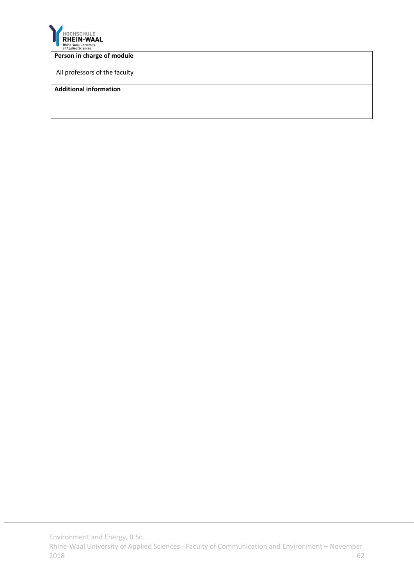

#### **Person in charge of module**

All professors of the faculty

#### **Additional information**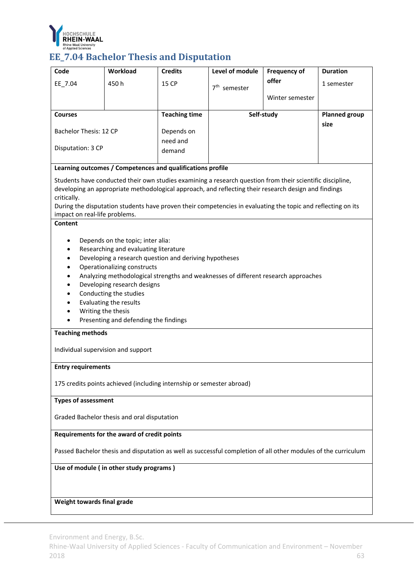

# **EE\_7.04 Bachelor Thesis and Disputation**

| Code                                                                                                                                                                                                                                 | Workload                                                                                                                                                                                                                                                                                                                                                                                                                                                                                                                                  | <b>Credits</b>       | Level of module          | <b>Frequency of</b> | <b>Duration</b>      |  |  |
|--------------------------------------------------------------------------------------------------------------------------------------------------------------------------------------------------------------------------------------|-------------------------------------------------------------------------------------------------------------------------------------------------------------------------------------------------------------------------------------------------------------------------------------------------------------------------------------------------------------------------------------------------------------------------------------------------------------------------------------------------------------------------------------------|----------------------|--------------------------|---------------------|----------------------|--|--|
| EE_7.04                                                                                                                                                                                                                              | 450h                                                                                                                                                                                                                                                                                                                                                                                                                                                                                                                                      | <b>15 CP</b>         | 7 <sup>th</sup> semester | offer               | 1 semester           |  |  |
|                                                                                                                                                                                                                                      |                                                                                                                                                                                                                                                                                                                                                                                                                                                                                                                                           |                      |                          | Winter semester     |                      |  |  |
| <b>Courses</b>                                                                                                                                                                                                                       |                                                                                                                                                                                                                                                                                                                                                                                                                                                                                                                                           | <b>Teaching time</b> |                          | Self-study          | <b>Planned group</b> |  |  |
|                                                                                                                                                                                                                                      |                                                                                                                                                                                                                                                                                                                                                                                                                                                                                                                                           |                      |                          |                     | size                 |  |  |
| Bachelor Thesis: 12 CP                                                                                                                                                                                                               |                                                                                                                                                                                                                                                                                                                                                                                                                                                                                                                                           | Depends on           |                          |                     |                      |  |  |
| Disputation: 3 CP                                                                                                                                                                                                                    |                                                                                                                                                                                                                                                                                                                                                                                                                                                                                                                                           | need and<br>demand   |                          |                     |                      |  |  |
|                                                                                                                                                                                                                                      |                                                                                                                                                                                                                                                                                                                                                                                                                                                                                                                                           |                      |                          |                     |                      |  |  |
|                                                                                                                                                                                                                                      | Learning outcomes / Competences and qualifications profile                                                                                                                                                                                                                                                                                                                                                                                                                                                                                |                      |                          |                     |                      |  |  |
| critically.<br>Content                                                                                                                                                                                                               | Students have conducted their own studies examining a research question from their scientific discipline,<br>developing an appropriate methodological approach, and reflecting their research design and findings<br>During the disputation students have proven their competencies in evaluating the topic and reflecting on its<br>impact on real-life problems.<br>Depends on the topic; inter alia:<br>Researching and evaluating literature<br>Developing a research question and deriving hypotheses<br>Operationalizing constructs |                      |                          |                     |                      |  |  |
| Analyzing methodological strengths and weaknesses of different research approaches<br>Developing research designs<br>Conducting the studies<br>Evaluating the results<br>Writing the thesis<br>Presenting and defending the findings |                                                                                                                                                                                                                                                                                                                                                                                                                                                                                                                                           |                      |                          |                     |                      |  |  |
| <b>Teaching methods</b>                                                                                                                                                                                                              |                                                                                                                                                                                                                                                                                                                                                                                                                                                                                                                                           |                      |                          |                     |                      |  |  |
| Individual supervision and support                                                                                                                                                                                                   |                                                                                                                                                                                                                                                                                                                                                                                                                                                                                                                                           |                      |                          |                     |                      |  |  |
|                                                                                                                                                                                                                                      | <b>Entry requirements</b>                                                                                                                                                                                                                                                                                                                                                                                                                                                                                                                 |                      |                          |                     |                      |  |  |
| 175 credits points achieved (including internship or semester abroad)                                                                                                                                                                |                                                                                                                                                                                                                                                                                                                                                                                                                                                                                                                                           |                      |                          |                     |                      |  |  |
| <b>Types of assessment</b>                                                                                                                                                                                                           |                                                                                                                                                                                                                                                                                                                                                                                                                                                                                                                                           |                      |                          |                     |                      |  |  |
| Graded Bachelor thesis and oral disputation                                                                                                                                                                                          |                                                                                                                                                                                                                                                                                                                                                                                                                                                                                                                                           |                      |                          |                     |                      |  |  |
| Requirements for the award of credit points                                                                                                                                                                                          |                                                                                                                                                                                                                                                                                                                                                                                                                                                                                                                                           |                      |                          |                     |                      |  |  |
| Passed Bachelor thesis and disputation as well as successful completion of all other modules of the curriculum                                                                                                                       |                                                                                                                                                                                                                                                                                                                                                                                                                                                                                                                                           |                      |                          |                     |                      |  |  |
| Use of module (in other study programs)                                                                                                                                                                                              |                                                                                                                                                                                                                                                                                                                                                                                                                                                                                                                                           |                      |                          |                     |                      |  |  |
|                                                                                                                                                                                                                                      |                                                                                                                                                                                                                                                                                                                                                                                                                                                                                                                                           |                      |                          |                     |                      |  |  |
| Weight towards final grade                                                                                                                                                                                                           |                                                                                                                                                                                                                                                                                                                                                                                                                                                                                                                                           |                      |                          |                     |                      |  |  |

Environment and Energy, B.Sc.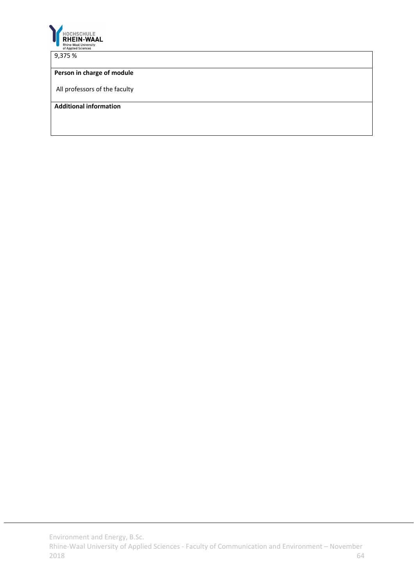

9,375 %

#### **Person in charge of module**

All professors of the faculty

**Additional information**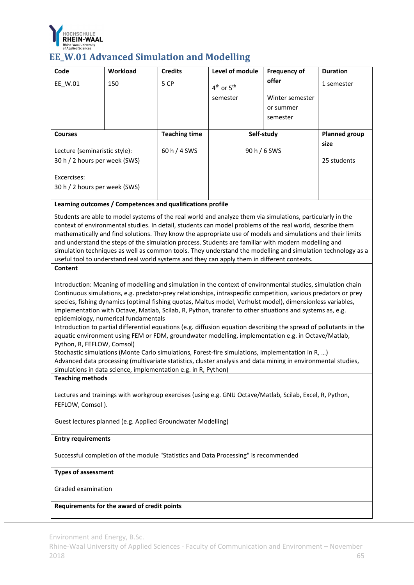

### **EE\_W.01 Advanced Simulation and Modelling**

| Code                          | <b>Workload</b> | <b>Credits</b>       | Level of module                    | <b>Frequency of</b> | <b>Duration</b>      |
|-------------------------------|-----------------|----------------------|------------------------------------|---------------------|----------------------|
| EE W.01                       | 150             | 5 CP                 | 4 <sup>th</sup> or 5 <sup>th</sup> | offer               | 1 semester           |
|                               |                 |                      | semester                           | Winter semester     |                      |
|                               |                 |                      |                                    | or summer           |                      |
|                               |                 |                      |                                    | semester            |                      |
|                               |                 |                      |                                    |                     |                      |
| <b>Courses</b>                |                 |                      |                                    |                     |                      |
|                               |                 | <b>Teaching time</b> |                                    | Self-study          | <b>Planned group</b> |
| Lecture (seminaristic style): |                 | $60 h/4$ SWS         |                                    | 90 h / 6 SWS        | size                 |
| 30 h / 2 hours per week (SWS) |                 |                      |                                    |                     | 25 students          |

#### **Learning outcomes / Competences and qualifications profile**

Students are able to model systems of the real world and analyze them via simulations, particularly in the context of environmental studies. In detail, students can model problems of the real world, describe them mathematically and find solutions. They know the appropriate use of models and simulations and their limits and understand the steps of the simulation process. Students are familiar with modern modelling and simulation techniques as well as common tools. They understand the modelling and simulation technology as a useful tool to understand real world systems and they can apply them in different contexts.

#### **Content**

Introduction: Meaning of modelling and simulation in the context of environmental studies, simulation chain Continuous simulations, e.g. predator‐prey relationships, intraspecific competition, various predators or prey species, fishing dynamics (optimal fishing quotas, Maltus model, Verhulst model), dimensionless variables, implementation with Octave, Matlab, Scilab, R, Python, transfer to other situations and systems as, e.g. epidemiology, numerical fundamentals

Introduction to partial differential equations (e.g. diffusion equation describing the spread of pollutants in the aquatic environment using FEM or FDM, groundwater modelling, implementation e.g. in Octave/Matlab, Python, R, FEFLOW, Comsol)

Stochastic simulations (Monte Carlo simulations, Forest‐fire simulations, implementation in R, …) Advanced data processing (multivariate statistics, cluster analysis and data mining in environmental studies, simulations in data science, implementation e.g. in R, Python)

#### **Teaching methods**

Lectures and trainings with workgroup exercises (using e.g. GNU Octave/Matlab, Scilab, Excel, R, Python, FEFLOW, Comsol ).

Guest lectures planned (e.g. Applied Groundwater Modelling)

#### **Entry requirements**

Successful completion of the module "Statistics and Data Processing" is recommended

#### **Types of assessment**

Graded examination

**Requirements for the award of credit points**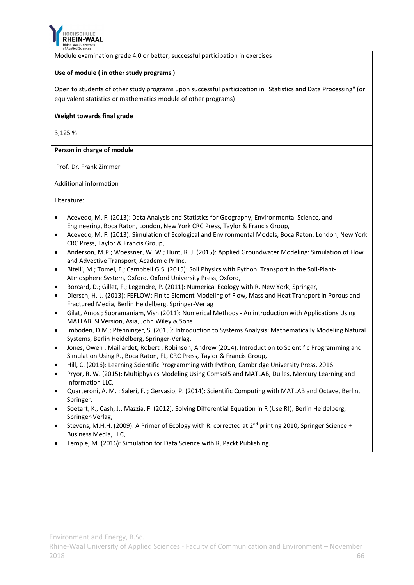

Module examination grade 4.0 or better, successful participation in exercises

#### **Use of module ( in other study programs )**

Open to students of other study programs upon successful participation in "Statistics and Data Processing" (or equivalent statistics or mathematics module of other programs)

#### **Weight towards final grade**

3,125 %

**Person in charge of module**

Prof. Dr. Frank Zimmer

Additional information

Literature:

- Acevedo, M. F. (2013): Data Analysis and Statistics for Geography, Environmental Science, and Engineering, Boca Raton, London, New York CRC Press, Taylor & Francis Group,
- Acevedo, M. F. (2013): Simulation of Ecological and Environmental Models, Boca Raton, London, New York CRC Press, Taylor & Francis Group,
- Anderson, M.P.; Woessner, W. W.; Hunt, R. J. (2015): Applied Groundwater Modeling: Simulation of Flow and Advective Transport, Academic Pr Inc,
- Bitelli, M.; Tomei, F.; Campbell G.S. (2015): Soil Physics with Python: Transport in the Soil-Plant-Atmosphere System, Oxford, Oxford University Press, Oxford,
- Borcard, D.; Gillet, F.; Legendre, P. (2011): Numerical Ecology with R, New York, Springer,
- Diersch, H.‐J. (2013): FEFLOW: Finite Element Modeling of Flow, Mass and Heat Transport in Porous and Fractured Media, Berlin Heidelberg, Springer‐Verlag
- Gilat, Amos ; Subramaniam, Vish (2011): Numerical Methods ‐ An introduction with Applications Using MATLAB. SI Version, Asia, John Wiley & Sons
- Imboden, D.M.; Pfenninger, S. (2015): Introduction to Systems Analysis: Mathematically Modeling Natural Systems, Berlin Heidelberg, Springer‐Verlag,
- Jones, Owen ; Maillardet, Robert ; Robinson, Andrew (2014): Introduction to Scientific Programming and Simulation Using R., Boca Raton, FL, CRC Press, Taylor & Francis Group,
- Hill, C. (2016): Learning Scientific Programming with Python, Cambridge University Press, 2016
- Pryor, R. W. (2015): Multiphysics Modeling Using Comsol5 and MATLAB, Dulles, Mercury Learning and Information LLC,
- Quarteroni, A. M. ; Saleri, F. ; Gervasio, P. (2014): Scientific Computing with MATLAB and Octave, Berlin, Springer,
- Soetart, K.; Cash, J.; Mazzia, F. (2012): Solving Differential Equation in R (Use R!), Berlin Heidelberg, Springer‐Verlag,
- Stevens, M.H.H. (2009): A Primer of Ecology with R. corrected at 2<sup>nd</sup> printing 2010, Springer Science + Business Media, LLC,
- Temple, M. (2016): Simulation for Data Science with R, Packt Publishing.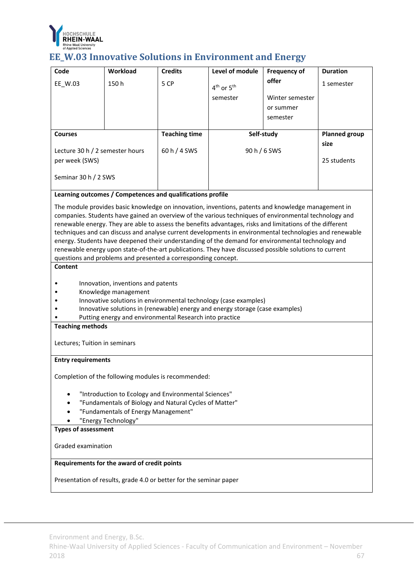

# **EE\_W.03 Innovative Solutions in Environment and Energy**

| Code                                                                                                                                                                                                                                                                                                                                                                                                                                                                                                                                                                                                                                                                                                                                  | Workload                                                           | <b>Credits</b>       | Level of module                                                               | <b>Frequency of</b> | <b>Duration</b>      |  |  |
|---------------------------------------------------------------------------------------------------------------------------------------------------------------------------------------------------------------------------------------------------------------------------------------------------------------------------------------------------------------------------------------------------------------------------------------------------------------------------------------------------------------------------------------------------------------------------------------------------------------------------------------------------------------------------------------------------------------------------------------|--------------------------------------------------------------------|----------------------|-------------------------------------------------------------------------------|---------------------|----------------------|--|--|
| EE_W.03                                                                                                                                                                                                                                                                                                                                                                                                                                                                                                                                                                                                                                                                                                                               | 150h                                                               | 5 CP                 | 4 <sup>th</sup> or 5 <sup>th</sup>                                            | offer               | 1 semester           |  |  |
|                                                                                                                                                                                                                                                                                                                                                                                                                                                                                                                                                                                                                                                                                                                                       |                                                                    |                      | semester                                                                      | Winter semester     |                      |  |  |
|                                                                                                                                                                                                                                                                                                                                                                                                                                                                                                                                                                                                                                                                                                                                       |                                                                    |                      |                                                                               | or summer           |                      |  |  |
|                                                                                                                                                                                                                                                                                                                                                                                                                                                                                                                                                                                                                                                                                                                                       |                                                                    |                      |                                                                               | semester            |                      |  |  |
| <b>Courses</b>                                                                                                                                                                                                                                                                                                                                                                                                                                                                                                                                                                                                                                                                                                                        |                                                                    | <b>Teaching time</b> | Self-study                                                                    |                     | <b>Planned group</b> |  |  |
| Lecture 30 h / 2 semester hours                                                                                                                                                                                                                                                                                                                                                                                                                                                                                                                                                                                                                                                                                                       |                                                                    | 60 h / 4 SWS         | 90 h / 6 SWS                                                                  |                     | size                 |  |  |
| per week (SWS)                                                                                                                                                                                                                                                                                                                                                                                                                                                                                                                                                                                                                                                                                                                        |                                                                    |                      |                                                                               |                     | 25 students          |  |  |
| Seminar 30 h / 2 SWS                                                                                                                                                                                                                                                                                                                                                                                                                                                                                                                                                                                                                                                                                                                  |                                                                    |                      |                                                                               |                     |                      |  |  |
|                                                                                                                                                                                                                                                                                                                                                                                                                                                                                                                                                                                                                                                                                                                                       | Learning outcomes / Competences and qualifications profile         |                      |                                                                               |                     |                      |  |  |
| The module provides basic knowledge on innovation, inventions, patents and knowledge management in<br>companies. Students have gained an overview of the various techniques of environmental technology and<br>renewable energy. They are able to assess the benefits advantages, risks and limitations of the different<br>techniques and can discuss and analyse current developments in environmental technologies and renewable<br>energy. Students have deepened their understanding of the demand for environmental technology and<br>renewable energy upon state-of-the-art publications. They have discussed possible solutions to current<br>questions and problems and presented a corresponding concept.<br><b>Content</b> |                                                                    |                      |                                                                               |                     |                      |  |  |
|                                                                                                                                                                                                                                                                                                                                                                                                                                                                                                                                                                                                                                                                                                                                       |                                                                    |                      |                                                                               |                     |                      |  |  |
|                                                                                                                                                                                                                                                                                                                                                                                                                                                                                                                                                                                                                                                                                                                                       | Innovation, inventions and patents<br>Knowledge management         |                      |                                                                               |                     |                      |  |  |
|                                                                                                                                                                                                                                                                                                                                                                                                                                                                                                                                                                                                                                                                                                                                       |                                                                    |                      | Innovative solutions in environmental technology (case examples)              |                     |                      |  |  |
|                                                                                                                                                                                                                                                                                                                                                                                                                                                                                                                                                                                                                                                                                                                                       | Putting energy and environmental Research into practice            |                      | Innovative solutions in (renewable) energy and energy storage (case examples) |                     |                      |  |  |
| <b>Teaching methods</b>                                                                                                                                                                                                                                                                                                                                                                                                                                                                                                                                                                                                                                                                                                               |                                                                    |                      |                                                                               |                     |                      |  |  |
|                                                                                                                                                                                                                                                                                                                                                                                                                                                                                                                                                                                                                                                                                                                                       | Lectures; Tuition in seminars                                      |                      |                                                                               |                     |                      |  |  |
| <b>Entry requirements</b>                                                                                                                                                                                                                                                                                                                                                                                                                                                                                                                                                                                                                                                                                                             |                                                                    |                      |                                                                               |                     |                      |  |  |
| Completion of the following modules is recommended:                                                                                                                                                                                                                                                                                                                                                                                                                                                                                                                                                                                                                                                                                   |                                                                    |                      |                                                                               |                     |                      |  |  |
| "Introduction to Ecology and Environmental Sciences"                                                                                                                                                                                                                                                                                                                                                                                                                                                                                                                                                                                                                                                                                  |                                                                    |                      |                                                                               |                     |                      |  |  |
| "Fundamentals of Biology and Natural Cycles of Matter"                                                                                                                                                                                                                                                                                                                                                                                                                                                                                                                                                                                                                                                                                |                                                                    |                      |                                                                               |                     |                      |  |  |
| "Fundamentals of Energy Management"<br>"Energy Technology"                                                                                                                                                                                                                                                                                                                                                                                                                                                                                                                                                                                                                                                                            |                                                                    |                      |                                                                               |                     |                      |  |  |
| <b>Types of assessment</b>                                                                                                                                                                                                                                                                                                                                                                                                                                                                                                                                                                                                                                                                                                            |                                                                    |                      |                                                                               |                     |                      |  |  |
| Graded examination                                                                                                                                                                                                                                                                                                                                                                                                                                                                                                                                                                                                                                                                                                                    |                                                                    |                      |                                                                               |                     |                      |  |  |
| Requirements for the award of credit points                                                                                                                                                                                                                                                                                                                                                                                                                                                                                                                                                                                                                                                                                           |                                                                    |                      |                                                                               |                     |                      |  |  |
|                                                                                                                                                                                                                                                                                                                                                                                                                                                                                                                                                                                                                                                                                                                                       | Presentation of results, grade 4.0 or better for the seminar paper |                      |                                                                               |                     |                      |  |  |

Environment and Energy, B.Sc.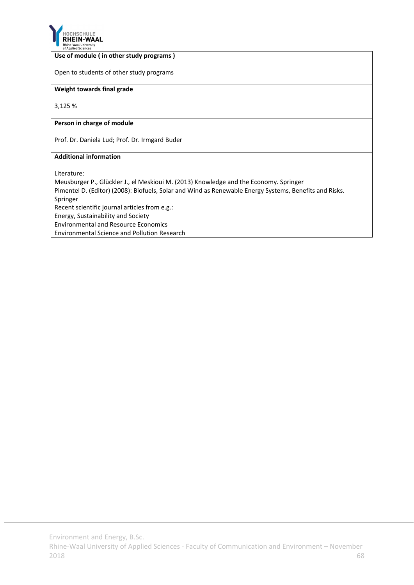

#### **Use of module ( in other study programs )**

Open to students of other study programs

#### **Weight towards final grade**

3,125 %

#### **Person in charge of module**

Prof. Dr. Daniela Lud; Prof. Dr. Irmgard Buder

#### **Additional information**

Literature:

Meusburger P., Glückler J., el Meskioui M. (2013) Knowledge and the Economy. Springer Pimentel D. (Editor) (2008): Biofuels, Solar and Wind as Renewable Energy Systems, Benefits and Risks. Springer Recent scientific journal articles from e.g.: Energy, Sustainability and Society Environmental and Resource Economics Environmental Science and Pollution Research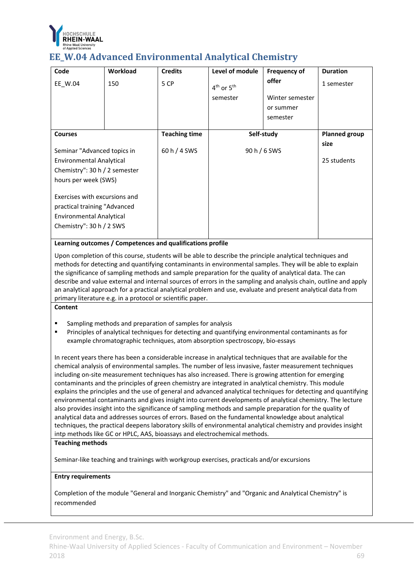

### **EE\_W.04 Advanced Environmental Analytical Chemistry**

| Code                                                                                                                         | <b>Workload</b> | <b>Credits</b>       | Level of module | <b>Frequency of</b> | <b>Duration</b>      |
|------------------------------------------------------------------------------------------------------------------------------|-----------------|----------------------|-----------------|---------------------|----------------------|
| EE W.04                                                                                                                      | 150             | 5 CP                 | $4th$ or $5th$  | offer               | 1 semester           |
|                                                                                                                              |                 |                      | semester        | Winter semester     |                      |
|                                                                                                                              |                 |                      |                 | or summer           |                      |
|                                                                                                                              |                 |                      |                 | semester            |                      |
|                                                                                                                              |                 |                      |                 |                     |                      |
| <b>Courses</b>                                                                                                               |                 | <b>Teaching time</b> | Self-study      |                     | <b>Planned group</b> |
| Seminar "Advanced topics in                                                                                                  |                 | 60 h / 4 SWS         | 90 h / 6 SWS    |                     | size                 |
| <b>Environmental Analytical</b>                                                                                              |                 |                      |                 |                     | 25 students          |
| Chemistry": $30 h / 2$ semester                                                                                              |                 |                      |                 |                     |                      |
| hours per week (SWS)                                                                                                         |                 |                      |                 |                     |                      |
| Exercises with excursions and<br>practical training "Advanced<br><b>Environmental Analytical</b><br>Chemistry": 30 h / 2 SWS |                 |                      |                 |                     |                      |
|                                                                                                                              |                 |                      |                 |                     |                      |

**Learning outcomes / Competences and qualifications profile**

Upon completion of this course, students will be able to describe the principle analytical techniques and methods for detecting and quantifying contaminants in environmental samples. They will be able to explain the significance of sampling methods and sample preparation for the quality of analytical data. The can describe and value external and internal sources of errors in the sampling and analysis chain, outline and apply an analytical approach for a practical analytical problem and use, evaluate and present analytical data from primary literature e.g. in a protocol or scientific paper.

#### **Content**

- Sampling methods and preparation of samples for analysis
- Principles of analytical techniques for detecting and quantifying environmental contaminants as for example chromatographic techniques, atom absorption spectroscopy, bio‐essays

In recent years there has been a considerable increase in analytical techniques that are available for the chemical analysis of environmental samples. The number of less invasive, faster measurement techniques including on‐site measurement techniques has also increased. There is growing attention for emerging contaminants and the principles of green chemistry are integrated in analytical chemistry. This module explains the principles and the use of general and advanced analytical techniques for detecting and quantifying environmental contaminants and gives insight into current developments of analytical chemistry. The lecture also provides insight into the significance of sampling methods and sample preparation for the quality of analytical data and addresses sources of errors. Based on the fundamental knowledge about analytical techniques, the practical deepens laboratory skills of environmental analytical chemistry and provides insight intp methods like GC or HPLC, AAS, bioassays and electrochemical methods.

#### **Teaching methods**

Seminar-like teaching and trainings with workgroup exercises, practicals and/or excursions

#### **Entry requirements**

Completion of the module "General and Inorganic Chemistry" and "Organic and Analytical Chemistry" is recommended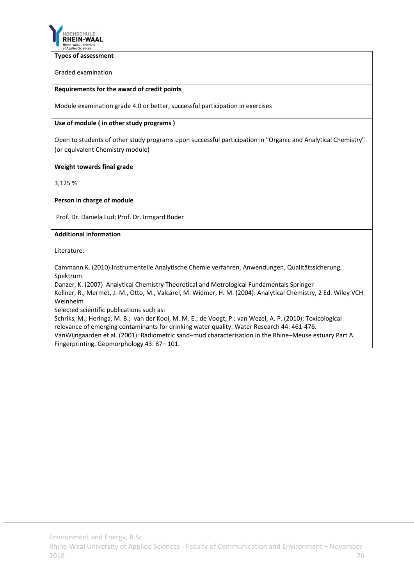

#### **Types of assessment**

Graded examination

#### **Requirements for the award of credit points**

Module examination grade 4.0 or better, successful participation in exercises

#### **Use of module ( in other study programs )**

Open to students of other study programs upon successful participation in "Organic and Analytical Chemistry" (or equivalent Chemistry module)

#### **Weight towards final grade**

3,125 %

#### **Person in charge of module**

Prof. Dr. Daniela Lud; Prof. Dr. Irmgard Buder

#### **Additional information**

Literature:

Cammann K. (2010) Instrumentelle Analytische Chemie verfahren, Anwendungen, Qualitätssicherung. Spektrum

Danzer, K. (2007) Analytical Chemistry Theoretical and Metrological Fundamentals Springer

Kellner, R., Mermet, J.‐M., Otto, M., Valcárel, M. Widmer, H. M. (2004): Analytical Chemistry, 2 Ed. Wiley VCH Weinheim

Selected scientific publications such as:

Schriks, M.; Heringa, M. B.; van der Kooi, M. M. E.; de Voogt, P.; van Wezel, A. P. (2010): Toxicological relevance of emerging contaminants for drinking water quality. Water Research 44: 461‐476. VanWijngaarden et al. (2001): Radiometric sand–mud characterisation in the Rhine–Meuse estuary Part A. Fingerprinting. Geomorphology 43: 87– 101.

Environment and Energy, B.Sc.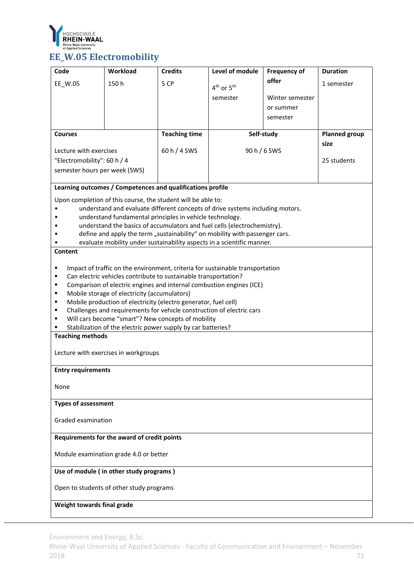

| Code                                        | Workload                                                                                                             | <b>Credits</b>       | Level of module                                                               | <b>Frequency of</b> | <b>Duration</b> |  |  |
|---------------------------------------------|----------------------------------------------------------------------------------------------------------------------|----------------------|-------------------------------------------------------------------------------|---------------------|-----------------|--|--|
| EE_W.05                                     | 150h                                                                                                                 | 5 CP                 | $4th$ or $5th$                                                                | offer               | 1 semester      |  |  |
|                                             |                                                                                                                      |                      | semester                                                                      | Winter semester     |                 |  |  |
|                                             |                                                                                                                      |                      |                                                                               | or summer           |                 |  |  |
|                                             |                                                                                                                      |                      |                                                                               | semester            |                 |  |  |
| <b>Courses</b>                              |                                                                                                                      | <b>Teaching time</b> |                                                                               | Self-study          |                 |  |  |
| Lecture with exercises                      |                                                                                                                      | 60 h / 4 SWS         | 90 h / 6 SWS                                                                  |                     | size            |  |  |
| "Electromobility": 60 h / 4                 |                                                                                                                      |                      |                                                                               |                     | 25 students     |  |  |
| semester hours per week (SWS)               |                                                                                                                      |                      |                                                                               |                     |                 |  |  |
|                                             | Learning outcomes / Competences and qualifications profile                                                           |                      |                                                                               |                     |                 |  |  |
|                                             | Upon completion of this course, the student will be able to:                                                         |                      |                                                                               |                     |                 |  |  |
|                                             |                                                                                                                      |                      | understand and evaluate different concepts of drive systems including motors. |                     |                 |  |  |
|                                             | understand fundamental principles in vehicle technology.                                                             |                      | understand the basics of accumulators and fuel cells (electrochemistry).      |                     |                 |  |  |
|                                             |                                                                                                                      |                      | define and apply the term "sustainability" on mobility with passenger cars.   |                     |                 |  |  |
|                                             |                                                                                                                      |                      | evaluate mobility under sustainability aspects in a scientific manner.        |                     |                 |  |  |
| Content                                     |                                                                                                                      |                      |                                                                               |                     |                 |  |  |
| ٠                                           |                                                                                                                      |                      | Impact of traffic on the environment, criteria for sustainable transportation |                     |                 |  |  |
| ٠                                           | Can electric vehicles contribute to sustainable transportation?                                                      |                      |                                                                               |                     |                 |  |  |
|                                             | Comparison of electric engines and internal combustion engines (ICE)<br>٠                                            |                      |                                                                               |                     |                 |  |  |
| ٠                                           | Mobile storage of electricity (accumulators)<br>٠<br>Mobile production of electricity (electro generator, fuel cell) |                      |                                                                               |                     |                 |  |  |
| ٠                                           | Challenges and requirements for vehicle construction of electric cars                                                |                      |                                                                               |                     |                 |  |  |
| ٠                                           | Will cars become "smart"? New concepts of mobility                                                                   |                      |                                                                               |                     |                 |  |  |
| <b>Teaching methods</b>                     | Stabilization of the electric power supply by car batteries?                                                         |                      |                                                                               |                     |                 |  |  |
|                                             |                                                                                                                      |                      |                                                                               |                     |                 |  |  |
|                                             | Lecture with exercises in workgroups                                                                                 |                      |                                                                               |                     |                 |  |  |
| <b>Entry requirements</b>                   |                                                                                                                      |                      |                                                                               |                     |                 |  |  |
| None                                        |                                                                                                                      |                      |                                                                               |                     |                 |  |  |
|                                             |                                                                                                                      |                      |                                                                               |                     |                 |  |  |
| <b>Types of assessment</b>                  |                                                                                                                      |                      |                                                                               |                     |                 |  |  |
| Graded examination                          |                                                                                                                      |                      |                                                                               |                     |                 |  |  |
| Requirements for the award of credit points |                                                                                                                      |                      |                                                                               |                     |                 |  |  |
| Module examination grade 4.0 or better      |                                                                                                                      |                      |                                                                               |                     |                 |  |  |
| Use of module (in other study programs)     |                                                                                                                      |                      |                                                                               |                     |                 |  |  |
|                                             | Open to students of other study programs                                                                             |                      |                                                                               |                     |                 |  |  |
| Weight towards final grade                  |                                                                                                                      |                      |                                                                               |                     |                 |  |  |

Environment and Energy, B.Sc.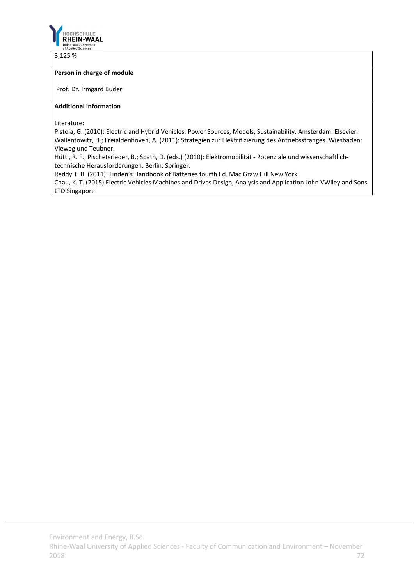

3,125 %

#### **Person in charge of module**

Prof. Dr. Irmgard Buder

#### **Additional information**

Literature:

Pistoia, G. (2010): Electric and Hybrid Vehicles: Power Sources, Models, Sustainability. Amsterdam: Elsevier. Wallentowitz, H.; Freialdenhoven, A. (2011): Strategien zur Elektrifizierung des Antriebsstranges. Wiesbaden: Vieweg und Teubner.

Hüttl, R. F.; Pischetsrieder, B.; Spath, D. (eds.) (2010): Elektromobilität ‐ Potenziale und wissenschaftlich‐ technische Herausforderungen. Berlin: Springer.

Reddy T. B. (2011): Linden's Handbook of Batteries fourth Ed. Mac Graw Hill New York

Chau, K. T. (2015) Electric Vehicles Machines and Drives Design, Analysis and Application John VWiley and Sons LTD Singapore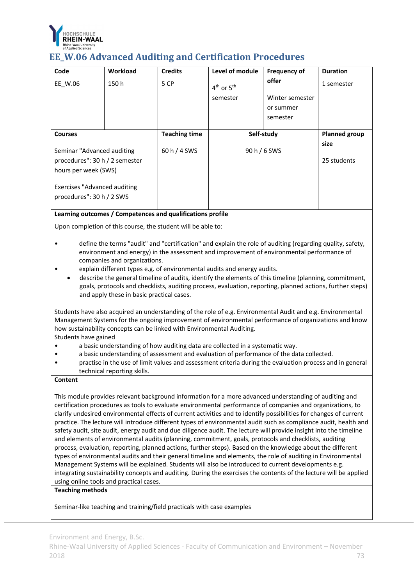

## **EE\_W.06 Advanced Auditing and Certification Procedures**

| Code                                                             | Workload | <b>Credits</b>       | Level of module | <b>Frequency of</b> | <b>Duration</b>      |
|------------------------------------------------------------------|----------|----------------------|-----------------|---------------------|----------------------|
| EE W.06                                                          | 150h     | 5 CP                 | $4th$ or $5th$  | offer               | 1 semester           |
|                                                                  |          |                      | semester        | Winter semester     |                      |
|                                                                  |          |                      |                 | or summer           |                      |
|                                                                  |          |                      |                 | semester            |                      |
|                                                                  |          |                      |                 |                     |                      |
| <b>Courses</b>                                                   |          | <b>Teaching time</b> | Self-study      |                     | <b>Planned group</b> |
| Seminar "Advanced auditing                                       |          | $60 h/4$ SWS         |                 | 90 h / 6 SWS        |                      |
| procedures": 30 h / 2 semester                                   |          |                      |                 |                     | 25 students          |
| hours per week (SWS)                                             |          |                      |                 |                     |                      |
| <b>Exercises "Advanced auditing</b><br>procedures": 30 h / 2 SWS |          |                      |                 |                     |                      |
|                                                                  |          |                      |                 |                     |                      |

## **Learning outcomes / Competences and qualifications profile**

Upon completion of this course, the student will be able to:

- define the terms "audit" and "certification" and explain the role of auditing (regarding quality, safety, environment and energy) in the assessment and improvement of environmental performance of companies and organizations.
- explain different types e.g. of environmental audits and energy audits.
- describe the general timeline of audits, identify the elements of this timeline (planning, commitment, goals, protocols and checklists, auditing process, evaluation, reporting, planned actions, further steps) and apply these in basic practical cases.

Students have also acquired an understanding of the role of e.g. Environmental Audit and e.g. Environmental Management Systems for the ongoing improvement of environmental performance of organizations and know how sustainability concepts can be linked with Environmental Auditing.

Students have gained

- a basic understanding of how auditing data are collected in a systematic way.
- a basic understanding of assessment and evaluation of performance of the data collected.
- practise in the use of limit values and assessment criteria during the evaluation process and in general technical reporting skills.

## **Content**

This module provides relevant background information for a more advanced understanding of auditing and certification procedures as tools to evaluate environmental performance of companies and organizations, to clarify undesired environmental effects of current activities and to identify possibilities for changes of current practice. The lecture will introduce different types of environmental audit such as compliance audit, health and safety audit, site audit, energy audit and due diligence audit. The lecture will provide insight into the timeline and elements of environmental audits (planning, commitment, goals, protocols and checklists, auditing process, evaluation, reporting, planned actions, further steps). Based on the knowledge about the different types of environmental audits and their general timeline and elements, the role of auditing in Environmental Management Systems will be explained. Students will also be introduced to current developments e.g. integrating sustainability concepts and auditing. During the exercises the contents of the lecture will be applied using online tools and practical cases.

## **Teaching methods**

Seminar‐like teaching and training/field practicals with case examples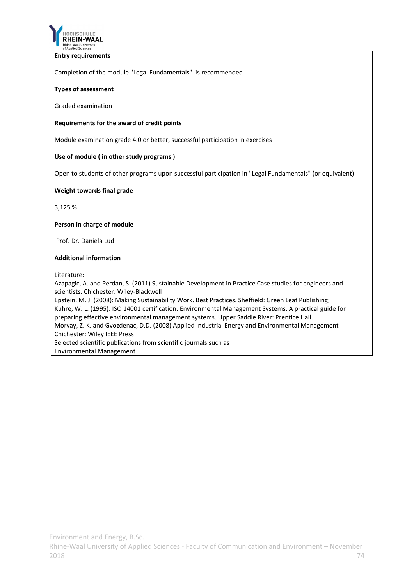

#### **Entry requirements**

Completion of the module "Legal Fundamentals" is recommended

### **Types of assessment**

Graded examination

## **Requirements for the award of credit points**

Module examination grade 4.0 or better, successful participation in exercises

## **Use of module ( in other study programs )**

Open to students of other programs upon successful participation in "Legal Fundamentals" (or equivalent)

## **Weight towards final grade**

3,125 %

## **Person in charge of module**

Prof. Dr. Daniela Lud

## **Additional information**

Literature:

Azapagic, A. and Perdan, S. (2011) Sustainable Development in Practice Case studies for engineers and scientists. Chichester: Wiley‐Blackwell

Epstein, M. J. (2008): Making Sustainability Work. Best Practices. Sheffield: Green Leaf Publishing; Kuhre, W. L. (1995): ISO 14001 certification: Environmental Management Systems: A practical guide for preparing effective environmental management systems. Upper Saddle River: Prentice Hall.

Morvay, Z. K. and Gvozdenac, D.D. (2008) Applied Industrial Energy and Environmental Management Chichester: Wiley IEEE Press

Selected scientific publications from scientific journals such as

Environmental Management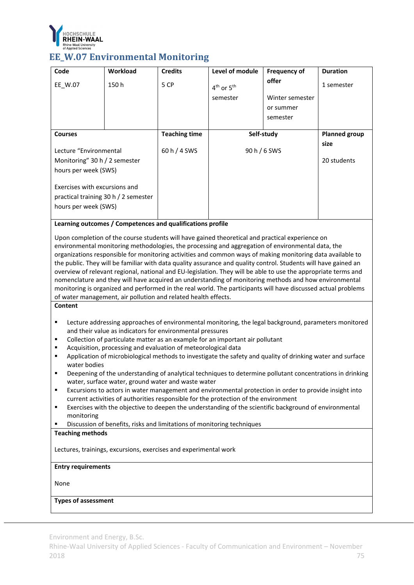

## **EE\_W.07 Environmental Monitoring**

| Code                                                                                          | Workload | <b>Credits</b>       | Level of module | <b>Frequency of</b> | <b>Duration</b>      |
|-----------------------------------------------------------------------------------------------|----------|----------------------|-----------------|---------------------|----------------------|
| EE W.07                                                                                       | 150h     | 5 CP                 | $4th$ or $5th$  | offer               | 1 semester           |
|                                                                                               |          |                      | semester        | Winter semester     |                      |
|                                                                                               |          |                      |                 | or summer           |                      |
|                                                                                               |          |                      |                 | semester            |                      |
|                                                                                               |          |                      |                 |                     |                      |
| <b>Courses</b>                                                                                |          | <b>Teaching time</b> | Self-study      |                     | <b>Planned group</b> |
| Lecture "Environmental                                                                        |          | 60 h / 4 SWS         | 90 h / 6 SWS    |                     | size                 |
| Monitoring" 30 h / 2 semester                                                                 |          |                      |                 |                     | 20 students          |
| hours per week (SWS)                                                                          |          |                      |                 |                     |                      |
| Exercises with excursions and<br>practical training 30 h / 2 semester<br>hours per week (SWS) |          |                      |                 |                     |                      |

## **Learning outcomes / Competences and qualifications profile**

Upon completion of the course students will have gained theoretical and practical experience on environmental monitoring methodologies, the processing and aggregation of environmental data, the organizations responsible for monitoring activities and common ways of making monitoring data available to the public. They will be familiar with data quality assurance and quality control. Students will have gained an overview of relevant regional, national and EU‐legislation. They will be able to use the appropriate terms and nomenclature and they will have acquired an understanding of monitoring methods and how environmental monitoring is organized and performed in the real world. The participants will have discussed actual problems of water management, air pollution and related health effects.

#### **Content**

- Lecture addressing approaches of environmental monitoring, the legal background, parameters monitored and their value as indicators for environmental pressures
- Collection of particulate matter as an example for an important air pollutant
- Acquisition, processing and evaluation of meteorological data
- Application of microbiological methods to investigate the safety and quality of drinking water and surface water bodies
- **•** Deepening of the understanding of analytical techniques to determine pollutant concentrations in drinking water, surface water, ground water and waste water
- Excursions to actors in water management and environmental protection in order to provide insight into current activities of authorities responsible for the protection of the environment
- Exercises with the objective to deepen the understanding of the scientific background of environmental monitoring
- Discussion of benefits, risks and limitations of monitoring techniques

## **Teaching methods**

Lectures, trainings, excursions, exercises and experimental work

#### **Entry requirements**

None

#### **Types of assessment**

Environment and Energy, B.Sc.

Rhine‐Waal University of Applied Sciences ‐ Faculty of Communication and Environment – November 2018 75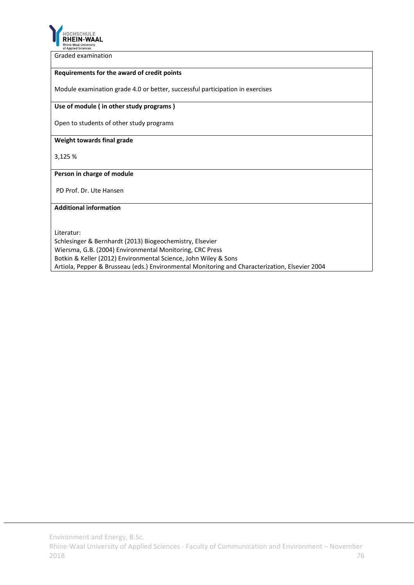

Graded examination

## **Requirements for the award of credit points**

Module examination grade 4.0 or better, successful participation in exercises

#### **Use of module ( in other study programs )**

Open to students of other study programs

#### **Weight towards final grade**

3,125 %

## **Person in charge of module**

PD Prof. Dr. Ute Hansen

## **Additional information**

Literatur:

Schlesinger & Bernhardt (2013) Biogeochemistry, Elsevier Wiersma, G.B. (2004) Environmental Monitoring, CRC Press Botkin & Keller (2012) Environmental Science, John Wiley & Sons Artiola, Pepper & Brusseau (eds.) Environmental Monitoring and Characterization, Elsevier 2004

Environment and Energy, B.Sc.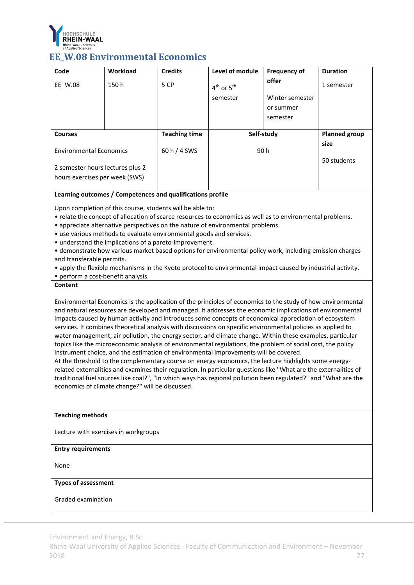

## **EE\_W.08 Environmental Economics**

| Code                                                               | Workload | <b>Credits</b>       | Level of module | <b>Frequency of</b> | <b>Duration</b>      |
|--------------------------------------------------------------------|----------|----------------------|-----------------|---------------------|----------------------|
| EE W.08                                                            | 150h     | 5 CP                 | $4th$ or $5th$  | offer               | 1 semester           |
|                                                                    |          |                      | semester        | Winter semester     |                      |
|                                                                    |          |                      |                 | or summer           |                      |
|                                                                    |          |                      |                 | semester            |                      |
|                                                                    |          |                      |                 |                     |                      |
| <b>Courses</b>                                                     |          | <b>Teaching time</b> | Self-study      |                     | <b>Planned group</b> |
| <b>Environmental Economics</b>                                     |          | 60 h / 4 SWS         | 90 h            |                     | size                 |
| 2 semester hours lectures plus 2<br>hours exercises per week (SWS) |          |                      |                 |                     | 50 students          |

## **Learning outcomes / Competences and qualifications profile**

Upon completion of this course, students will be able to:

- relate the concept of allocation of scarce resources to economics as well as to environmental problems.
- appreciate alternative perspectives on the nature of environmental problems.
- use various methods to evaluate environmental goods and services.
- understand the implications of a pareto‐improvement.

• demonstrate how various market based options for environmental policy work, including emission charges and transferable permits.

- apply the flexible mechanisms in the Kyoto protocol to environmental impact caused by industrial activity.
- perform a cost‐benefit analysis.

## **Content**

Environmental Economics is the application of the principles of economics to the study of how environmental and natural resources are developed and managed. It addresses the economic implications of environmental impacts caused by human activity and introduces some concepts of economical appreciation of ecosystem services. It combines theoretical analysis with discussions on specific environmental policies as applied to water management, air pollution, the energy sector, and climate change. Within these examples, particular topics like the microeconomic analysis of environmental regulations, the problem of social cost, the policy instrument choice, and the estimation of environmental improvements will be covered.

At the threshold to the complementary course on energy economics, the lecture highlights some energy‐ related externalities and examines their regulation. In particular questions like "What are the externalities of traditional fuel sources like coal?", "In which ways has regional pollution been regulated?" and "What are the economics of climate change?" will be discussed.

#### **Teaching methods**

Lecture with exercises in workgroups

#### **Entry requirements**

None

#### **Types of assessment**

Graded examination

Environment and Energy, B.Sc.

Rhine‐Waal University of Applied Sciences ‐ Faculty of Communication and Environment – November 2018 77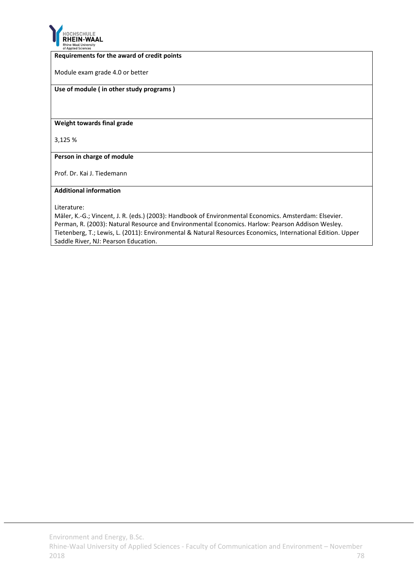

#### **Requirements for the award of credit points**

Module exam grade 4.0 or better

## **Use of module ( in other study programs )**

#### **Weight towards final grade**

3,125 %

**Person in charge of module**

Prof. Dr. Kai J. Tiedemann

#### **Additional information**

Literature:

Mäler, K.‐G.; Vincent, J. R. (eds.) (2003): Handbook of Environmental Economics. Amsterdam: Elsevier. Perman, R. (2003): Natural Resource and Environmental Economics. Harlow: Pearson Addison Wesley. Tietenberg, T.; Lewis, L. (2011): Environmental & Natural Resources Economics, International Edition. Upper Saddle River, NJ: Pearson Education.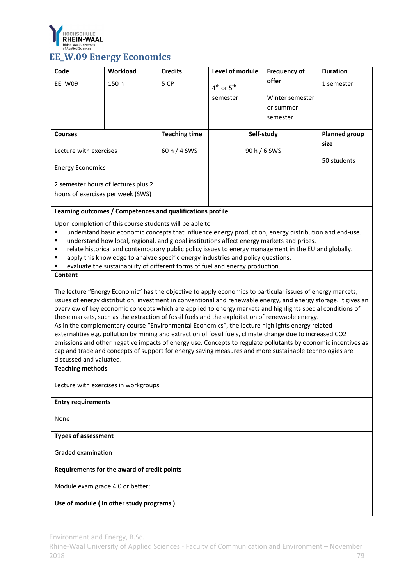

# **EE\_W.09 Energy Economics**

| Code                                                                                                   | Workload                                                | <b>Credits</b>       | Level of module                                                                                                                                                                                               | <b>Frequency of</b> | <b>Duration</b>              |  |
|--------------------------------------------------------------------------------------------------------|---------------------------------------------------------|----------------------|---------------------------------------------------------------------------------------------------------------------------------------------------------------------------------------------------------------|---------------------|------------------------------|--|
| EE_W09                                                                                                 | 150h                                                    | 5 CP                 | 4 <sup>th</sup> or 5 <sup>th</sup>                                                                                                                                                                            | offer               | 1 semester                   |  |
|                                                                                                        |                                                         |                      | semester                                                                                                                                                                                                      | Winter semester     |                              |  |
|                                                                                                        |                                                         |                      |                                                                                                                                                                                                               | or summer           |                              |  |
|                                                                                                        |                                                         |                      |                                                                                                                                                                                                               | semester            |                              |  |
|                                                                                                        |                                                         |                      |                                                                                                                                                                                                               |                     |                              |  |
| <b>Courses</b>                                                                                         |                                                         | <b>Teaching time</b> | Self-study                                                                                                                                                                                                    |                     | <b>Planned group</b><br>size |  |
| Lecture with exercises                                                                                 |                                                         | 60 h / 4 SWS         | 90 h / 6 SWS                                                                                                                                                                                                  |                     |                              |  |
|                                                                                                        |                                                         |                      |                                                                                                                                                                                                               |                     | 50 students                  |  |
| <b>Energy Economics</b>                                                                                |                                                         |                      |                                                                                                                                                                                                               |                     |                              |  |
| 2 semester hours of lectures plus 2                                                                    |                                                         |                      |                                                                                                                                                                                                               |                     |                              |  |
| hours of exercises per week (SWS)                                                                      |                                                         |                      |                                                                                                                                                                                                               |                     |                              |  |
| Learning outcomes / Competences and qualifications profile                                             |                                                         |                      |                                                                                                                                                                                                               |                     |                              |  |
|                                                                                                        |                                                         |                      |                                                                                                                                                                                                               |                     |                              |  |
|                                                                                                        | Upon completion of this course students will be able to |                      | understand basic economic concepts that influence energy production, energy distribution and end-use.                                                                                                         |                     |                              |  |
| ٠                                                                                                      |                                                         |                      | understand how local, regional, and global institutions affect energy markets and prices.                                                                                                                     |                     |                              |  |
| ٠                                                                                                      |                                                         |                      | relate historical and contemporary public policy issues to energy management in the EU and globally.                                                                                                          |                     |                              |  |
|                                                                                                        |                                                         |                      | apply this knowledge to analyze specific energy industries and policy questions.                                                                                                                              |                     |                              |  |
| Content                                                                                                |                                                         |                      | evaluate the sustainability of different forms of fuel and energy production.                                                                                                                                 |                     |                              |  |
|                                                                                                        |                                                         |                      |                                                                                                                                                                                                               |                     |                              |  |
|                                                                                                        |                                                         |                      | The lecture "Energy Economic" has the objective to apply economics to particular issues of energy markets,                                                                                                    |                     |                              |  |
|                                                                                                        |                                                         |                      | issues of energy distribution, investment in conventional and renewable energy, and energy storage. It gives an                                                                                               |                     |                              |  |
|                                                                                                        |                                                         |                      | overview of key economic concepts which are applied to energy markets and highlights special conditions of<br>these markets, such as the extraction of fossil fuels and the exploitation of renewable energy. |                     |                              |  |
|                                                                                                        |                                                         |                      | As in the complementary course "Environmental Economics", the lecture highlights energy related                                                                                                               |                     |                              |  |
|                                                                                                        |                                                         |                      | externalities e.g. pollution by mining and extraction of fossil fuels, climate change due to increased CO2                                                                                                    |                     |                              |  |
|                                                                                                        |                                                         |                      | emissions and other negative impacts of energy use. Concepts to regulate pollutants by economic incentives as                                                                                                 |                     |                              |  |
| cap and trade and concepts of support for energy saving measures and more sustainable technologies are |                                                         |                      |                                                                                                                                                                                                               |                     |                              |  |
| discussed and valuated.<br><b>Teaching methods</b>                                                     |                                                         |                      |                                                                                                                                                                                                               |                     |                              |  |
|                                                                                                        |                                                         |                      |                                                                                                                                                                                                               |                     |                              |  |
| Lecture with exercises in workgroups                                                                   |                                                         |                      |                                                                                                                                                                                                               |                     |                              |  |
| <b>Entry requirements</b>                                                                              |                                                         |                      |                                                                                                                                                                                                               |                     |                              |  |
|                                                                                                        |                                                         |                      |                                                                                                                                                                                                               |                     |                              |  |
| None                                                                                                   |                                                         |                      |                                                                                                                                                                                                               |                     |                              |  |
| <b>Types of assessment</b>                                                                             |                                                         |                      |                                                                                                                                                                                                               |                     |                              |  |
|                                                                                                        |                                                         |                      |                                                                                                                                                                                                               |                     |                              |  |
| Graded examination                                                                                     |                                                         |                      |                                                                                                                                                                                                               |                     |                              |  |
| Requirements for the award of credit points                                                            |                                                         |                      |                                                                                                                                                                                                               |                     |                              |  |
|                                                                                                        |                                                         |                      |                                                                                                                                                                                                               |                     |                              |  |
| Module exam grade 4.0 or better;                                                                       |                                                         |                      |                                                                                                                                                                                                               |                     |                              |  |
| Use of module (in other study programs)                                                                |                                                         |                      |                                                                                                                                                                                                               |                     |                              |  |
|                                                                                                        |                                                         |                      |                                                                                                                                                                                                               |                     |                              |  |

Environment and Energy, B.Sc.

Rhine‐Waal University of Applied Sciences ‐ Faculty of Communication and Environment – November 2018 79